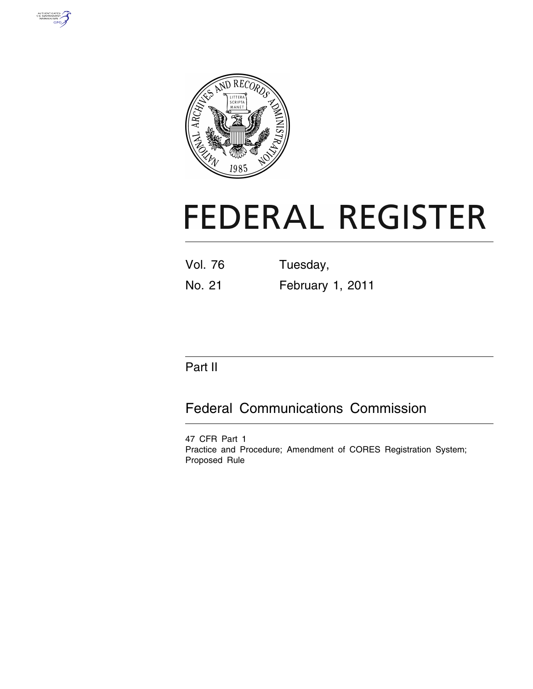



# **FEDERAL REGISTER**

| <b>Vol. 76</b> | Tuesday,         |
|----------------|------------------|
| No. 21         | February 1, 2011 |

# Part II

# Federal Communications Commission

47 CFR Part 1 Practice and Procedure; Amendment of CORES Registration System; Proposed Rule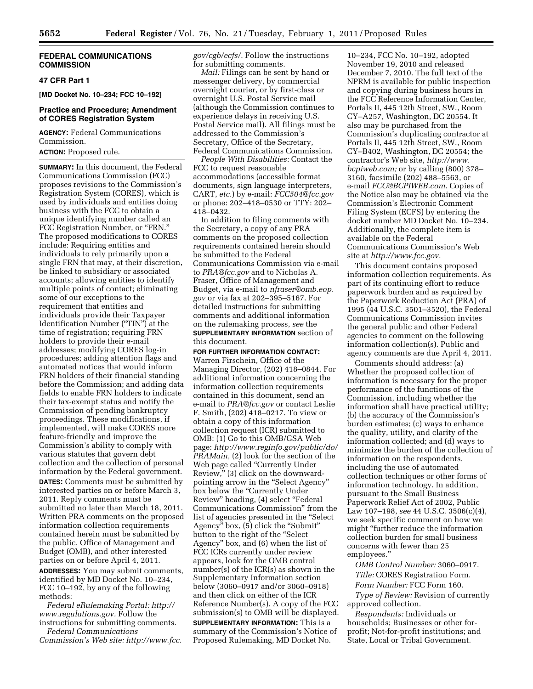# **FEDERAL COMMUNICATIONS COMMISSION**

# **47 CFR Part 1**

**[MD Docket No. 10–234; FCC 10–192]** 

# **Practice and Procedure; Amendment of CORES Registration System**

**AGENCY:** Federal Communications Commission.

# **ACTION:** Proposed rule.

**SUMMARY:** In this document, the Federal Communications Commission (FCC) proposes revisions to the Commission's Registration System (CORES), which is used by individuals and entities doing business with the FCC to obtain a unique identifying number called an FCC Registration Number, or "FRN." The proposed modifications to CORES include: Requiring entities and individuals to rely primarily upon a single FRN that may, at their discretion, be linked to subsidiary or associated accounts; allowing entities to identify multiple points of contact; eliminating some of our exceptions to the requirement that entities and individuals provide their Taxpayer Identification Number (''TIN'') at the time of registration; requiring FRN holders to provide their e-mail addresses; modifying CORES log-in procedures; adding attention flags and automated notices that would inform FRN holders of their financial standing before the Commission; and adding data fields to enable FRN holders to indicate their tax-exempt status and notify the Commission of pending bankruptcy proceedings. These modifications, if implemented, will make CORES more feature-friendly and improve the Commission's ability to comply with various statutes that govern debt collection and the collection of personal information by the Federal government.

**DATES:** Comments must be submitted by interested parties on or before March 3, 2011. Reply comments must be submitted no later than March 18, 2011. Written PRA comments on the proposed information collection requirements contained herein must be submitted by the public, Office of Management and Budget (OMB), and other interested parties on or before April 4, 2011.

**ADDRESSES:** You may submit comments, identified by MD Docket No. 10–234, FCC 10–192, by any of the following methods:

*Federal eRulemaking Portal: [http://](http://www.regulations.gov) [www.regulations.gov.](http://www.regulations.gov)* Follow the instructions for submitting comments.

*Federal Communications Commission's Web site: [http://www.fcc.](http://www.fcc.gov/cgb/ecfs/)* *[gov/cgb/ecfs/.](http://www.fcc.gov/cgb/ecfs/)* Follow the instructions for submitting comments.

*Mail:* Filings can be sent by hand or messenger delivery, by commercial overnight courier, or by first-class or overnight U.S. Postal Service mail (although the Commission continues to experience delays in receiving U.S. Postal Service mail). All filings must be addressed to the Commission's Secretary, Office of the Secretary, Federal Communications Commission.

*People With Disabilities:* Contact the FCC to request reasonable accommodations (accessible format documents, sign language interpreters, CART, *etc.*) by e-mail: *[FCC504@fcc.gov](mailto:FCC504@fcc.gov)*  or phone: 202–418–0530 or TTY: 202– 418–0432.

In addition to filing comments with the Secretary, a copy of any PRA comments on the proposed collection requirements contained herein should be submitted to the Federal Communications Commission via e-mail to *[PRA@fcc.gov](mailto:PRA@fcc.gov)* and to Nicholas A. Fraser, Office of Management and Budget, via e-mail to *[nfraser@omb.eop.](mailto:nfraser@omb.eop) gov* or via fax at 202–395–5167. For detailed instructions for submitting comments and additional information on the rulemaking process, *see* the **SUPPLEMENTARY INFORMATION** section of this document.

#### **FOR FURTHER INFORMATION CONTACT:**

Warren Firschein, Office of the Managing Director, (202) 418–0844. For additional information concerning the information collection requirements contained in this document, send an e-mail to *[PRA@fcc.gov](mailto:PRA@fcc.gov)* or contact Leslie F. Smith, (202) 418–0217. To view or obtain a copy of this information collection request (ICR) submitted to OMB: (1) Go to this OMB/GSA Web page: *[http://www.reginfo.gov/public/do/](http://www.reginfo.gov/public/do/PRAMain) [PRAMain,](http://www.reginfo.gov/public/do/PRAMain)* (2) look for the section of the Web page called "Currently Under Review,'' (3) click on the downwardpointing arrow in the "Select Agency" box below the "Currently Under Review'' heading, (4) select ''Federal Communications Commission'' from the list of agencies presented in the ''Select Agency" box, (5) click the "Submit" button to the right of the ''Select Agency'' box, and (6) when the list of FCC ICRs currently under review appears, look for the OMB control number(s) of the ICR(s) as shown in the Supplementary Information section below (3060–0917 and/or 3060–0918) and then click on either of the ICR Reference Number(s). A copy of the FCC submission(s) to OMB will be displayed.

**SUPPLEMENTARY INFORMATION:** This is a summary of the Commission's Notice of Proposed Rulemaking, MD Docket No.

10–234, FCC No. 10–192, adopted November 19, 2010 and released December 7, 2010. The full text of the NPRM is available for public inspection and copying during business hours in the FCC Reference Information Center, Portals II, 445 12th Street, SW., Room CY–A257, Washington, DC 20554. It also may be purchased from the Commission's duplicating contractor at Portals II, 445 12th Street, SW., Room CY–B402, Washington, DC 20554; the contractor's Web site, *[http://www.](http://www.bcpiweb.com) [bcpiweb.com;](http://www.bcpiweb.com)* or by calling (800) 378– 3160, facsimile (202) 488–5563, or e-mail *[FCC@BCPIWEB.com.](mailto:FCC@BCPIWEB.com)* Copies of the Notice also may be obtained via the Commission's Electronic Comment Filing System (ECFS) by entering the docket number MD Docket No. 10–234. Additionally, the complete item is available on the Federal Communications Commission's Web site at *[http://www.fcc.gov.](http://www.fcc.gov)* 

This document contains proposed information collection requirements. As part of its continuing effort to reduce paperwork burden and as required by the Paperwork Reduction Act (PRA) of 1995 (44 U.S.C. 3501–3520), the Federal Communications Commission invites the general public and other Federal agencies to comment on the following information collection(s). Public and agency comments are due April 4, 2011.

Comments should address: (a) Whether the proposed collection of information is necessary for the proper performance of the functions of the Commission, including whether the information shall have practical utility; (b) the accuracy of the Commission's burden estimates; (c) ways to enhance the quality, utility, and clarity of the information collected; and (d) ways to minimize the burden of the collection of information on the respondents, including the use of automated collection techniques or other forms of information technology. In addition, pursuant to the Small Business Paperwork Relief Act of 2002, Public Law 107–198, *see* 44 U.S.C. 3506(c)(4), we seek specific comment on how we might ''further reduce the information collection burden for small business concerns with fewer than 25 employees.''

*OMB Control Number:* 3060–0917. *Title:* CORES Registration Form.

*Form Number:* FCC Form 160.

*Type of Review:* Revision of currently approved collection.

*Respondents:* Individuals or households; Businesses or other forprofit; Not-for-profit institutions; and State, Local or Tribal Government.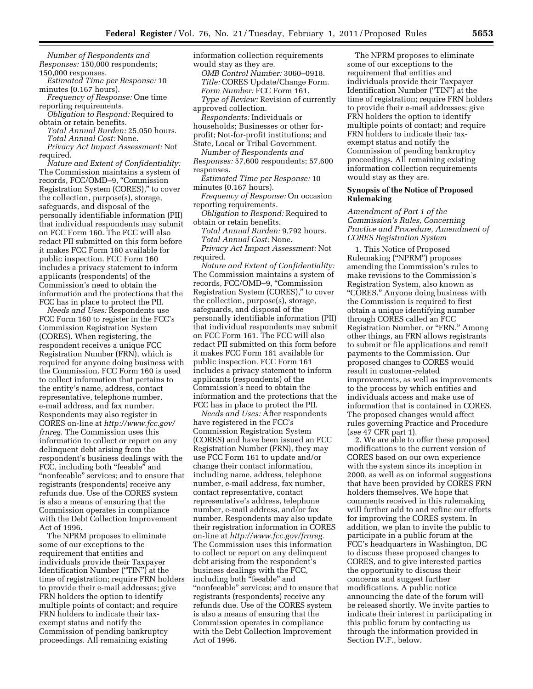*Number of Respondents and Responses:* 150,000 respondents; 150,000 responses.

*Estimated Time per Response:* 10 minutes (0.167 hours).

*Frequency of Response:* One time reporting requirements.

*Obligation to Respond:* Required to obtain or retain benefits.

*Total Annual Burden:* 25,050 hours. *Total Annual Cost:* None.

*Privacy Act Impact Assessment:* Not required.

*Nature and Extent of Confidentiality:*  The Commission maintains a system of records, FCC/OMD–9, ''Commission Registration System (CORES),'' to cover the collection, purpose(s), storage, safeguards, and disposal of the personally identifiable information (PII) that individual respondents may submit on FCC Form 160. The FCC will also redact PII submitted on this form before it makes FCC Form 160 available for public inspection. FCC Form 160 includes a privacy statement to inform applicants (respondents) of the Commission's need to obtain the information and the protections that the FCC has in place to protect the PII.

*Needs and Uses:* Respondents use FCC Form 160 to register in the FCC's Commission Registration System (CORES). When registering, the respondent receives a unique FCC Registration Number (FRN), which is required for anyone doing business with the Commission. FCC Form 160 is used to collect information that pertains to the entity's name, address, contact representative, telephone number, e-mail address, and fax number. Respondents may also register in CORES on-line at *[http://www.fcc.gov/](http://www.fcc.gov/frnreg) [frnreg.](http://www.fcc.gov/frnreg)* The Commission uses this information to collect or report on any delinquent debt arising from the respondent's business dealings with the FCC, including both "feeable" and "nonfeeable" services; and to ensure that registrants (respondents) receive any refunds due. Use of the CORES system is also a means of ensuring that the Commission operates in compliance with the Debt Collection Improvement Act of 1996.

The NPRM proposes to eliminate some of our exceptions to the requirement that entities and individuals provide their Taxpayer Identification Number (''TIN'') at the time of registration; require FRN holders to provide their e-mail addresses; give FRN holders the option to identify multiple points of contact; and require FRN holders to indicate their taxexempt status and notify the Commission of pending bankruptcy proceedings. All remaining existing

information collection requirements would stay as they are.

*OMB Control Number:* 3060–0918. *Title:* CORES Update/Change Form. *Form Number:* FCC Form 161. *Type of Review:* Revision of currently

approved collection. *Respondents:* Individuals or households; Businesses or other forprofit; Not-for-profit institutions; and State, Local or Tribal Government.

*Number of Respondents and Responses:* 57,600 respondents; 57,600

responses. *Estimated Time per Response:* 10

minutes (0.167 hours).

*Frequency of Response:* On occasion reporting requirements.

*Obligation to Respond:* Required to obtain or retain benefits.

*Total Annual Burden:* 9,792 hours. *Total Annual Cost:* None.

*Privacy Act Impact Assessment:* Not required.

*Nature and Extent of Confidentiality:*  The Commission maintains a system of records, FCC/OMD–9, ''Commission Registration System (CORES),'' to cover the collection, purpose(s), storage, safeguards, and disposal of the personally identifiable information (PII) that individual respondents may submit on FCC Form 161. The FCC will also redact PII submitted on this form before it makes FCC Form 161 available for public inspection. FCC Form 161 includes a privacy statement to inform applicants (respondents) of the Commission's need to obtain the information and the protections that the FCC has in place to protect the PII.

*Needs and Uses:* After respondents have registered in the FCC's Commission Registration System (CORES) and have been issued an FCC Registration Number (FRN), they may use FCC Form 161 to update and/or change their contact information, including name, address, telephone number, e-mail address, fax number, contact representative, contact representative's address, telephone number, e-mail address, and/or fax number. Respondents may also update their registration information in CORES on-line at *[http://www.fcc.gov/frnreg.](http://www.fcc.gov/frnreg)*  The Commission uses this information to collect or report on any delinquent debt arising from the respondent's business dealings with the FCC, including both "feeable" and "nonfeeable" services; and to ensure that registrants (respondents) receive any refunds due. Use of the CORES system is also a means of ensuring that the Commission operates in compliance with the Debt Collection Improvement Act of 1996.

The NPRM proposes to eliminate some of our exceptions to the requirement that entities and individuals provide their Taxpayer Identification Number ("TIN") at the time of registration; require FRN holders to provide their e-mail addresses; give FRN holders the option to identify multiple points of contact; and require FRN holders to indicate their taxexempt status and notify the Commission of pending bankruptcy proceedings. All remaining existing information collection requirements would stay as they are.

# **Synopsis of the Notice of Proposed Rulemaking**

*Amendment of Part 1 of the Commission's Rules, Concerning Practice and Procedure, Amendment of CORES Registration System* 

1. This Notice of Proposed Rulemaking (''NPRM'') proposes amending the Commission's rules to make revisions to the Commission's Registration System, also known as "CORES." Anyone doing business with the Commission is required to first obtain a unique identifying number through CORES called an FCC Registration Number, or "FRN." Among other things, an FRN allows registrants to submit or file applications and remit payments to the Commission. Our proposed changes to CORES would result in customer-related improvements, as well as improvements to the process by which entities and individuals access and make use of information that is contained in CORES. The proposed changes would affect rules governing Practice and Procedure (*see* 47 CFR part 1).

2. We are able to offer these proposed modifications to the current version of CORES based on our own experience with the system since its inception in 2000, as well as on informal suggestions that have been provided by CORES FRN holders themselves. We hope that comments received in this rulemaking will further add to and refine our efforts for improving the CORES system. In addition, we plan to invite the public to participate in a public forum at the FCC's headquarters in Washington, DC to discuss these proposed changes to CORES, and to give interested parties the opportunity to discuss their concerns and suggest further modifications. A public notice announcing the date of the forum will be released shortly. We invite parties to indicate their interest in participating in this public forum by contacting us through the information provided in Section IV.F., below.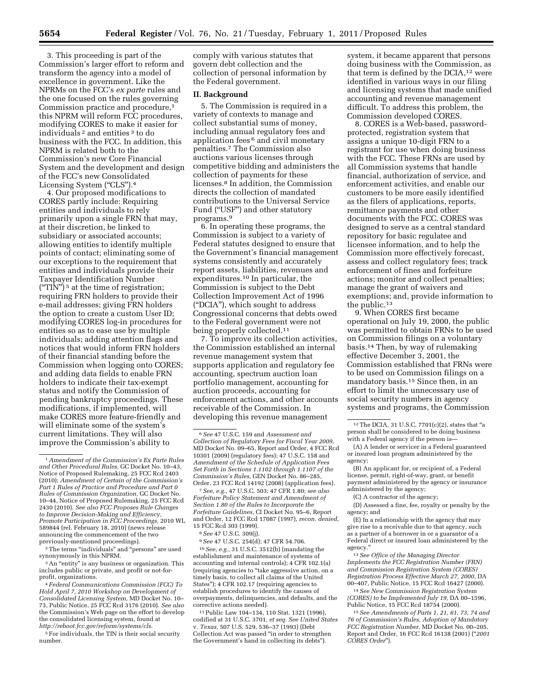3. This proceeding is part of the Commission's larger effort to reform and transform the agency into a model of excellence in government. Like the NPRMs on the FCC's *ex parte* rules and the one focused on the rules governing Commission practice and procedure,1 this NPRM will reform FCC procedures, modifying CORES to make it easier for individuals 2 and entities 3 to do business with the FCC. In addition, this NPRM is related both to the Commission's new Core Financial System and the development and design of the FCC's new Consolidated Licensing System ("CLS").<sup>4</sup>

4. Our proposed modifications to CORES partly include: Requiring entities and individuals to rely primarily upon a single FRN that may, at their discretion, be linked to subsidiary or associated accounts; allowing entities to identify multiple points of contact; eliminating some of our exceptions to the requirement that entities and individuals provide their Taxpayer Identification Number  $("TIN")$ <sup>5</sup> at the time of registration; requiring FRN holders to provide their e-mail addresses; giving FRN holders the option to create a custom User ID; modifying CORES log-in procedures for entities so as to ease use by multiple individuals; adding attention flags and notices that would inform FRN holders of their financial standing before the Commission when logging onto CORES; and adding data fields to enable FRN holders to indicate their tax-exempt status and notify the Commission of pending bankruptcy proceedings. These modifications, if implemented, will make CORES more feature-friendly and will eliminate some of the system's current limitations. They will also improve the Commission's ability to

 $^3$  An  $\!$  entity" is any business or organization. This includes public or private, and profit or not-forprofit, organizations.

4*Federal Communications Commission (FCC) To Hold April 7, 2010 Workshop on Development of Consolidated Licensing System,* MD Docket No. 10– 73, Public Notice, 25 FCC Rcd 3176 (2010). *See also*  the Commission's Web page on the effort to develop the consolidated licensing system, found at *[http://reboot.fcc.gov/reform/systems/cls.](http://reboot.fcc.gov/reform/systems/cls)* 

5For individuals, the TIN is their social security number.

comply with various statutes that govern debt collection and the collection of personal information by the Federal government.

# **II. Background**

5. The Commission is required in a variety of contexts to manage and collect substantial sums of money, including annual regulatory fees and application fees 6 and civil monetary penalties.7 The Commission also auctions various licenses through competitive bidding and administers the collection of payments for these licenses.8 In addition, the Commission directs the collection of mandated contributions to the Universal Service Fund (''USF'') and other statutory programs.9

6. In operating these programs, the Commission is subject to a variety of Federal statutes designed to ensure that the Government's financial management systems consistently and accurately report assets, liabilities, revenues and expenditures.10 In particular, the Commission is subject to the Debt Collection Improvement Act of 1996 (''DCIA''), which sought to address Congressional concerns that debts owed to the Federal government were not being properly collected.11

7. To improve its collection activities, the Commission established an internal revenue management system that supports application and regulatory fee accounting, spectrum auction loan portfolio management, accounting for auction proceeds, accounting for enforcement actions, and other accounts receivable of the Commission. In developing this revenue management

7*See, e.g.,* 47 U.S.C. 503; 47 CFR 1.80; *see also Forfeiture Policy Statement and Amendment of Section 1.80 of the Rules to Incorporate the Forfeiture Guidelines,* CI Docket No. 95–6, Report and Order, 12 FCC Rcd 17087 (1997), *recon. denied,*  15 FCC Rcd 303 (1999).

8*See* 47 U.S.C. 309(j).

9*See* 47 U.S.C. 254(d); 47 CFR 54.706.

10*See, e.g.,* 31 U.S.C. 3512(b) (mandating the establishment and maintenance of systems of accounting and internal controls); 4 CFR 102.1(a) (requiring agencies to ''take aggressive action, on a timely basis, to collect all claims of the United States''); 4 CFR 102.17 (requiring agencies to establish procedures to identify the causes of overpayments, delinquencies, and defaults, and the corrective actions needed).

11Public Law 104–134, 110 Stat. 1321 (1996), codified at 31 U.S.C. 3701, *et seq. See United States*  v. *Texas,* 507 U.S. 529, 536–37 (1993) (Debt Collection Act was passed ''in order to strengthen the Government's hand in collecting its debts'').

system, it became apparent that persons doing business with the Commission, as that term is defined by the DCIA,12 were identified in various ways in our filing and licensing systems that made unified accounting and revenue management difficult. To address this problem, the Commission developed CORES.

8. CORES is a Web-based, passwordprotected, registration system that assigns a unique 10-digit FRN to a registrant for use when doing business with the FCC. These FRNs are used by all Commission systems that handle financial, authorization of service, and enforcement activities, and enable our customers to be more easily identified as the filers of applications, reports, remittance payments and other documents with the FCC. CORES was designed to serve as a central standard repository for basic regulatee and licensee information, and to help the Commission more effectively forecast, assess and collect regulatory fees; track enforcement of fines and forfeiture actions; monitor and collect penalties; manage the grant of waivers and exemptions; and, provide information to the public.13

9. When CORES first became operational on July 19, 2000, the public was permitted to obtain FRNs to be used on Commission filings on a voluntary basis.14 Then, by way of rulemaking effective December 3, 2001, the Commission established that FRNs were to be used on Commission filings on a mandatory basis.15 Since then, in an effort to limit the unnecessary use of social security numbers in agency systems and programs, the Commission

(D) Assessed a fine, fee, royalty or penalty by the agency; and

(E) In a relationship with the agency that may give rise to a receivable due to that agency, such as a partner of a borrower in or a guarantor of a Federal direct or insured loan administered by the agency.''

13*See Office of the Managing Director Implements the FCC Registration Number (FRN) and Commission Registration System (CORES) Registration Process Effective March 27, 2000,* DA 00–407, Public Notice, 15 FCC Rcd 16427 (2000).

14*See New Commission Registration System (CORES) to be Implemented July 19,* DA 00–1596, Public Notice, 15 FCC Rcd 18754 (2000).

15*See Amendments of Parts 1, 21, 61, 73, 74 and 76 of Commission's Rules, Adoption of Mandatory FCC Registration Number,* MD Docket No. 00–205, Report and Order, 16 FCC Rcd 16138 (2001) (''*2001 CORES Order*'').

<sup>1</sup>*Amendment of the Commission's Ex Parte Rules and Other Procedural Rules,* GC Docket No. 10–43, Notice of Proposed Rulemaking, 25 FCC Rcd 2403 (2010); *Amendment of Certain of the Commission's Part 1 Rules of Practice and Procedure and Part 0 Rules of Commission Organization,* GC Docket No. 10–44, Notice of Proposed Rulemaking, 25 FCC Rcd 2430 (2010). *See also FCC Proposes Rule Changes to Improve Decision-Making and Efficiency, Promote Participation in FCC Proceedings,* 2010 WL 589844 (rel. February 18, 2010) (news release announcing the commencement of the two previously-mentioned proceedings).

<sup>&</sup>lt;sup>2</sup>The terms "individuals" and "persons" are used synonymously in this NPRM.

<sup>6</sup>*See* 47 U.S.C. 159 and *Assessment and Collection of Regulatory Fees for Fiscal Year 2009,*  MD Docket No. 09–65, Report and Order, 4 FCC Rcd 10301 (2009) (regulatory fees); 47 U.S.C. 158 and *Amendment of the Schedule of Application Fees Set Forth in Sections 1.1102 through 1.1107 of the Commission's Rules,* GEN Docket No. 86–285, Order, 23 FCC Rcd 14192 (2008) (application fees).

 $12$  The DCIA, 31 U.S.C. 7701(c)(2), states that "a person shall be considered to be doing business with a Federal agency if the person is—

<sup>(</sup>A) A lender or servicer in a Federal guaranteed or insured loan program administered by the agency;

<sup>(</sup>B) An applicant for, or recipient of, a Federal license, permit, right-of-way, grant, or benefit payment administered by the agency or insurance administered by the agency;

<sup>(</sup>C) A contractor of the agency;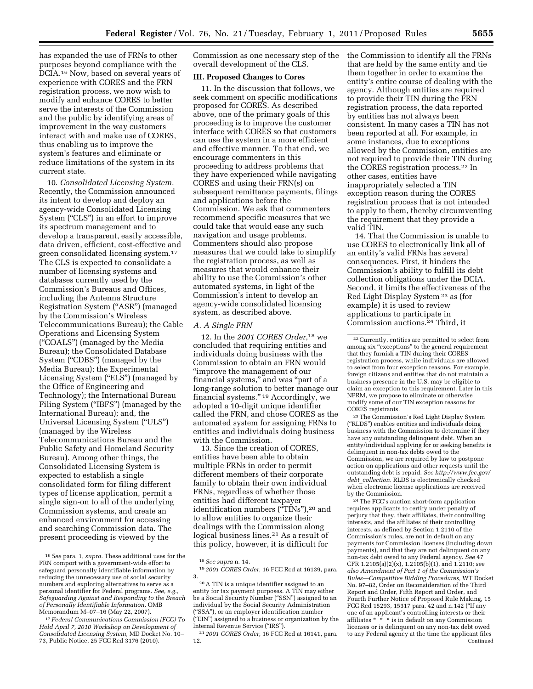has expanded the use of FRNs to other purposes beyond compliance with the DCIA.16 Now, based on several years of experience with CORES and the FRN registration process, we now wish to modify and enhance CORES to better serve the interests of the Commission and the public by identifying areas of improvement in the way customers interact with and make use of CORES, thus enabling us to improve the system's features and eliminate or reduce limitations of the system in its current state.

10. *Consolidated Licensing System.*  Recently, the Commission announced its intent to develop and deploy an agency-wide Consolidated Licensing System ("CLS") in an effort to improve its spectrum management and to develop a transparent, easily accessible, data driven, efficient, cost-effective and green consolidated licensing system.17 The CLS is expected to consolidate a number of licensing systems and databases currently used by the Commission's Bureaus and Offices, including the Antenna Structure Registration System (''ASR'') (managed by the Commission's Wireless Telecommunications Bureau); the Cable Operations and Licensing System (''COALS'') (managed by the Media Bureau); the Consolidated Database System ("CDBS") (managed by the Media Bureau); the Experimental Licensing System ("ELS") (managed by the Office of Engineering and Technology); the International Bureau Filing System ("IBFS") (managed by the International Bureau); and, the Universal Licensing System (''ULS'') (managed by the Wireless Telecommunications Bureau and the Public Safety and Homeland Security Bureau). Among other things, the Consolidated Licensing System is expected to establish a single consolidated form for filing different types of license application, permit a single sign-on to all of the underlying Commission systems, and create an enhanced environment for accessing and searching Commission data. The present proceeding is viewed by the

Commission as one necessary step of the overall development of the CLS.

# **III. Proposed Changes to Cores**

11. In the discussion that follows, we seek comment on specific modifications proposed for CORES. As described above, one of the primary goals of this proceeding is to improve the customer interface with CORES so that customers can use the system in a more efficient and effective manner. To that end, we encourage commenters in this proceeding to address problems that they have experienced while navigating CORES and using their FRN(s) on subsequent remittance payments, filings and applications before the Commission. We ask that commenters recommend specific measures that we could take that would ease any such navigation and usage problems. Commenters should also propose measures that we could take to simplify the registration process, as well as measures that would enhance their ability to use the Commission's other automated systems, in light of the Commission's intent to develop an agency-wide consolidated licensing system, as described above.

## *A. A Single FRN*

12. In the *2001 CORES Order,*18 we concluded that requiring entities and individuals doing business with the Commission to obtain an FRN would ''improve the management of our financial systems,'' and was ''part of a long-range solution to better manage our financial systems.'' 19 Accordingly, we adopted a 10-digit unique identifier called the FRN, and chose CORES as the automated system for assigning FRNs to entities and individuals doing business with the Commission.

13. Since the creation of CORES, entities have been able to obtain multiple FRNs in order to permit different members of their corporate family to obtain their own individual FRNs, regardless of whether those entities had different taxpayer identification numbers ("TINs"),<sup>20</sup> and to allow entities to organize their dealings with the Commission along logical business lines.<sup>21</sup> As a result of this policy, however, it is difficult for

the Commission to identify all the FRNs that are held by the same entity and tie them together in order to examine the entity's entire course of dealing with the agency. Although entities are required to provide their TIN during the FRN registration process, the data reported by entities has not always been consistent. In many cases a TIN has not been reported at all. For example, in some instances, due to exceptions allowed by the Commission, entities are not required to provide their TIN during the CORES registration process.22 In other cases, entities have inappropriately selected a TIN exception reason during the CORES registration process that is not intended to apply to them, thereby circumventing the requirement that they provide a valid TIN.

14. That the Commission is unable to use CORES to electronically link all of an entity's valid FRNs has several consequences. First, it hinders the Commission's ability to fulfill its debt collection obligations under the DCIA. Second, it limits the effectiveness of the Red Light Display System 23 as (for example) it is used to review applications to participate in Commission auctions.24 Third, it

23The Commission's Red Light Display System (''RLDS'') enables entities and individuals doing business with the Commission to determine if they have any outstanding delinquent debt. When an entity/individual applying for or seeking benefits is delinquent in non-tax debts owed to the Commission, we are required by law to postpone action on applications and other requests until the outstanding debt is repaid. *See [http://www.fcc.gov/](http://www.fcc.gov/debt_collection)  debt*\_*[collection.](http://www.fcc.gov/debt_collection)* RLDS is electronically checked when electronic license applications are received by the Commission.

24The FCC's auction short-form application requires applicants to certify under penalty of perjury that they, their affiliates, their controlling interests, and the affiliates of their controlling interests, as defined by Section 1.2110 of the Commission's rules, are not in default on any payments for Commission licenses (including down payments), and that they are not delinquent on any non-tax debt owed to any Federal agency. *See* 47 CFR 1.2105(a)(2)(x), 1.2105(b)(1), and 1.2110; *see also Amendment of Part 1 of the Commission's Rules—Competitive Bidding Procedures,* WT Docket No. 97–82, Order on Reconsideration of the Third Report and Order, Fifth Report and Order, and Fourth Further Notice of Proposed Rule Making, 15 FCC Rcd 15293, 15317 para. 42 and n.142 (''If any one of an applicant's controlling interests or their affiliates \* \* \* is in default on any Commission licenses or is delinquent on any non-tax debt owed to any Federal agency at the time the applicant files Continued

<sup>16</sup>*See* para. 1, *supra.* These additional uses for the FRN comport with a government-wide effort to safeguard personally identifiable information by reducing the unnecessary use of social security numbers and exploring alternatives to serve as a personal identifier for Federal programs. *See, e.g., Safeguarding Against and Responding to the Breach of Personally Identifiable Information,* OMB Memorandum M–07–16 (May 22, 2007).

<sup>17</sup>*Federal Communications Commission (FCC) To Hold April 7, 2010 Workshop on Development of Consolidated Licensing System,* MD Docket No. 10– 73, Public Notice, 25 FCC Rcd 3176 (2010).

<sup>18</sup>*See supra* n. 14.

<sup>19</sup> *2001 CORES Order,* 16 FCC Rcd at 16139, para. 3.

<sup>20</sup>A TIN is a unique identifier assigned to an entity for tax payment purposes. A TIN may either be a Social Security Number ("SSN") assigned to an individual by the Social Security Administration (''SSA''), or an employer identification number ("EIN") assigned to a business or organization by the Internal Revenue Service (''IRS'').

<sup>21</sup> *2001 CORES Order,* 16 FCC Rcd at 16141, para. 12.

<sup>22</sup>Currently, entities are permitted to select from among six "exceptions" to the general requirement that they furnish a TIN during their CORES registration process, while individuals are allowed to select from four exception reasons. For example, foreign citizens and entities that do not maintain a business presence in the U.S. may be eligible to claim an exception to this requirement. Later in this NPRM, we propose to eliminate or otherwise modify some of our TIN exception reasons for CORES registrants.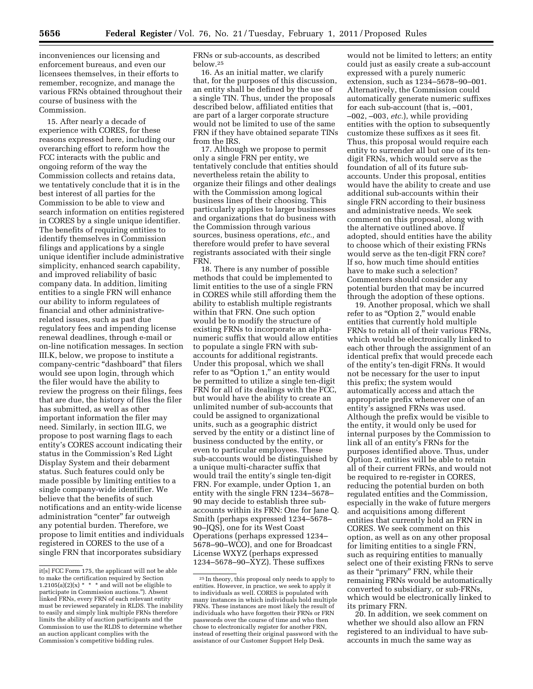inconveniences our licensing and enforcement bureaus, and even our licensees themselves, in their efforts to remember, recognize, and manage the various FRNs obtained throughout their course of business with the Commission.

15. After nearly a decade of experience with CORES, for these reasons expressed here, including our overarching effort to reform how the FCC interacts with the public and ongoing reform of the way the Commission collects and retains data, we tentatively conclude that it is in the best interest of all parties for the Commission to be able to view and search information on entities registered in CORES by a single unique identifier. The benefits of requiring entities to identify themselves in Commission filings and applications by a single unique identifier include administrative simplicity, enhanced search capability, and improved reliability of basic company data. In addition, limiting entities to a single FRN will enhance our ability to inform regulatees of financial and other administrativerelated issues, such as past due regulatory fees and impending license renewal deadlines, through e-mail or on-line notification messages. In section III.K, below, we propose to institute a company-centric "dashboard" that filers would see upon login, through which the filer would have the ability to review the progress on their filings, fees that are due, the history of files the filer has submitted, as well as other important information the filer may need. Similarly, in section III.G, we propose to post warning flags to each entity's CORES account indicating their status in the Commission's Red Light Display System and their debarment status. Such features could only be made possible by limiting entities to a single company-wide identifier. We believe that the benefits of such notifications and an entity-wide license administration "center" far outweigh any potential burden. Therefore, we propose to limit entities and individuals registered in CORES to the use of a single FRN that incorporates subsidiary

FRNs or sub-accounts, as described below.25

16. As an initial matter, we clarify that, for the purposes of this discussion, an entity shall be defined by the use of a single TIN. Thus, under the proposals described below, affiliated entities that are part of a larger corporate structure would not be limited to use of the same FRN if they have obtained separate TINs from the IRS.

17. Although we propose to permit only a single FRN per entity, we tentatively conclude that entities should nevertheless retain the ability to organize their filings and other dealings with the Commission among logical business lines of their choosing. This particularly applies to larger businesses and organizations that do business with the Commission through various sources, business operations, *etc.,* and therefore would prefer to have several registrants associated with their single FRN.

18. There is any number of possible methods that could be implemented to limit entities to the use of a single FRN in CORES while still affording them the ability to establish multiple registrants within that FRN. One such option would be to modify the structure of existing FRNs to incorporate an alphanumeric suffix that would allow entities to populate a single FRN with subaccounts for additional registrants. Under this proposal, which we shall refer to as "Option 1," an entity would be permitted to utilize a single ten-digit FRN for all of its dealings with the FCC, but would have the ability to create an unlimited number of sub-accounts that could be assigned to organizational units, such as a geographic district served by the entity or a distinct line of business conducted by the entity, or even to particular employees. These sub-accounts would be distinguished by a unique multi-character suffix that would trail the entity's single ten-digit FRN. For example, under Option 1, an entity with the single FRN 1234–5678– 90 may decide to establish three subaccounts within its FRN: One for Jane Q. Smith (perhaps expressed 1234–5678– 90–JQS), one for its West Coast Operations (perhaps expressed 1234– 5678–90–WCO), and one for Broadcast License WXYZ (perhaps expressed 1234–5678–90–XYZ). These suffixes

would not be limited to letters; an entity could just as easily create a sub-account expressed with a purely numeric extension, such as 1234–5678–90–001. Alternatively, the Commission could automatically generate numeric suffixes for each sub-account (that is, –001, –002, –003, *etc.*), while providing entities with the option to subsequently customize these suffixes as it sees fit. Thus, this proposal would require each entity to surrender all but one of its tendigit FRNs, which would serve as the foundation of all of its future subaccounts. Under this proposal, entities would have the ability to create and use additional sub-accounts within their single FRN according to their business and administrative needs. We seek comment on this proposal, along with the alternative outlined above. If adopted, should entities have the ability to choose which of their existing FRNs would serve as the ten-digit FRN core? If so, how much time should entities have to make such a selection? Commenters should consider any potential burden that may be incurred through the adoption of these options.

19. Another proposal, which we shall refer to as "Option 2," would enable entities that currently hold multiple FRNs to retain all of their various FRNs, which would be electronically linked to each other through the assignment of an identical prefix that would precede each of the entity's ten-digit FRNs. It would not be necessary for the user to input this prefix; the system would automatically access and attach the appropriate prefix whenever one of an entity's assigned FRNs was used. Although the prefix would be visible to the entity, it would only be used for internal purposes by the Commission to link all of an entity's FRNs for the purposes identified above. Thus, under Option 2, entities will be able to retain all of their current FRNs, and would not be required to re-register in CORES, reducing the potential burden on both regulated entities and the Commission, especially in the wake of future mergers and acquisitions among different entities that currently hold an FRN in CORES. We seek comment on this option, as well as on any other proposal for limiting entities to a single FRN, such as requiring entities to manually select one of their existing FRNs to serve as their "primary" FRN, while their remaining FRNs would be automatically converted to subsidiary, or sub-FRNs, which would be electronically linked to its primary FRN.

20. In addition, we seek comment on whether we should also allow an FRN registered to an individual to have subaccounts in much the same way as

it[s] FCC Form 175, the applicant will not be able to make the certification required by Section 1.2105(a)(2)(x)  $*$  \* \* and will not be eligible to participate in Commission auctions.''). Absent linked FRNs, every FRN of each relevant entity must be reviewed separately in RLDS. The inability to easily and simply link multiple FRNs therefore limits the ability of auction participants and the Commission to use the RLDS to determine whether an auction applicant complies with the Commission's competitive bidding rules.

<sup>25</sup> In theory, this proposal only needs to apply to entities. However, in practice, we seek to apply it to individuals as well. CORES is populated with many instances in which individuals hold multiple FRNs. These instances are most likely the result of individuals who have forgotten their FRNs or FRN passwords over the course of time and who then chose to electronically register for another FRN, instead of resetting their original password with the assistance of our Customer Support Help Desk.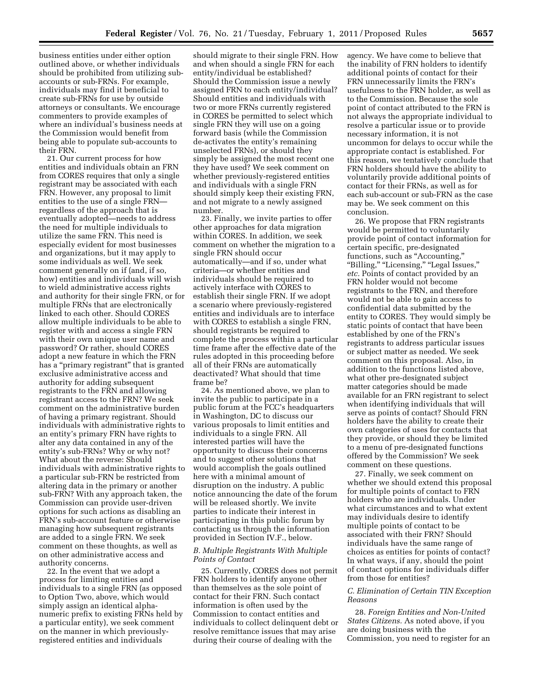business entities under either option outlined above, or whether individuals should be prohibited from utilizing subaccounts or sub-FRNs. For example, individuals may find it beneficial to create sub-FRNs for use by outside attorneys or consultants. We encourage commenters to provide examples of where an individual's business needs at the Commission would benefit from being able to populate sub-accounts to their FRN.

21. Our current process for how entities and individuals obtain an FRN from CORES requires that only a single registrant may be associated with each FRN. However, any proposal to limit entities to the use of a single FRN regardless of the approach that is eventually adopted—needs to address the need for multiple individuals to utilize the same FRN. This need is especially evident for most businesses and organizations, but it may apply to some individuals as well. We seek comment generally on if (and, if so, how) entities and individuals will wish to wield administrative access rights and authority for their single FRN, or for multiple FRNs that are electronically linked to each other. Should CORES allow multiple individuals to be able to register with and access a single FRN with their own unique user name and password? Or rather, should CORES adopt a new feature in which the FRN has a ''primary registrant'' that is granted exclusive administrative access and authority for adding subsequent registrants to the FRN and allowing registrant access to the FRN? We seek comment on the administrative burden of having a primary registrant. Should individuals with administrative rights to an entity's primary FRN have rights to alter any data contained in any of the entity's sub-FRNs? Why or why not? What about the reverse: Should individuals with administrative rights to a particular sub-FRN be restricted from altering data in the primary or another sub-FRN? With any approach taken, the Commission can provide user-driven options for such actions as disabling an FRN's sub-account feature or otherwise managing how subsequent registrants are added to a single FRN. We seek comment on these thoughts, as well as on other administrative access and authority concerns.

22. In the event that we adopt a process for limiting entities and individuals to a single FRN (as opposed to Option Two, above, which would simply assign an identical alphanumeric prefix to existing FRNs held by a particular entity), we seek comment on the manner in which previouslyregistered entities and individuals

should migrate to their single FRN. How and when should a single FRN for each entity/individual be established? Should the Commission issue a newly assigned FRN to each entity/individual? Should entities and individuals with two or more FRNs currently registered in CORES be permitted to select which single FRN they will use on a going forward basis (while the Commission de-activates the entity's remaining unselected FRNs), or should they simply be assigned the most recent one they have used? We seek comment on whether previously-registered entities and individuals with a single FRN should simply keep their existing FRN, and not migrate to a newly assigned number.

23. Finally, we invite parties to offer other approaches for data migration within CORES. In addition, we seek comment on whether the migration to a single FRN should occur automatically—and if so, under what criteria—or whether entities and individuals should be required to actively interface with CORES to establish their single FRN. If we adopt a scenario where previously-registered entities and individuals are to interface with CORES to establish a single FRN, should registrants be required to complete the process within a particular time frame after the effective date of the rules adopted in this proceeding before all of their FRNs are automatically deactivated? What should that time frame be?

24. As mentioned above, we plan to invite the public to participate in a public forum at the FCC's headquarters in Washington, DC to discuss our various proposals to limit entities and individuals to a single FRN. All interested parties will have the opportunity to discuss their concerns and to suggest other solutions that would accomplish the goals outlined here with a minimal amount of disruption on the industry. A public notice announcing the date of the forum will be released shortly. We invite parties to indicate their interest in participating in this public forum by contacting us through the information provided in Section IV.F., below.

# *B. Multiple Registrants With Multiple Points of Contact*

25. Currently, CORES does not permit FRN holders to identify anyone other than themselves as the sole point of contact for their FRN. Such contact information is often used by the Commission to contact entities and individuals to collect delinquent debt or resolve remittance issues that may arise during their course of dealing with the

agency. We have come to believe that the inability of FRN holders to identify additional points of contact for their FRN unnecessarily limits the FRN's usefulness to the FRN holder, as well as to the Commission. Because the sole point of contact attributed to the FRN is not always the appropriate individual to resolve a particular issue or to provide necessary information, it is not uncommon for delays to occur while the appropriate contact is established. For this reason, we tentatively conclude that FRN holders should have the ability to voluntarily provide additional points of contact for their FRNs, as well as for each sub-account or sub-FRN as the case may be. We seek comment on this conclusion.

26. We propose that FRN registrants would be permitted to voluntarily provide point of contact information for certain specific, pre-designated functions, such as "Accounting," ''Billing,'' ''Licensing,'' ''Legal Issues,'' *etc.* Points of contact provided by an FRN holder would not become registrants to the FRN, and therefore would not be able to gain access to confidential data submitted by the entity to CORES. They would simply be static points of contact that have been established by one of the FRN's registrants to address particular issues or subject matter as needed. We seek comment on this proposal. Also, in addition to the functions listed above, what other pre-designated subject matter categories should be made available for an FRN registrant to select when identifying individuals that will serve as points of contact? Should FRN holders have the ability to create their own categories of uses for contacts that they provide, or should they be limited to a menu of pre-designated functions offered by the Commission? We seek comment on these questions.

27. Finally, we seek comment on whether we should extend this proposal for multiple points of contact to FRN holders who are individuals. Under what circumstances and to what extent may individuals desire to identify multiple points of contact to be associated with their FRN? Should individuals have the same range of choices as entities for points of contact? In what ways, if any, should the point of contact options for individuals differ from those for entities?

# *C. Elimination of Certain TIN Exception Reasons*

28. *Foreign Entities and Non-United States Citizens.* As noted above, if you are doing business with the Commission, you need to register for an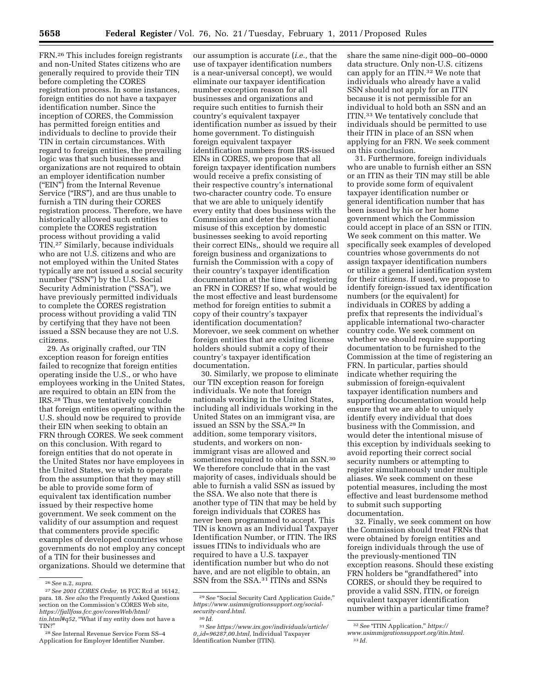FRN.26 This includes foreign registrants and non-United States citizens who are generally required to provide their TIN before completing the CORES registration process. In some instances, foreign entities do not have a taxpayer identification number. Since the inception of CORES, the Commission has permitted foreign entities and individuals to decline to provide their TIN in certain circumstances. With regard to foreign entities, the prevailing logic was that such businesses and organizations are not required to obtain an employer identification number (''EIN'') from the Internal Revenue Service ("IRS"), and are thus unable to furnish a TIN during their CORES registration process. Therefore, we have historically allowed such entities to complete the CORES registration process without providing a valid TIN.27 Similarly, because individuals who are not U.S. citizens and who are not employed within the United States typically are not issued a social security number ("SSN") by the U.S. Social Security Administration ("SSA"), we have previously permitted individuals to complete the CORES registration process without providing a valid TIN by certifying that they have not been issued a SSN because they are not U.S. citizens.

29. As originally crafted, our TIN exception reason for foreign entities failed to recognize that foreign entities operating inside the U.S., or who have employees working in the United States, are required to obtain an EIN from the IRS.28 Thus, we tentatively conclude that foreign entities operating within the U.S. should now be required to provide their EIN when seeking to obtain an FRN through CORES. We seek comment on this conclusion. With regard to foreign entities that do not operate in the United States nor have employees in the United States, we wish to operate from the assumption that they may still be able to provide some form of equivalent tax identification number issued by their respective home government. We seek comment on the validity of our assumption and request that commenters provide specific examples of developed countries whose governments do not employ any concept of a TIN for their businesses and organizations. Should we determine that our assumption is accurate (*i.e.,* that the use of taxpayer identification numbers is a near-universal concept), we would eliminate our taxpayer identification number exception reason for all businesses and organizations and require such entities to furnish their country's equivalent taxpayer identification number as issued by their home government. To distinguish foreign equivalent taxpayer identification numbers from IRS-issued EINs in CORES, we propose that all foreign taxpayer identification numbers would receive a prefix consisting of their respective country's international two-character country code. To ensure that we are able to uniquely identify every entity that does business with the Commission and deter the intentional misuse of this exception by domestic businesses seeking to avoid reporting their correct EINs,, should we require all foreign business and organizations to furnish the Commission with a copy of their country's taxpayer identification documentation at the time of registering an FRN in CORES? If so, what would be the most effective and least burdensome method for foreign entities to submit a copy of their country's taxpayer identification documentation? Morevoer, we seek comment on whether foreign entities that are existing license holders should submit a copy of their country's taxpayer identification documentation.

30. Similarly, we propose to eliminate our TIN exception reason for foreign individuals. We note that foreign nationals working in the United States, including all individuals working in the United States on an immigrant visa, are issued an SSN by the SSA.29 In addition, some temporary visitors, students, and workers on nonimmigrant visas are allowed and sometimes required to obtain an SSN.30 We therefore conclude that in the vast majority of cases, individuals should be able to furnish a valid SSN as issued by the SSA. We also note that there is another type of TIN that may be held by foreign individuals that CORES has never been programmed to accept. This TIN is known as an Individual Taxpayer Identification Number, or ITIN. The IRS issues ITINs to individuals who are required to have a U.S. taxpayer identification number but who do not have, and are not eligible to obtain, an SSN from the SSA.31 ITINs and SSNs

share the same nine-digit 000–00–0000 data structure. Only non-U.S. citizens can apply for an ITIN.32 We note that individuals who already have a valid SSN should not apply for an ITIN because it is not permissible for an individual to hold both an SSN and an ITIN.33 We tentatively conclude that individuals should be permitted to use their ITIN in place of an SSN when applying for an FRN. We seek comment on this conclusion.

31. Furthermore, foreign individuals who are unable to furnish either an SSN or an ITIN as their TIN may still be able to provide some form of equivalent taxpayer identification number or general identification number that has been issued by his or her home government which the Commission could accept in place of an SSN or ITIN. We seek comment on this matter. We specifically seek examples of developed countries whose governments do not assign taxpayer identification numbers or utilize a general identification system for their citizens. If used, we propose to identify foreign-issued tax identification numbers (or the equivalent) for individuals in CORES by adding a prefix that represents the individual's applicable international two-character country code. We seek comment on whether we should require supporting documentation to be furnished to the Commission at the time of registering an FRN. In particular, parties should indicate whether requiring the submission of foreign-equivalent taxpayer identification numbers and supporting documentation would help ensure that we are able to uniquely identify every individual that does business with the Commission, and would deter the intentional misuse of this exception by individuals seeking to avoid reporting their correct social security numbers or attempting to register simultaneously under multiple aliases. We seek comment on these potential measures, including the most effective and least burdensome method to submit such supporting documentation.

32. Finally, we seek comment on how the Commission should treat FRNs that were obtained by foreign entities and foreign individuals through the use of the previously-mentioned TIN exception reasons. Should these existing FRN holders be "grandfathered" into CORES, or should they be required to provide a valid SSN, ITIN, or foreign equivalent taxpayer identification number within a particular time frame?

<sup>26</sup>*See* n.2, *supra.* 

<sup>27</sup>*See 2001 CORES Order,* 16 FCC Rcd at 16142, para. 18. *See also* the Frequently Asked Questions section on the Commission's CORES Web site, *[https://fjallfoss.fcc.gov/coresWeb/html/](https://fjallfoss.fcc.gov/coresWeb/html/tin.html#q52)  [tin.html#q52](https://fjallfoss.fcc.gov/coresWeb/html/tin.html#q52)*, ''What if my entity does not have a TIN?''

<sup>28</sup>*See* Internal Revenue Service Form SS–4 Application for Employer Identifier Number.

<sup>&</sup>lt;sup>29</sup> See "Social Security Card Application Guide," *[https://www.usimmigrationsupport.org/social](https://www.usimmigrationsupport.org/social-security-card.html)[security-card.html.](https://www.usimmigrationsupport.org/social-security-card.html)* 

<sup>30</sup> *Id.* 

<sup>31</sup>*[See https://www.irs.gov/individuals/article/](http://www.irs.gov/businesses/small/article/0,,id=96287.00.html?portlet=4)  0,,id=96287,00.html*, Individual Taxpayer Identification Number (ITIN).

<sup>32</sup>*See* ''ITIN Application,'' *[https://](https://www.usimmigrationsupport.org/itin.html)* 

*[www.usimmigrationsupport.org/itin.html.](https://www.usimmigrationsupport.org/itin.html)* 

<sup>33</sup> *Id.*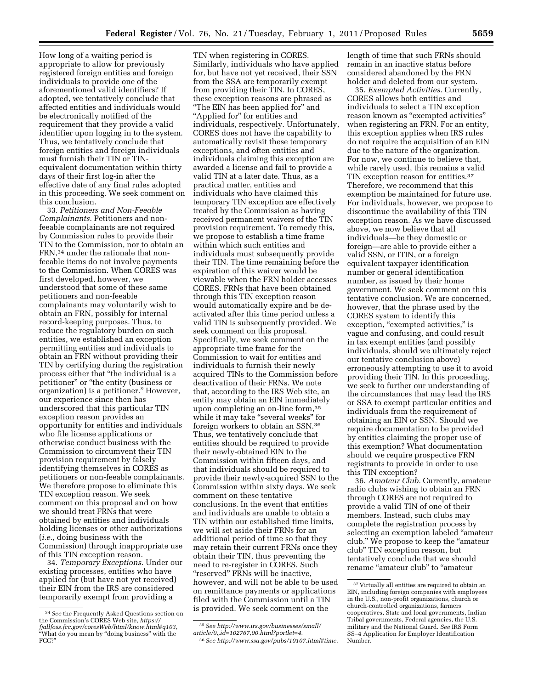How long of a waiting period is appropriate to allow for previously registered foreign entities and foreign individuals to provide one of the aforementioned valid identifiers? If adopted, we tentatively conclude that affected entities and individuals would be electronically notified of the requirement that they provide a valid identifier upon logging in to the system. Thus, we tentatively conclude that foreign entities and foreign individuals must furnish their TIN or TINequivalent documentation within thirty days of their first log-in after the effective date of any final rules adopted in this proceeding. We seek comment on this conclusion.

33. *Petitioners and Non-Feeable Complainants.* Petitioners and nonfeeable complainants are not required by Commission rules to provide their TIN to the Commission, nor to obtain an FRN,34 under the rationale that nonfeeable items do not involve payments to the Commission. When CORES was first developed, however, we understood that some of these same petitioners and non-feeable complainants may voluntarily wish to obtain an FRN, possibly for internal record-keeping purposes. Thus, to reduce the regulatory burden on such entities, we established an exception permitting entities and individuals to obtain an FRN without providing their TIN by certifying during the registration process either that ''the individual is a petitioner'' or ''the entity (business or organization) is a petitioner.'' However, our experience since then has underscored that this particular TIN exception reason provides an opportunity for entities and individuals who file license applications or otherwise conduct business with the Commission to circumvent their TIN provision requirement by falsely identifying themselves in CORES as petitioners or non-feeable complainants. We therefore propose to eliminate this TIN exception reason. We seek comment on this proposal and on how we should treat FRNs that were obtained by entities and individuals holding licenses or other authorizations (*i.e.,* doing business with the Commission) through inappropriate use of this TIN exception reason.

34. *Temporary Exceptions.* Under our existing processes, entities who have applied for (but have not yet received) their EIN from the IRS are considered temporarily exempt from providing a

TIN when registering in CORES. Similarly, individuals who have applied for, but have not yet received, their SSN from the SSA are temporarily exempt from providing their TIN. In CORES, these exception reasons are phrased as ''The EIN has been applied for'' and "Applied for" for entities and individuals, respectively. Unfortunately, CORES does not have the capability to automatically revisit these temporary exceptions, and often entities and individuals claiming this exception are awarded a license and fail to provide a valid TIN at a later date. Thus, as a practical matter, entities and individuals who have claimed this temporary TIN exception are effectively treated by the Commission as having received permanent waivers of the TIN provision requirement. To remedy this, we propose to establish a time frame within which such entities and individuals must subsequently provide their TIN. The time remaining before the expiration of this waiver would be viewable when the FRN holder accesses CORES. FRNs that have been obtained through this TIN exception reason would automatically expire and be deactivated after this time period unless a valid TIN is subsequently provided. We seek comment on this proposal. Specifically, we seek comment on the appropriate time frame for the Commission to wait for entities and individuals to furnish their newly acquired TINs to the Commission before deactivation of their FRNs. We note that, according to the IRS Web site, an entity may obtain an EIN immediately upon completing an on-line form,35 while it may take "several weeks" for foreign workers to obtain an SSN.36 Thus, we tentatively conclude that entities should be required to provide their newly-obtained EIN to the Commission within fifteen days, and that individuals should be required to provide their newly-acquired SSN to the Commission within sixty days. We seek comment on these tentative conclusions. In the event that entities and individuals are unable to obtain a TIN within our established time limits, we will set aside their FRNs for an additional period of time so that they may retain their current FRNs once they obtain their TIN, thus preventing the need to re-register in CORES. Such "reserved" FRNs will be inactive, however, and will not be able to be used on remittance payments or applications filed with the Commission until a TIN is provided. We seek comment on the

length of time that such FRNs should remain in an inactive status before considered abandoned by the FRN holder and deleted from our system.

35. *Exempted Activities.* Currently, CORES allows both entities and individuals to select a TIN exception reason known as "exempted activities" when registering an FRN. For an entity, this exception applies when IRS rules do not require the acquisition of an EIN due to the nature of the organization. For now, we continue to believe that, while rarely used, this remains a valid TIN exception reason for entities.37 Therefore, we recommend that this exemption be maintained for future use. For individuals, however, we propose to discontinue the availability of this TIN exception reason. As we have discussed above, we now believe that all individuals—be they domestic or foreign—are able to provide either a valid SSN, or ITIN, or a foreign equivalent taxpayer identification number or general identification number, as issued by their home government. We seek comment on this tentative conclusion. We are concerned, however, that the phrase used by the CORES system to identify this exception, "exempted activities," is vague and confusing, and could result in tax exempt entities (and possibly individuals, should we ultimately reject our tentative conclusion above) erroneously attempting to use it to avoid providing their TIN. In this proceeding, we seek to further our understanding of the circumstances that may lead the IRS or SSA to exempt particular entities and individuals from the requirement of obtaining an EIN or SSN. Should we require documentation to be provided by entities claiming the proper use of this exemption? What documentation should we require prospective FRN registrants to provide in order to use this TIN exception?

36. *Amateur Club.* Currently, amateur radio clubs wishing to obtain an FRN through CORES are not required to provide a valid TIN of one of their members. Instead, such clubs may complete the registration process by selecting an exemption labeled ''amateur club.'' We propose to keep the ''amateur club'' TIN exception reason, but tentatively conclude that we should rename ''amateur club'' to ''amateur

<sup>34</sup>*See* the Frequently Asked Questions section on the Commission's CORES Web site, *[https://](https://fjallfoss.fcc.gov/coresWeb/html/know.html#q103)  [fjallfoss.fcc.gov/coresWeb/html/know.html#q103](https://fjallfoss.fcc.gov/coresWeb/html/know.html#q103)*, ''What do you mean by ''doing business'' with the FCC?''

<sup>35</sup>*[See http://www.irs.gov/businesses/small/](http://www.irs.gov/businesses/small/article/0,,id=102767.00.html?portlet=4)  article/0,,id=102767,00.html?portlet=4*. 36*See [http://www.ssa.gov/pubs/10107.html#time.](http://www.ssa.gov/pubs/10107.html#time)* 

<sup>&</sup>lt;sup>37</sup> Virtually all entities are required to obtain an EIN, including foreign companies with employees in the U.S., non-profit organizations, church or church-controlled organizations, farmers cooperatives, State and local governments, Indian Tribal governments, Federal agencies, the U.S. military and the National Guard. *See* IRS Form SS–4 Application for Employer Identification Number.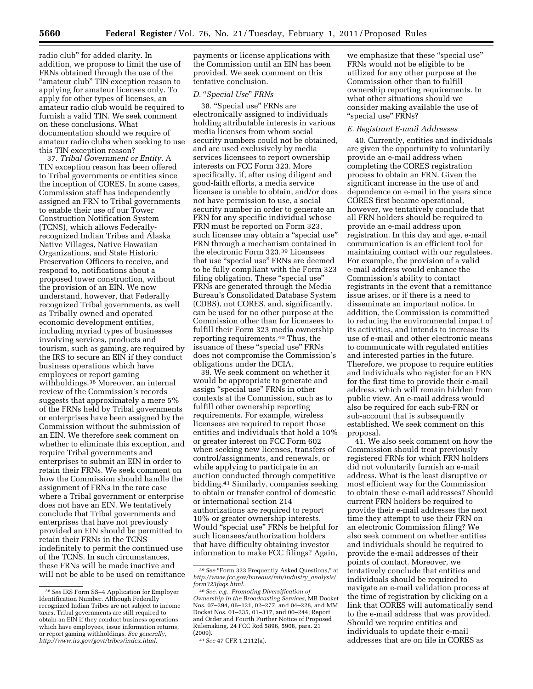radio club'' for added clarity. In addition, we propose to limit the use of FRNs obtained through the use of the "amateur club" TIN exception reason to applying for amateur licenses only. To apply for other types of licenses, an amateur radio club would be required to furnish a valid TIN. We seek comment on these conclusions. What documentation should we require of amateur radio clubs when seeking to use this TIN exception reason?

37. *Tribal Government or Entity.* A TIN exception reason has been offered to Tribal governments or entities since the inception of CORES. In some cases, Commission staff has independently assigned an FRN to Tribal governments to enable their use of our Tower Construction Notification System (TCNS), which allows Federallyrecognized Indian Tribes and Alaska Native Villages, Native Hawaiian Organizations, and State Historic Preservation Officers to receive, and respond to, notifications about a proposed tower construction, without the provision of an EIN. We now understand, however, that Federally recognized Tribal governments, as well as Tribally owned and operated economic development entities, including myriad types of businesses involving services, products and tourism, such as gaming, are required by the IRS to secure an EIN if they conduct business operations which have employees or report gaming withholdings.38 Moreover, an internal review of the Commission's records suggests that approximately a mere 5% of the FRNs held by Tribal governments or enterprises have been assigned by the Commission without the submission of an EIN. We therefore seek comment on whether to eliminate this exception, and require Tribal governments and enterprises to submit an EIN in order to retain their FRNs. We seek comment on how the Commission should handle the assignment of FRNs in the rare case where a Tribal government or enterprise does not have an EIN. We tentatively conclude that Tribal governments and enterprises that have not previously provided an EIN should be permitted to retain their FRNs in the TCNS indefinitely to permit the continued use of the TCNS. In such circumstances, these FRNs will be made inactive and will not be able to be used on remittance payments or license applications with the Commission until an EIN has been provided. We seek comment on this tentative conclusion.

# *D.* ''*Special Use*'' *FRNs*

38. ''Special use'' FRNs are electronically assigned to individuals holding attributable interests in various media licenses from whom social security numbers could not be obtained, and are used exclusively by media services licensees to report ownership interests on FCC Form 323. More specifically, if, after using diligent and good-faith efforts, a media service licensee is unable to obtain, and/or does not have permission to use, a social security number in order to generate an FRN for any specific individual whose FRN must be reported on Form 323, such licensee may obtain a "special use" FRN through a mechanism contained in the electronic Form 323.39 Licensees that use "special use" FRNs are deemed to be fully compliant with the Form 323 filing obligation. These "special use" FRNs are generated through the Media Bureau's Consolidated Database System (CDBS), not CORES, and, significantly, can be used for no other purpose at the Commission other than for licensees to fulfill their Form 323 media ownership reporting requirements.40 Thus, the issuance of these "special use" FRNs does not compromise the Commission's obligations under the DCIA.

39. We seek comment on whether it would be appropriate to generate and assign ''special use'' FRNs in other contexts at the Commission, such as to fulfill other ownership reporting requirements. For example, wireless licensees are required to report those entities and individuals that hold a 10% or greater interest on FCC Form 602 when seeking new licenses, transfers of control/assignments, and renewals, or while applying to participate in an auction conducted through competitive bidding.41 Similarly, companies seeking to obtain or transfer control of domestic or international section 214 authorizations are required to report 10% or greater ownership interests. Would ''special use'' FRNs be helpful for such licensees/authorization holders that have difficulty obtaining investor information to make FCC filings? Again,

we emphasize that these ''special use'' FRNs would not be eligible to be utilized for any other purpose at the Commission other than to fulfill ownership reporting requirements. In what other situations should we consider making available the use of ''special use'' FRNs?

# *E. Registrant E-mail Addresses*

40. Currently, entities and individuals are given the opportunity to voluntarily provide an e-mail address when completing the CORES registration process to obtain an FRN. Given the significant increase in the use of and dependence on e-mail in the years since CORES first became operational, however, we tentatively conclude that all FRN holders should be required to provide an e-mail address upon registration. In this day and age, e-mail communication is an efficient tool for maintaining contact with our regulatees. For example, the provision of a valid e-mail address would enhance the Commission's ability to contact registrants in the event that a remittance issue arises, or if there is a need to disseminate an important notice. In addition, the Commission is committed to reducing the environmental impact of its activities, and intends to increase its use of e-mail and other electronic means to communicate with regulated entities and interested parties in the future. Therefore, we propose to require entities and individuals who register for an FRN for the first time to provide their e-mail address, which will remain hidden from public view. An e-mail address would also be required for each sub-FRN or sub-account that is subsequently established. We seek comment on this proposal.

41. We also seek comment on how the Commission should treat previously registered FRNs for which FRN holders did not voluntarily furnish an e-mail address. What is the least disruptive or most efficient way for the Commission to obtain these e-mail addresses? Should current FRN holders be required to provide their e-mail addresses the next time they attempt to use their FRN on an electronic Commission filing? We also seek comment on whether entities and individuals should be required to provide the e-mail addresses of their points of contact. Moreover, we tentatively conclude that entities and individuals should be required to navigate an e-mail validation process at the time of registration by clicking on a link that CORES will automatically send to the e-mail address that was provided. Should we require entities and individuals to update their e-mail addresses that are on file in CORES as

<sup>38</sup>*See* IRS Form SS–4 Application for Employer Identification Number. Although Federally recognized Indian Tribes are not subject to income taxes, Tribal governments are still required to obtain an EIN if they conduct business operations which have employees, issue information returns, or report gaming withholdings. *See generally, <http://www.irs.gov/govt/tribes/index.html>*.

 $^{39}\,See$  "Form 323 Frequently Asked Questions," at *[http://www.fcc.gov/bureaus/mb/industry](http://www.fcc.gov/bureaus/mb/industry_analysis/form323faqs.html)*\_*analysis/ [form323faqs.html.](http://www.fcc.gov/bureaus/mb/industry_analysis/form323faqs.html)* 

<sup>40</sup>*See, e.g., Promoting Diversification of Ownership in the Broadcasting Services,* MB Docket Nos. 07–294, 06–121, 02–277, and 04–228, and MM Docket Nos. 01–235, 01–317, and 00–244, Report and Order and Fourth Further Notice of Proposed Rulemaking, 24 FCC Rcd 5896, 5908, para. 21 (2009).

<sup>41</sup>*See* 47 CFR 1.2112(a).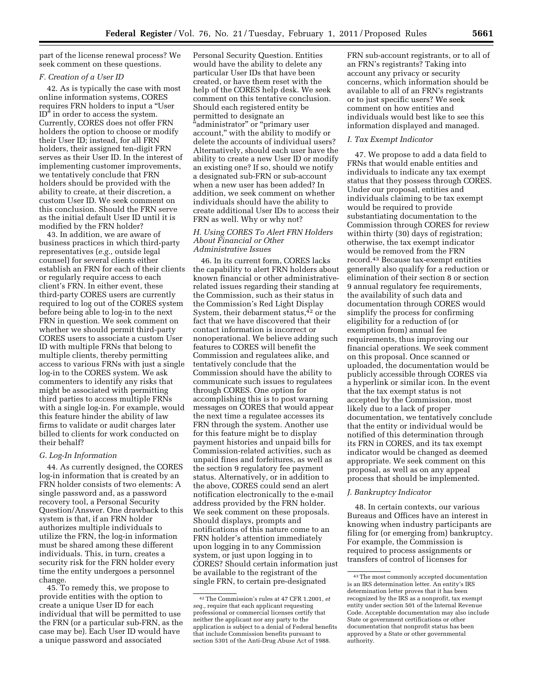part of the license renewal process? We seek comment on these questions.

# *F. Creation of a User ID*

42. As is typically the case with most online information systems, CORES requires FRN holders to input a ''User ID<sup>"</sup> in order to access the system. Currently, CORES does not offer FRN holders the option to choose or modify their User ID; instead, for all FRN holders, their assigned ten-digit FRN serves as their User ID. In the interest of implementing customer improvements, we tentatively conclude that FRN holders should be provided with the ability to create, at their discretion, a custom User ID. We seek comment on this conclusion. Should the FRN serve as the initial default User ID until it is modified by the FRN holder?

43. In addition, we are aware of business practices in which third-party representatives (*e.g.,* outside legal counsel) for several clients either establish an FRN for each of their clients or regularly require access to each client's FRN. In either event, these third-party CORES users are currently required to log out of the CORES system before being able to log-in to the next FRN in question. We seek comment on whether we should permit third-party CORES users to associate a custom User ID with multiple FRNs that belong to multiple clients, thereby permitting access to various FRNs with just a single log-in to the CORES system. We ask commenters to identify any risks that might be associated with permitting third parties to access multiple FRNs with a single log-in. For example, would this feature hinder the ability of law firms to validate or audit charges later billed to clients for work conducted on their behalf?

# *G. Log-In Information*

44. As currently designed, the CORES log-in information that is created by an FRN holder consists of two elements: A single password and, as a password recovery tool, a Personal Security Question/Answer. One drawback to this system is that, if an FRN holder authorizes multiple individuals to utilize the FRN, the log-in information must be shared among these different individuals. This, in turn, creates a security risk for the FRN holder every time the entity undergoes a personnel change.

45. To remedy this, we propose to provide entities with the option to create a unique User ID for each individual that will be permitted to use the FRN (or a particular sub-FRN, as the case may be). Each User ID would have a unique password and associated

Personal Security Question. Entities would have the ability to delete any particular User IDs that have been created, or have them reset with the help of the CORES help desk. We seek comment on this tentative conclusion. Should each registered entity be permitted to designate an "administrator" or "primary user account,'' with the ability to modify or delete the accounts of individual users? Alternatively, should each user have the ability to create a new User ID or modify an existing one? If so, should we notify a designated sub-FRN or sub-account when a new user has been added? In addition, we seek comment on whether individuals should have the ability to create additional User IDs to access their FRN as well. Why or why not?

# *H. Using CORES To Alert FRN Holders About Financial or Other Administrative Issues*

46. In its current form, CORES lacks the capability to alert FRN holders about known financial or other administrativerelated issues regarding their standing at the Commission, such as their status in the Commission's Red Light Display System, their debarment status,<sup>42</sup> or the fact that we have discovered that their contact information is incorrect or nonoperational. We believe adding such features to CORES will benefit the Commission and regulatees alike, and tentatively conclude that the Commission should have the ability to communicate such issues to regulatees through CORES. One option for accomplishing this is to post warning messages on CORES that would appear the next time a regulatee accesses its FRN through the system. Another use for this feature might be to display payment histories and unpaid bills for Commission-related activities, such as unpaid fines and forfeitures, as well as the section 9 regulatory fee payment status. Alternatively, or in addition to the above, CORES could send an alert notification electronically to the e-mail address provided by the FRN holder. We seek comment on these proposals. Should displays, prompts and notifications of this nature come to an FRN holder's attention immediately upon logging in to any Commission system, or just upon logging in to CORES? Should certain information just be available to the registrant of the single FRN, to certain pre-designated

FRN sub-account registrants, or to all of an FRN's registrants? Taking into account any privacy or security concerns, which information should be available to all of an FRN's registrants or to just specific users? We seek comment on how entities and individuals would best like to see this information displayed and managed.

# *I. Tax Exempt Indicator*

47. We propose to add a data field to FRNs that would enable entities and individuals to indicate any tax exempt status that they possess through CORES. Under our proposal, entities and individuals claiming to be tax exempt would be required to provide substantiating documentation to the Commission through CORES for review within thirty (30) days of registration; otherwise, the tax exempt indicator would be removed from the FRN record.43 Because tax-exempt entities generally also qualify for a reduction or elimination of their section 8 or section 9 annual regulatory fee requirements, the availability of such data and documentation through CORES would simplify the process for confirming eligibility for a reduction of (or exemption from) annual fee requirements, thus improving our financial operations. We seek comment on this proposal. Once scanned or uploaded, the documentation would be publicly accessible through CORES via a hyperlink or similar icon. In the event that the tax exempt status is not accepted by the Commission, most likely due to a lack of proper documentation, we tentatively conclude that the entity or individual would be notified of this determination through its FRN in CORES, and its tax exempt indicator would be changed as deemed appropriate. We seek comment on this proposal, as well as on any appeal process that should be implemented.

# *J. Bankruptcy Indicator*

48. In certain contexts, our various Bureaus and Offices have an interest in knowing when industry participants are filing for (or emerging from) bankruptcy. For example, the Commission is required to process assignments or transfers of control of licenses for

<sup>42</sup>The Commission's rules at 47 CFR 1.2001, *et seq.,* require that each applicant requesting professional or commercial licenses certify that neither the applicant nor any party to the application is subject to a denial of Federal benefits that include Commission benefits pursuant to section 5301 of the Anti-Drug Abuse Act of 1988.

<sup>43</sup>The most commonly accepted documentation is an IRS determination letter. An entity's IRS determination letter proves that it has been recognized by the IRS as a nonprofit, tax exempt entity under section 501 of the Internal Revenue Code. Acceptable documentation may also include State or government certifications or other documentation that nonprofit status has been approved by a State or other governmental authority.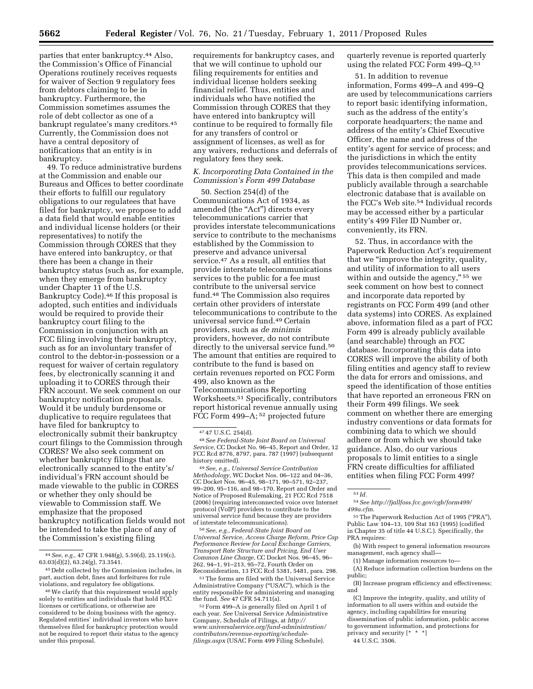parties that enter bankruptcy.44 Also, the Commission's Office of Financial Operations routinely receives requests for waiver of Section 9 regulatory fees from debtors claiming to be in bankruptcy. Furthermore, the Commission sometimes assumes the role of debt collector as one of a bankrupt regulatee's many creditors.45 Currently, the Commission does not have a central depository of notifications that an entity is in bankruptcy.

49. To reduce administrative burdens at the Commission and enable our Bureaus and Offices to better coordinate their efforts to fulfill our regulatory obligations to our regulatees that have filed for bankruptcy, we propose to add a data field that would enable entities and individual license holders (or their representatives) to notify the Commission through CORES that they have entered into bankruptcy, or that there has been a change in their bankruptcy status (such as, for example, when they emerge from bankruptcy under Chapter 11 of the U.S. Bankruptcy Code).46 If this proposal is adopted, such entities and individuals would be required to provide their bankruptcy court filing to the Commission in conjunction with an FCC filing involving their bankruptcy, such as for an involuntary transfer of control to the debtor-in-possession or a request for waiver of certain regulatory fees, by electronically scanning it and uploading it to CORES through their FRN account. We seek comment on our bankruptcy notification proposals. Would it be unduly burdensome or duplicative to require regulatees that have filed for bankruptcy to electronically submit their bankruptcy court filings to the Commission through CORES? We also seek comment on whether bankruptcy filings that are electronically scanned to the entity's/ individual's FRN account should be made viewable to the public in CORES or whether they only should be viewable to Commission staff. We emphasize that the proposed bankruptcy notification fields would not be intended to take the place of any of the Commission's existing filing

requirements for bankruptcy cases, and that we will continue to uphold our filing requirements for entities and individual license holders seeking financial relief. Thus, entities and individuals who have notified the Commission through CORES that they have entered into bankruptcy will continue to be required to formally file for any transfers of control or assignment of licenses, as well as for any waivers, reductions and deferrals of regulatory fees they seek.

# *K. Incorporating Data Contained in the Commission's Form 499 Database*

50. Section 254(d) of the Communications Act of 1934, as amended (the "Act") directs every telecommunications carrier that provides interstate telecommunications service to contribute to the mechanisms established by the Commission to preserve and advance universal service.47 As a result, all entities that provide interstate telecommunications services to the public for a fee must contribute to the universal service fund.48 The Commission also requires certain other providers of interstate telecommunications to contribute to the universal service fund.49 Certain providers, such as *de minimis*  providers, however, do not contribute directly to the universal service fund.<sup>50</sup> The amount that entities are required to contribute to the fund is based on certain revenues reported on FCC Form 499, also known as the Telecommunications Reporting Worksheets.51 Specifically, contributors report historical revenue annually using FCC Form 499–A; <sup>52</sup> projected future

50*See, e.g., Federal-State Joint Board on Universal Service, Access Charge Reform, Price Cap Performance Review for Local Exchange Carriers, Transport Rate Structure and Pricing, End User Common Line Charge,* CC Docket Nos. 96–45, 96– 262, 94–1, 91–213, 95–72, Fourth Order on Reconsideration, 13 FCC Rcd 5381, 5481, para. 298.

51The forms are filed with the Universal Service Administrative Company (''USAC''), which is the entity responsible for administering and managing<br>the fund. See  $47$  CFR 54.711(a).

52 Form 499–A is generally filed on April 1 of each year. *See* Universal Service Administrative Company, Schedule of Filings, at *[http://](http://www.universalservice.org/fund-administration/contributors/revenue-reporting/schedule-filings.aspx) [www.universalservice.org/fund-administration/](http://www.universalservice.org/fund-administration/contributors/revenue-reporting/schedule-filings.aspx)  [contributors/revenue-reporting/schedule](http://www.universalservice.org/fund-administration/contributors/revenue-reporting/schedule-filings.aspx)[filings.aspx](http://www.universalservice.org/fund-administration/contributors/revenue-reporting/schedule-filings.aspx)* (USAC Form 499 Filing Schedule).

quarterly revenue is reported quarterly using the related FCC Form 499–Q.53

51. In addition to revenue information, Forms 499–A and 499–Q are used by telecommunications carriers to report basic identifying information, such as the address of the entity's corporate headquarters; the name and address of the entity's Chief Executive Officer, the name and address of the entity's agent for service of process; and the jurisdictions in which the entity provides telecommunications services. This data is then compiled and made publicly available through a searchable electronic database that is available on the FCC's Web site.54 Individual records may be accessed either by a particular entity's 499 Filer ID Number or, conveniently, its FRN.

52. Thus, in accordance with the Paperwork Reduction Act's requirement that we ''improve the integrity, quality, and utility of information to all users within and outside the agency,"<sup>55</sup> we seek comment on how best to connect and incorporate data reported by registrants on FCC Form 499 (and other data systems) into CORES. As explained above, information filed as a part of FCC Form 499 is already publicly available (and searchable) through an FCC database. Incorporating this data into CORES will improve the ability of both filing entities and agency staff to review the data for errors and omissions, and speed the identification of those entities that have reported an erroneous FRN on their Form 499 filings. We seek comment on whether there are emerging industry conventions or data formats for combining data to which we should adhere or from which we should take guidance. Also, do our various proposals to limit entities to a single FRN create difficulties for affiliated entities when filing FCC Form 499?

54*See [http://fjallfoss.fcc.gov/cgb/form499/](http://fjallfoss.fcc.gov/cgb/form499/499a.cfm) [499a.cfm.](http://fjallfoss.fcc.gov/cgb/form499/499a.cfm)* 

<sup>55</sup>The Paperwork Reduction Act of 1995 ("PRA"), Public Law 104–13, 109 Stat 163 (1995) (codified in Chapter 35 of title 44 U.S.C.). Specifically, the PRA requires:

(b) With respect to general information resources management, each agency shall—

(1) Manage information resources to—

(A) Reduce information collection burdens on the public;

(B) Increase program efficiency and effectiveness; and

44 U.S.C. 3506.

<sup>44</sup>*See, e.g.,* 47 CFR 1.948(g), 5.59(d), 25.119(c), 63.03(d)(2), 63.24(g), 73.3541.

<sup>45</sup> Debt collected by the Commission includes, in part, auction debt, fines and forfeitures for rule violations, and regulatory fee obligations.

<sup>46</sup>We clarify that this requirement would apply solely to entities and individuals that hold FCC licenses or certifications, or otherwise are considered to be doing business with the agency. Regulated entities' individual investors who have themselves filed for bankruptcy protection would not be required to report their status to the agency under this proposal.

<sup>47</sup> 47 U.S.C. 254(d). 48*See Federal-State Joint Board on Universal Service,* CC Docket No. 96–45, Report and Order, 12 FCC Rcd 8776, 8797, para. 787 (1997) (subsequent history omitted).

history omitted). 49*See, e.g., Universal Service Contribution Methodology,* WC Docket Nos. 06–122 and 04–36, CC Docket Nos. 96–45, 98–171, 90–571, 92–237, 99–200, 95–116, and 98–170, Report and Order and Notice of Proposed Rulemaking, 21 FCC Rcd 7518 (2006) (requiring interconnected voice over Internet protocol (VoIP) providers to contribute to the universal service fund because they are providers of interstate telecommunications).

<sup>53</sup> *Id.* 

<sup>(</sup>C) Improve the integrity, quality, and utility of information to all users within and outside the agency, including capabilities for ensuring dissemination of public information, public access to government information, and protections for privacy and security [\*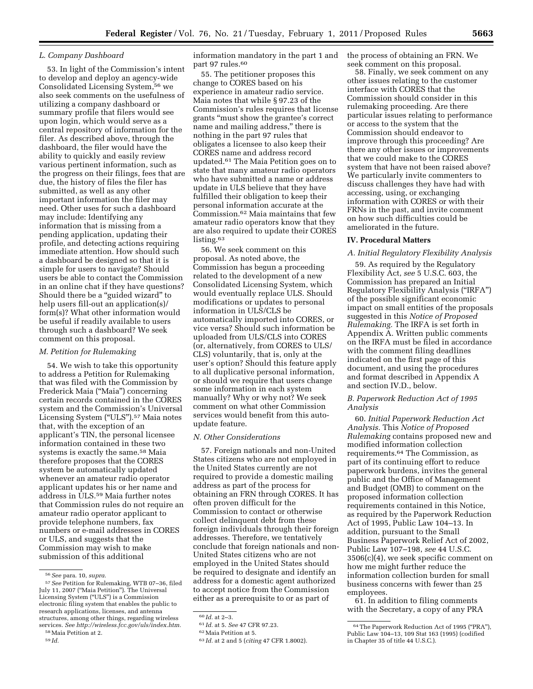# *L. Company Dashboard*

53. In light of the Commission's intent to develop and deploy an agency-wide Consolidated Licensing System,56 we also seek comments on the usefulness of utilizing a company dashboard or summary profile that filers would see upon login, which would serve as a central repository of information for the filer. As described above, through the dashboard, the filer would have the ability to quickly and easily review various pertinent information, such as the progress on their filings, fees that are due, the history of files the filer has submitted, as well as any other important information the filer may need. Other uses for such a dashboard may include: Identifying any information that is missing from a pending application, updating their profile, and detecting actions requiring immediate attention. How should such a dashboard be designed so that it is simple for users to navigate? Should users be able to contact the Commission in an online chat if they have questions? Should there be a ''guided wizard'' to help users fill-out an application(s)/ form(s)? What other information would be useful if readily available to users through such a dashboard? We seek comment on this proposal.

# *M. Petition for Rulemaking*

54. We wish to take this opportunity to address a Petition for Rulemaking that was filed with the Commission by Frederick Maia (''Maia'') concerning certain records contained in the CORES system and the Commission's Universal Licensing System ("ULS").<sup>57</sup> Maia notes that, with the exception of an applicant's TIN, the personal licensee information contained in these two systems is exactly the same.<sup>58</sup> Maia therefore proposes that the CORES system be automatically updated whenever an amateur radio operator applicant updates his or her name and address in ULS.59 Maia further notes that Commission rules do not require an amateur radio operator applicant to provide telephone numbers, fax numbers or e-mail addresses in CORES or ULS, and suggests that the Commission may wish to make submission of this additional

information mandatory in the part 1 and part 97 rules.<sup>60</sup>

55. The petitioner proposes this change to CORES based on his experience in amateur radio service. Maia notes that while § 97.23 of the Commission's rules requires that license grants ''must show the grantee's correct name and mailing address,'' there is nothing in the part 97 rules that obligates a licensee to also keep their CORES name and address record updated.61 The Maia Petition goes on to state that many amateur radio operators who have submitted a name or address update in ULS believe that they have fulfilled their obligation to keep their personal information accurate at the Commission.62 Maia maintains that few amateur radio operators know that they are also required to update their CORES listing.<sup>63</sup>

56. We seek comment on this proposal. As noted above, the Commission has begun a proceeding related to the development of a new Consolidated Licensing System, which would eventually replace ULS. Should modifications or updates to personal information in ULS/CLS be automatically imported into CORES, or vice versa? Should such information be uploaded from ULS/CLS into CORES (or, alternatively, from CORES to ULS/ CLS) voluntarily, that is, only at the user's option? Should this feature apply to all duplicative personal information, or should we require that users change some information in each system manually? Why or why not? We seek comment on what other Commission services would benefit from this autoupdate feature.

#### *N. Other Considerations*

57. Foreign nationals and non-United States citizens who are not employed in the United States currently are not required to provide a domestic mailing address as part of the process for obtaining an FRN through CORES. It has often proven difficult for the Commission to contact or otherwise collect delinquent debt from these foreign individuals through their foreign addresses. Therefore, we tentatively conclude that foreign nationals and non-United States citizens who are not employed in the United States should be required to designate and identify an address for a domestic agent authorized to accept notice from the Commission either as a prerequisite to or as part of

the process of obtaining an FRN. We seek comment on this proposal.

58. Finally, we seek comment on any other issues relating to the customer interface with CORES that the Commission should consider in this rulemaking proceeding. Are there particular issues relating to performance or access to the system that the Commission should endeavor to improve through this proceeding? Are there any other issues or improvements that we could make to the CORES system that have not been raised above? We particularly invite commenters to discuss challenges they have had with accessing, using, or exchanging information with CORES or with their FRNs in the past, and invite comment on how such difficulties could be ameliorated in the future.

#### **IV. Procedural Matters**

### *A. Initial Regulatory Flexibility Analysis*

59. As required by the Regulatory Flexibility Act, *see* 5 U.S.C. 603, the Commission has prepared an Initial Regulatory Flexibility Analysis (''IRFA'') of the possible significant economic impact on small entities of the proposals suggested in this *Notice of Proposed Rulemaking.* The IRFA is set forth in Appendix A. Written public comments on the IRFA must be filed in accordance with the comment filing deadlines indicated on the first page of this document, and using the procedures and format described in Appendix A and section IV.D., below.

# *B. Paperwork Reduction Act of 1995 Analysis*

60. *Initial Paperwork Reduction Act Analysis.* This *Notice of Proposed Rulemaking* contains proposed new and modified information collection requirements.64 The Commission, as part of its continuing effort to reduce paperwork burdens, invites the general public and the Office of Management and Budget (OMB) to comment on the proposed information collection requirements contained in this Notice, as required by the Paperwork Reduction Act of 1995, Public Law 104–13. In addition, pursuant to the Small Business Paperwork Relief Act of 2002, Public Law 107–198, *see* 44 U.S.C.  $3506(c)(4)$ , we seek specific comment on how me might further reduce the information collection burden for small business concerns with fewer than 25 employees.

61. In addition to filing comments with the Secretary, a copy of any PRA

<sup>56</sup>*See* para. 10, *supra.* 

<sup>57</sup>*See* Petition for Rulemaking, WTB 07–36, filed July 11, 2007 (''Maia Petition''). The Universal Licensing System (''ULS'') is a Commission electronic filing system that enables the public to research applications, licenses, and antenna structures, among other things, regarding wireless services. *See [http://wireless.fcc.gov/uls/index.htm.](http://wireless.fcc.gov/uls/index.htm)*  58Maia Petition at 2.

<sup>59</sup> *Id.* 

<sup>60</sup> *Id.* at 2–3.

<sup>61</sup> *Id.* at 5. *See* 47 CFR 97.23.

<sup>62</sup>Maia Petition at 5.

<sup>63</sup> *Id.* at 2 and 5 (*citing* 47 CFR 1.8002).

<sup>&</sup>lt;sup>64</sup> The Paperwork Reduction Act of 1995 ("PRA"), Public Law 104–13, 109 Stat 163 (1995) (codified in Chapter 35 of title 44 U.S.C.).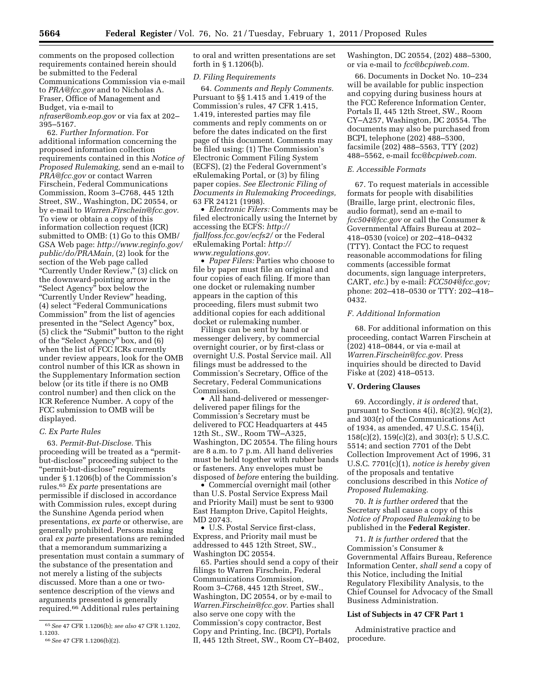comments on the proposed collection requirements contained herein should be submitted to the Federal Communications Commission via e-mail to *[PRA@fcc.gov](mailto:PRA@fcc.gov)* and to Nicholas A. Fraser, Office of Management and Budget, via e-mail to *[nfraser@omb.eop.gov](mailto:nfraser@omb.eop.gov)* or via fax at 202– 395–5167.

62. *Further Information.* For additional information concerning the proposed information collection requirements contained in this *Notice of Proposed Rulemaking,* send an e-mail to *[PRA@fcc.gov](mailto:PRA@fcc.gov)* or contact Warren Firschein, Federal Communications Commission, Room 3–C768, 445 12th Street, SW., Washington, DC 20554, or by e-mail to *[Warren.Firschein@fcc.gov.](mailto:Warren.Firschein@fcc.gov)*  To view or obtain a copy of this information collection request (ICR) submitted to OMB: (1) Go to this OMB/ GSA Web page: *[http://www.reginfo.gov/](http://www.reginfo.gov/public/do/PRAMain)  [public/do/PRAMain,](http://www.reginfo.gov/public/do/PRAMain)* (2) look for the section of the Web page called ''Currently Under Review,'' (3) click on the downward-pointing arrow in the ''Select Agency'' box below the "Currently Under Review" heading, (4) select ''Federal Communications Commission'' from the list of agencies presented in the ''Select Agency'' box, (5) click the ''Submit'' button to the right of the "Select Agency" box, and (6) when the list of FCC ICRs currently under review appears, look for the OMB control number of this ICR as shown in the Supplementary Information section below (or its title if there is no OMB control number) and then click on the ICR Reference Number. A copy of the FCC submission to OMB will be displayed.

#### *C. Ex Parte Rules*

63. *Permit-But-Disclose.* This proceeding will be treated as a ''permitbut-disclose'' proceeding subject to the ''permit-but-disclose'' requirements under § 1.1206(b) of the Commission's rules.65 *Ex parte* presentations are permissible if disclosed in accordance with Commission rules, except during the Sunshine Agenda period when presentations, *ex parte* or otherwise, are generally prohibited. Persons making oral *ex parte* presentations are reminded that a memorandum summarizing a presentation must contain a summary of the substance of the presentation and not merely a listing of the subjects discussed. More than a one or twosentence description of the views and arguments presented is generally required.66 Additional rules pertaining

to oral and written presentations are set forth in § 1.1206(b).

#### *D. Filing Requirements*

64. *Comments and Reply Comments.*  Pursuant to §§ 1.415 and 1.419 of the Commission's rules, 47 CFR 1.415, 1.419, interested parties may file comments and reply comments on or before the dates indicated on the first page of this document. Comments may be filed using: (1) The Commission's Electronic Comment Filing System (ECFS), (2) the Federal Government's eRulemaking Portal, or (3) by filing paper copies. *See Electronic Filing of Documents in Rulemaking Proceedings,*  63 FR 24121 (1998).

• *Electronic Filers:* Comments may be filed electronically using the Internet by accessing the ECFS: *[http://](http://fjallfoss.fcc.gov/ecfs2/)  [fjallfoss.fcc.gov/ecfs2/](http://fjallfoss.fcc.gov/ecfs2/)* or the Federal eRulemaking Portal: *[http://](http://www.regulations.gov) [www.regulations.gov.](http://www.regulations.gov)* 

• *Paper Filers:* Parties who choose to file by paper must file an original and four copies of each filing. If more than one docket or rulemaking number appears in the caption of this proceeding, filers must submit two additional copies for each additional docket or rulemaking number.

Filings can be sent by hand or messenger delivery, by commercial overnight courier, or by first-class or overnight U.S. Postal Service mail. All filings must be addressed to the Commission's Secretary, Office of the Secretary, Federal Communications Commission.

• All hand-delivered or messengerdelivered paper filings for the Commission's Secretary must be delivered to FCC Headquarters at 445 12th St., SW., Room TW–A325, Washington, DC 20554. The filing hours are 8 a.m. to 7 p.m. All hand deliveries must be held together with rubber bands or fasteners. Any envelopes must be disposed of *before* entering the building.

• Commercial overnight mail (other than U.S. Postal Service Express Mail and Priority Mail) must be sent to 9300 East Hampton Drive, Capitol Heights, MD 20743.

• U.S. Postal Service first-class, Express, and Priority mail must be addressed to 445 12th Street, SW., Washington DC 20554.

65. Parties should send a copy of their filings to Warren Firschein, Federal Communications Commission, Room 3–C768, 445 12th Street, SW., Washington, DC 20554, or by e-mail to *[Warren.Firschein@fcc.gov.](mailto:Warren.Firschein@fcc.gov)* Parties shall also serve one copy with the Commission's copy contractor, Best Copy and Printing, Inc. (BCPI), Portals II, 445 12th Street, SW., Room CY–B402, Washington, DC 20554, (202) 488–5300, or via e-mail to *[fcc@bcpiweb.com.](mailto:fcc@bcpiweb.com)* 

66. Documents in Docket No. 10–234 will be available for public inspection and copying during business hours at the FCC Reference Information Center, Portals II, 445 12th Street, SW., Room CY–A257, Washington, DC 20554. The documents may also be purchased from BCPI, telephone (202) 488–5300, facsimile (202) 488–5563, TTY (202) 488–5562, e-mail fcc*[@bcpiweb.com](mailto:fcc@bcpiweb.com)*.

# *E. Accessible Formats*

67. To request materials in accessible formats for people with disabilities (Braille, large print, electronic files, audio format), send an e-mail to *[fcc504@fcc.gov](mailto:fcc504@fcc.gov)* or call the Consumer & Governmental Affairs Bureau at 202– 418–0530 (voice) or 202–418–0432 (TTY). Contact the FCC to request reasonable accommodations for filing comments (accessible format documents, sign language interpreters, CART, *etc.*) by e-mail: *[FCC504@fcc.gov;](mailto:FCC504@fcc.gov)*  phone: 202–418–0530 or TTY: 202–418– 0432.

# *F. Additional Information*

68. For additional information on this proceeding, contact Warren Firschein at (202) 418–0844, or via e-mail at *[Warren.Firschein@fcc.gov.](mailto:Warren.Firschein@fcc.gov)* Press inquiries should be directed to David Fiske at (202) 418–0513.

# **V. Ordering Clauses**

69. Accordingly, *it is ordered* that, pursuant to Sections 4(i), 8(c)(2), 9(c)(2), and 303(r) of the Communications Act of 1934, as amended, 47 U.S.C. 154(i), 158(c)(2), 159(c)(2), and 303(r); 5 U.S.C. 5514; and section 7701 of the Debt Collection Improvement Act of 1996, 31 U.S.C. 7701(c)(1), *notice is hereby given*  of the proposals and tentative conclusions described in this *Notice of Proposed Rulemaking.* 

70. *It is further ordered* that the Secretary shall cause a copy of this *Notice of Proposed Rulemaking* to be published in the **Federal Register**.

71. *It is further ordered* that the Commission's Consumer & Governmental Affairs Bureau, Reference Information Center, *shall send* a copy of this Notice, including the Initial Regulatory Flexibility Analysis, to the Chief Counsel for Advocacy of the Small Business Administration.

#### **List of Subjects in 47 CFR Part 1**

Administrative practice and procedure.

<sup>65</sup>*See* 47 CFR 1.1206(b); *see also* 47 CFR 1.1202, 1.1203.

<sup>66</sup>*See* 47 CFR 1.1206(b)(2).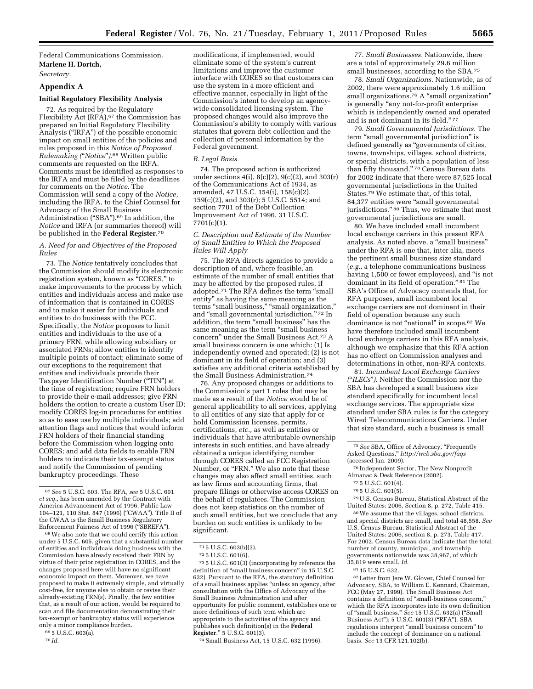Federal Communications Commission. **Marlene H. Dortch,**  *Secretary.* 

# **Appendix A**

# **Initial Regulatory Flexibility Analysis**

72. As required by the Regulatory Flexibility  $\hat{A}$ ct (RF $\hat{A}$ ),<sup>67</sup> the Commission has prepared an Initial Regulatory Flexibility Analysis (''IRFA'') of the possible economic impact on small entities of the policies and rules proposed in this *Notice of Proposed Rulemaking (*''*Notice*''*).*68 Written public comments are requested on the IRFA. Comments must be identified as responses to the IRFA and must be filed by the deadlines for comments on the *Notice.* The Commission will send a copy of the *Notice,*  including the IRFA, to the Chief Counsel for Advocacy of the Small Business Administration ("SBA").<sup>69</sup> In addition, the *Notice* and IRFA (or summaries thereof) will be published in the **Federal Register.**70

# *A. Need for and Objectives of the Proposed Rules*

73. The *Notice* tentatively concludes that the Commission should modify its electronic registration system, known as ''CORES,'' to make improvements to the process by which entities and individuals access and make use of information that is contained in CORES and to make it easier for individuals and entities to do business with the FCC. Specifically, the *Notice* proposes to limit entities and individuals to the use of a primary FRN, while allowing subsidiary or associated FRNs; allow entities to identify multiple points of contact; eliminate some of our exceptions to the requirement that entities and individuals provide their Taxpayer Identification Number (''TIN'') at the time of registration; require FRN holders to provide their e-mail addresses; give FRN holders the option to create a custom User ID; modify CORES log-in procedures for entities so as to ease use by multiple individuals; add attention flags and notices that would inform FRN holders of their financial standing before the Commission when logging onto CORES; and add data fields to enable FRN holders to indicate their tax-exempt status and notify the Commission of pending bankruptcy proceedings. These

68We also note that we could certify this action under 5 U.S.C. 605, given that a substantial number of entities and individuals doing business with the Commission have already received their FRN by virtue of their prior registration in CORES, and the changes proposed here will have no significant economic impact on them. Moreover, we have proposed to make it extremely simple, and virtually cost-free, for anyone else to obtain or revise their already-existing FRN(s). Finally, the few entities that, as a result of our action, would be required to scan and file documentation demonstrating their tax-exempt or bankruptcy status will experience only a minor compliance burden.

69 5 U.S.C. 603(a).

modifications, if implemented, would eliminate some of the system's current limitations and improve the customer interface with CORES so that customers can use the system in a more efficient and effective manner, especially in light of the Commission's intent to develop an agencywide consolidated licensing system. The proposed changes would also improve the Commission's ability to comply with various statutes that govern debt collection and the collection of personal information by the Federal government.

# *B. Legal Basis*

74. The proposed action is authorized under sections  $4(i)$ ,  $8(c)(2)$ ,  $9(c)(2)$ , and  $303(r)$ of the Communications Act of 1934, as amended, 47 U.S.C. 154(i), 158(c)(2), 159(c)(2), and 303(r); 5 U.S.C. 5514; and section 7701 of the Debt Collection Improvement Act of 1996, 31 U.S.C.  $7701(c)(1)$ .

# *C. Description and Estimate of the Number of Small Entities to Which the Proposed Rules Will Apply*

75. The RFA directs agencies to provide a description of and, where feasible, an estimate of the number of small entities that may be affected by the proposed rules, if adopted.<sup>71</sup> The RFA defines the term "small entity'' as having the same meaning as the terms "small business," "small organization," and "small governmental jurisdiction." 72 In addition, the term "small business" has the same meaning as the term "small business concern'' under the Small Business Act.73 A small business concern is one which: (1) Is independently owned and operated; (2) is not dominant in its field of operation; and (3) satisfies any additional criteria established by the Small Business Administration.74

76. Any proposed changes or additions to the Commission's part 1 rules that may be made as a result of the *Notice* would be of general applicability to all services, applying to all entities of any size that apply for or hold Commission licenses, permits, certifications, *etc.,* as well as entities or individuals that have attributable ownership interests in such entities, and have already obtained a unique identifying number through CORES called an FCC Registration Number, or "FRN." We also note that these changes may also affect small entities, such as law firms and accounting firms, that prepare filings or otherwise access CORES on the behalf of regulatees. The Commission does not keep statistics on the number of such small entities, but we conclude that any burden on such entities is unlikely to be significant.

73 5 U.S.C. 601(3) (incorporating by reference the definition of ''small business concern'' in 15 U.S.C. 632). Pursuant to the RFA, the statutory definition of a small business applies ''unless an agency, after consultation with the Office of Advocacy of the Small Business Administration and after opportunity for public comment, establishes one or more definitions of such term which are appropriate to the activities of the agency and publishes such definition(s) in the **Federal Register**.'' 5 U.S.C. 601(3).

74Small Business Act, 15 U.S.C. 632 (1996).

77. *Small Businesses.* Nationwide, there are a total of approximately 29.6 million small businesses, according to the SBA.75

78. *Small Organizations.* Nationwide, as of 2002, there were approximately 1.6 million small organizations.<sup>76</sup> A "small organization" is generally ''any not-for-profit enterprise which is independently owned and operated and is not dominant in its field."<sup>77</sup>

79. *Small Governmental Jurisdictions.* The term "small governmental jurisdiction" is defined generally as "governments of cities, towns, townships, villages, school districts, or special districts, with a population of less than fifty thousand.'' 78 Census Bureau data for 2002 indicate that there were 87,525 local governmental jurisdictions in the United States.<sup>79</sup> We estimate that, of this total, 84,377 entities were ''small governmental jurisdictions." <sup>80</sup> Thus, we estimate that most governmental jurisdictions are small.

80. We have included small incumbent local exchange carriers in this present RFA analysis. As noted above, a ''small business'' under the RFA is one that, inter alia, meets the pertinent small business size standard (*e.g.,* a telephone communications business having 1,500 or fewer employees), and ''is not dominant in its field of operation." 81 The SBA's Office of Advocacy contends that, for RFA purposes, small incumbent local exchange carriers are not dominant in their field of operation because any such dominance is not "national" in scope.<sup>82</sup> We have therefore included small incumbent local exchange carriers in this RFA analysis, although we emphasize that this RFA action has no effect on Commission analyses and determinations in other, non-RFA contexts.

81. *Incumbent Local Exchange Carriers (*''*ILECs*''*).* Neither the Commission nor the SBA has developed a small business size standard specifically for incumbent local exchange services. The appropriate size standard under SBA rules is for the category Wired Telecommunications Carriers. Under that size standard, such a business is small

76 Independent Sector, The New Nonprofit Almanac & Desk Reference (2002).

79U.S. Census Bureau, Statistical Abstract of the United States: 2006, Section 8, p. 272, Table 415.

80We assume that the villages, school districts, and special districts are small, and total 48,558. *See*  U.S. Census Bureau, Statistical Abstract of the United States: 2006, section 8, p. 273, Table 417. For 2002, Census Bureau data indicate that the total number of county, municipal, and township governments nationwide was 38,967, of which 35,819 were small. *Id.* 

82Letter from Jere W. Glover, Chief Counsel for Advocacy, SBA, to William E. Kennard, Chairman, FCC (May 27, 1999). The Small Business Act contains a definition of ''small-business concern,'' which the RFA incorporates into its own definition of ''small business.'' *See* 15 U.S.C. 632(a) (''Small Business Act''); 5 U.S.C. 601(3) (''RFA''). SBA regulations interpret ''small business concern'' to include the concept of dominance on a national basis. *See* 13 CFR 121.102(b).

<sup>67</sup>*See* 5 U.S.C. 603. The RFA, *see* 5 U.S.C. 601 *et seq.,* has been amended by the Contract with America Advancement Act of 1996, Public Law 104–121, 110 Stat. 847 (1996) (''CWAA''). Title II of the CWAA is the Small Business Regulatory Enforcement Fairness Act of 1996 (''SBREFA'').

<sup>70</sup> *Id.* 

<sup>71</sup> 5 U.S.C. 603(b)(3).

<sup>72</sup> 5 U.S.C. 601(6).

<sup>75</sup>*See* SBA, Office of Advocacy, ''Frequently Asked Questions,'' *<http://web.sba.gov/faqs>*  (accessed Jan. 2009).

<sup>77</sup> 5 U.S.C. 601(4).

<sup>78</sup> 5 U.S.C. 601(5).

<sup>81</sup> 15 U.S.C. 632.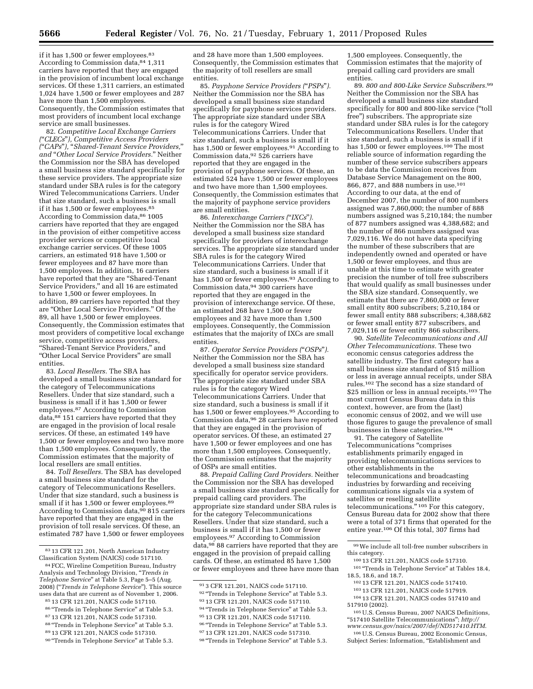if it has 1,500 or fewer employees.<sup>83</sup> According to Commission data,84 1,311 carriers have reported that they are engaged in the provision of incumbent local exchange services. Of these 1,311 carriers, an estimated 1,024 have 1,500 or fewer employees and 287 have more than 1,500 employees. Consequently, the Commission estimates that most providers of incumbent local exchange service are small businesses.

82. *Competitive Local Exchange Carriers (*''*CLECs*''*), Competitive Access Providers (*''*CAPs*''*),* ''*Shared-Tenant Service Providers,*'' *and* ''*Other Local Service Providers.*'' Neither the Commission nor the SBA has developed a small business size standard specifically for these service providers. The appropriate size standard under SBA rules is for the category Wired Telecommunications Carriers. Under that size standard, such a business is small if it has 1,500 or fewer employees.85 According to Commission data,<sup>86</sup> 1005 carriers have reported that they are engaged in the provision of either competitive access provider services or competitive local exchange carrier services. Of these 1005 carriers, an estimated 918 have 1,500 or fewer employees and 87 have more than 1,500 employees. In addition, 16 carriers have reported that they are "Shared-Tenant Service Providers,'' and all 16 are estimated to have 1,500 or fewer employees. In addition, 89 carriers have reported that they are ''Other Local Service Providers.'' Of the 89, all have 1,500 or fewer employees. Consequently, the Commission estimates that most providers of competitive local exchange service, competitive access providers, ''Shared-Tenant Service Providers,'' and ''Other Local Service Providers'' are small entities.

83. *Local Resellers.* The SBA has developed a small business size standard for the category of Telecommunications Resellers. Under that size standard, such a business is small if it has 1,500 or fewer employees.87 According to Commission data,88 151 carriers have reported that they are engaged in the provision of local resale services. Of these, an estimated 149 have 1,500 or fewer employees and two have more than 1,500 employees. Consequently, the Commission estimates that the majority of local resellers are small entities.

84. *Toll Resellers.* The SBA has developed a small business size standard for the category of Telecommunications Resellers. Under that size standard, such a business is small if it has 1,500 or fewer employees.<sup>89</sup> According to Commission data,<sup>90</sup> 815 carriers have reported that they are engaged in the provision of toll resale services. Of these, an estimated 787 have 1,500 or fewer employees

- 87 13 CFR 121.201, NAICS code 517310.
- 88 ''Trends in Telephone Service'' at Table 5.3. 89 13 CFR 121.201, NAICS code 517310.

and 28 have more than 1,500 employees. Consequently, the Commission estimates that the majority of toll resellers are small entities.

85. *Payphone Service Providers (*''*PSPs*''*).*  Neither the Commission nor the SBA has developed a small business size standard specifically for payphone services providers. The appropriate size standard under SBA rules is for the category Wired Telecommunications Carriers. Under that size standard, such a business is small if it has 1,500 or fewer employees.<sup>91</sup> According to Commission data,92 526 carriers have reported that they are engaged in the provision of payphone services. Of these, an estimated 524 have 1,500 or fewer employees and two have more than 1,500 employees. Consequently, the Commission estimates that the majority of payphone service providers are small entities.

86. *Interexchange Carriers (*''*IXCs*''*).*  Neither the Commission nor the SBA has developed a small business size standard specifically for providers of interexchange services. The appropriate size standard under SBA rules is for the category Wired Telecommunications Carriers. Under that size standard, such a business is small if it has 1,500 or fewer employees.<sup>93</sup> According to Commission data,94 300 carriers have reported that they are engaged in the provision of interexchange service. Of these, an estimated 268 have 1,500 or fewer employees and 32 have more than 1,500 employees. Consequently, the Commission estimates that the majority of IXCs are small entities.

87. *Operator Service Providers (*''*OSPs*''*).*  Neither the Commission nor the SBA has developed a small business size standard specifically for operator service providers. The appropriate size standard under SBA rules is for the category Wired Telecommunications Carriers. Under that size standard, such a business is small if it has 1,500 or fewer employees.<sup>95</sup> According to Commission data,96 28 carriers have reported that they are engaged in the provision of operator services. Of these, an estimated 27 have 1,500 or fewer employees and one has more than 1,500 employees. Consequently, the Commission estimates that the majority of OSPs are small entities.

88. *Prepaid Calling Card Providers.* Neither the Commission nor the SBA has developed a small business size standard specifically for prepaid calling card providers. The appropriate size standard under SBA rules is for the category Telecommunications Resellers. Under that size standard, such a business is small if it has 1,500 or fewer employees.97 According to Commission data,98 88 carriers have reported that they are engaged in the provision of prepaid calling cards. Of these, an estimated 85 have 1,500 or fewer employees and three have more than

- 94 "Trends in Telephone Service" at Table 5.3.
- 95 13 CFR 121.201, NAICS code 517110. 96 "Trends in Telephone Service" at Table 5.3.
- 97 13 CFR 121.201, NAICS code 517310.
- 98 "Trends in Telephone Service" at Table 5.3.

1,500 employees. Consequently, the Commission estimates that the majority of prepaid calling card providers are small entities.

89. *800 and 800-Like Service Subscribers.*99 Neither the Commission nor the SBA has developed a small business size standard specifically for 800 and 800-like service (''toll free'') subscribers. The appropriate size standard under SBA rules is for the category Telecommunications Resellers. Under that size standard, such a business is small if it has 1,500 or fewer employees.<sup>100</sup> The most reliable source of information regarding the number of these service subscribers appears to be data the Commission receives from Database Service Management on the 800, 866, 877, and 888 numbers in use.101 According to our data, at the end of December 2007, the number of 800 numbers assigned was 7,860,000; the number of 888 numbers assigned was 5,210,184; the number of 877 numbers assigned was 4,388,682; and the number of 866 numbers assigned was 7,029,116. We do not have data specifying the number of these subscribers that are independently owned and operated or have 1,500 or fewer employees, and thus are unable at this time to estimate with greater precision the number of toll free subscribers that would qualify as small businesses under the SBA size standard. Consequently, we estimate that there are 7,860,000 or fewer small entity 800 subscribers; 5,210,184 or fewer small entity 888 subscribers; 4,388,682 or fewer small entity 877 subscribers, and 7,029,116 or fewer entity 866 subscribers.

90. *Satellite Telecommunications and All Other Telecommunications.* These two economic census categories address the satellite industry. The first category has a small business size standard of \$15 million or less in average annual receipts, under SBA rules.102 The second has a size standard of \$25 million or less in annual receipts.<sup>103</sup> The most current Census Bureau data in this context, however, are from the (last) economic census of 2002, and we will use those figures to gauge the prevalence of small businesses in these categories.104

91. The category of Satellite Telecommunications ''comprises establishments primarily engaged in providing telecommunications services to other establishments in the telecommunications and broadcasting industries by forwarding and receiving communications signals via a system of satellites or reselling satellite telecommunications.'' 105 For this category, Census Bureau data for 2002 show that there were a total of 371 firms that operated for the entire year.106 Of this total, 307 firms had

- 
- 
- 
- 517910 (2002).<br> $105 \text{ U.S.}$  Census Bureau, 2007 NAICS Definitions, ''517410 Satellite Telecommunications''; *[http://](http://www.census.gov/naics/2007/def/ND517410.HTM)*

*[www.census.gov/naics/2007/def/ND517410.HTM](http://www.census.gov/naics/2007/def/ND517410.HTM)*. 106U.S. Census Bureau, 2002 Economic Census, Subject Series: Information, "Establishment and

<sup>83</sup> 13 CFR 121.201, North American Industry Classification System (NAICS) code 517110.

<sup>84</sup>FCC, Wireline Competition Bureau, Industry Analysis and Technology Division, ''*Trends in Telephone Service*'' at Table 5.3, Page 5–5 (Aug. 2008) (''*Trends in Telephone Service*''). This source uses data that are current as of November 1, 2006.

<sup>85</sup> 13 CFR 121.201, NAICS code 517110.

<sup>86 &</sup>quot;Trends in Telephone Service" at Table 5.3.

<sup>90 &</sup>quot;Trends in Telephone Service" at Table 5.3.

<sup>91</sup> 3 CFR 121.201, NAICS code 517110.

<sup>92 &</sup>quot;Trends in Telephone Service" at Table 5.3.

<sup>93</sup> 13 CFR 121.201, NAICS code 517110.

 $99$ We include all toll-free number subscribers in this category.

 $^{100}\,13$  CFR 121.201, NAICS code 517310.  $^{101}\,$  "Trends in Telephone Service" at Tables 18.4, 18.5, 18.6, and 18.7.<br><sup>102</sup> 13 CFR 121.201, NAICS code 517410.<br><sup>103</sup> 13 CFR 121.201, NAICS code 517919.<br><sup>104</sup> 13 CFR 121.201, NAICS codes 517410 and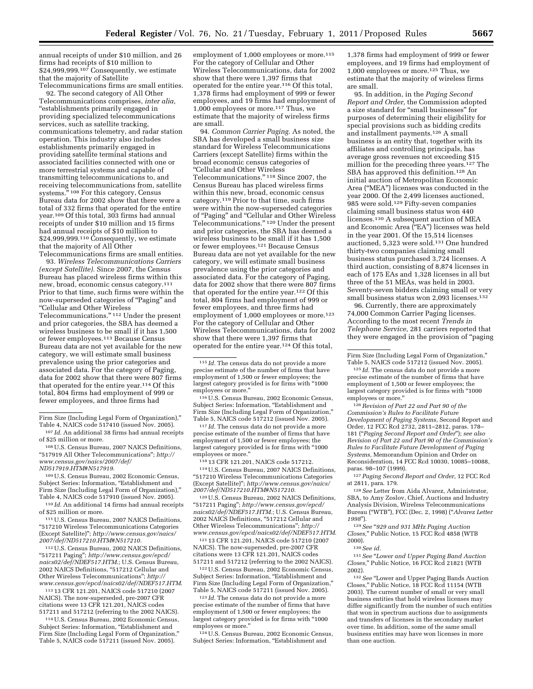annual receipts of under \$10 million, and 26 firms had receipts of \$10 million to \$24,999,999.<sup>107</sup> Consequently, we estimate that the majority of Satellite Telecommunications firms are small entities.

92. The second category of All Other Telecommunications comprises, *inter alia,*  ''establishments primarily engaged in providing specialized telecommunications services, such as satellite tracking, communications telemetry, and radar station operation. This industry also includes establishments primarily engaged in providing satellite terminal stations and associated facilities connected with one or more terrestrial systems and capable of transmitting telecommunications to, and receiving telecommunications from, satellite systems."<sup>108</sup> For this category, Census Bureau data for 2002 show that there were a total of 332 firms that operated for the entire year.109 Of this total, 303 firms had annual receipts of under \$10 million and 15 firms had annual receipts of \$10 million to \$24,999,999.<sup>110</sup> Consequently, we estimate that the majority of All Other Telecommunications firms are small entities.

93. *Wireless Telecommunications Carriers (except Satellite).* Since 2007, the Census Bureau has placed wireless firms within this new, broad, economic census category.111 Prior to that time, such firms were within the now-superseded categories of ''Paging'' and ''Cellular and Other Wireless Telecommunications.'' 112 Under the present and prior categories, the SBA has deemed a wireless business to be small if it has 1,500 or fewer employees.113 Because Census Bureau data are not yet available for the new category, we will estimate small business prevalence using the prior categories and associated data. For the category of Paging, data for 2002 show that there were 807 firms that operated for the entire year.114 Of this total, 804 firms had employment of 999 or fewer employees, and three firms had

108U.S. Census Bureau, 2007 NAICS Definitions, ''517919 All Other Telecommunications''; *[http://](http://www.census.gov/naics/2007/def/ND517919.HTM#N517919) [www.census.gov/naics/2007/def/](http://www.census.gov/naics/2007/def/ND517919.HTM#N517919)* 

*[ND517919.HTM#N517919](http://www.census.gov/naics/2007/def/ND517919.HTM#N517919)*.

109U.S. Census Bureau, 2002 Economic Census, Subject Series: Information, "Establishment and Firm Size (Including Legal Form of Organization),'' Table 4, NAICS code 517910 (issued Nov. 2005).

110 *Id.* An additional 14 firms had annual receipts of \$25 million or more.

111U.S. Census Bureau, 2007 NAICS Definitions, ''517210 Wireless Telecommunications Categories (Except Satellite)''; *[http://www.census.gov/naics/](http://www.census.gov/naics/2007/def/ND517210.HTM#N517210) [2007/def/ND517210.HTM#N517210](http://www.census.gov/naics/2007/def/ND517210.HTM#N517210)*.

112U.S. Census Bureau, 2002 NAICS Definitions, ''517211 Paging''; *[http://www.census.gov/epcd/](http://www.census.gov/epcd/naics02/def/NDEF517.HTM) [naics02/def/NDEF517.HTM](http://www.census.gov/epcd/naics02/def/NDEF517.HTM)*.; U.S. Census Bureau, 2002 NAICS Definitions, ''517212 Cellular and Other Wireless Telecommunications''; *[http://](http://www.census.gov/epcd/naics02/def/NDEF517.HTM)  [www.census.gov/epcd/naics02/def/NDEF517.HTM](http://www.census.gov/epcd/naics02/def/NDEF517.HTM)*.

113 13 CFR 121.201, NAICS code 517210 (2007 NAICS). The now-superseded, pre-2007 CFR citations were 13 CFR 121.201, NAICS codes 517211 and 517212 (referring to the 2002 NAICS).

114U.S. Census Bureau, 2002 Economic Census, Subject Series: Information, "Establishment and Firm Size (Including Legal Form of Organization,'' Table 5, NAICS code 517211 (issued Nov. 2005).

employment of 1,000 employees or more.<sup>115</sup> For the category of Cellular and Other Wireless Telecommunications, data for 2002 show that there were 1,397 firms that operated for the entire year.116 Of this total, 1,378 firms had employment of 999 or fewer employees, and 19 firms had employment of 1,000 employees or more.117 Thus, we estimate that the majority of wireless firms are small.

94. *Common Carrier Paging.* As noted, the SBA has developed a small business size standard for Wireless Telecommunications Carriers (except Satellite) firms within the broad economic census categories of ''Cellular and Other Wireless Telecommunications.'' 118 Since 2007, the Census Bureau has placed wireless firms within this new, broad, economic census category.119 Prior to that time, such firms were within the now-superseded categories of "Paging" and "Cellular and Other Wireless Telecommunications.'' 120 Under the present and prior categories, the SBA has deemed a wireless business to be small if it has 1,500 or fewer employees.121 Because Census Bureau data are not yet available for the new category, we will estimate small business prevalence using the prior categories and associated data. For the category of Paging, data for 2002 show that there were 807 firms that operated for the entire year.122 Of this total, 804 firms had employment of 999 or fewer employees, and three firms had employment of 1,000 employees or more.<sup>123</sup> For the category of Cellular and Other Wireless Telecommunications, data for 2002 show that there were 1,397 firms that operated for the entire year.124 Of this total,

116U.S. Census Bureau, 2002 Economic Census, Subject Series: Information, ''Establishment and Firm Size (Including Legal Form of Organization,'' Table 5, NAICS code 517212 (issued Nov. 2005).

117 *Id.* The census data do not provide a more precise estimate of the number of firms that have employment of 1,500 or fewer employees; the largest category provided is for firms with ''1000 employees or more.''

118 13 CFR 121.201, NAICS code 517212.

119U.S. Census Bureau, 2007 NAICS Definitions, ''517210 Wireless Telecommunications Categories (Except Satellite)''; *[http://www.census.gov/naics/](http://www.census.gov/naics/2007/def/ND517210.HTM#N517210) [2007/def/ND517210.HTM#N517210](http://www.census.gov/naics/2007/def/ND517210.HTM#N517210)*.

120U.S. Census Bureau, 2002 NAICS Definitions, ''517211 Paging''; *[http://www.census.gov/epcd/](http://www.census.gov/epcd/naics02/def/NDEF517.HTM) [naics02/def/NDEF517.HTM](http://www.census.gov/epcd/naics02/def/NDEF517.HTM)*.; U.S. Census Bureau, 2002 NAICS Definitions, ''517212 Cellular and Other Wireless Telecommunications''; *[http://](http://www.census.gov/epcd/naics02/def/NDEF517.HTM)  [www.census.gov/epcd/naics02/def/NDEF517.HTM](http://www.census.gov/epcd/naics02/def/NDEF517.HTM)*.

121 13 CFR 121.201, NAICS code 517210 (2007 NAICS). The now-superseded, pre-2007 CFR citations were 13 CFR 121.201, NAICS codes 517211 and 517212 (referring to the 2002 NAICS).

122U.S. Census Bureau, 2002 Economic Census, Subject Series: Information, "Establishment and Firm Size (Including Legal Form of Organization,'' Table 5, NAICS code 517211 (issued Nov. 2005).

123 *Id.* The census data do not provide a more precise estimate of the number of firms that have employment of 1,500 or fewer employees; the largest category provided is for firms with "1000 employees or more.''

124U.S. Census Bureau, 2002 Economic Census, Subject Series: Information, "Establishment and

1,378 firms had employment of 999 or fewer employees, and 19 firms had employment of 1,000 employees or more.125 Thus, we estimate that the majority of wireless firms are small.

95. In addition, in the *Paging Second Report and Order,* the Commission adopted a size standard for ''small businesses'' for purposes of determining their eligibility for special provisions such as bidding credits and installment payments.126 A small business is an entity that, together with its affiliates and controlling principals, has average gross revenues not exceeding \$15 million for the preceding three years.127 The SBA has approved this definition.128 An initial auction of Metropolitan Economic Area (''MEA'') licenses was conducted in the year 2000. Of the 2,499 licenses auctioned, 985 were sold.129 Fifty-seven companies claiming small business status won 440 licenses.130 A subsequent auction of MEA and Economic Area (''EA'') licenses was held in the year 2001. Of the 15,514 licenses auctioned, 5,323 were sold.131 One hundred thirty-two companies claiming small business status purchased 3,724 licenses. A third auction, consisting of 8,874 licenses in each of 175 EAs and 1,328 licenses in all but three of the 51 MEAs, was held in 2003. Seventy-seven bidders claiming small or very small business status won 2,093 licenses.<sup>132</sup>

96. Currently, there are approximately 74,000 Common Carrier Paging licenses. According to the most recent *Trends in Telephone Service,* 281 carriers reported that they were engaged in the provision of ''paging

126*Revision of Part 22 and Part 90 of the Commission's Rules to Facilitate Future Development of Paging Systems,* Second Report and Order, 12 FCC Rcd 2732, 2811–2812, paras. 178– 181 (''*Paging Second Report and Order*''); *see also Revision of Part 22 and Part 90 of the Commission's Rules to Facilitate Future Development of Paging Systems,* Memorandum Opinion and Order on Reconsideration, 14 FCC Rcd 10030, 10085–10088, paras. 98–107 (1999).

127*Paging Second Report and Order,* 12 FCC Rcd at 2811, para. 179.

128*See* Letter from Aida Alvarez, Administrator, SBA, to Amy Zoslov, Chief, Auctions and Industry Analysis Division, Wireless Telecommunications Bureau (''WTB''), FCC (Dec. 2, 1998) (''*Alvarez Letter 1998*'').

129*See* ''*929 and 931 MHz Paging Auction Closes,*'' Public Notice, 15 FCC Rcd 4858 (WTB 2000).

130*See id.* 

131*See* ''*Lower and Upper Paging Band Auction Closes,*'' Public Notice, 16 FCC Rcd 21821 (WTB 2002).

<sup>132</sup> See "Lower and Upper Paging Bands Auction Closes,'' Public Notice, 18 FCC Rcd 11154 (WTB 2003). The current number of small or very small business entities that hold wireless licenses may differ significantly from the number of such entities that won in spectrum auctions due to assignments and transfers of licenses in the secondary market over time. In addition, some of the same small business entities may have won licenses in more than one auction.

Firm Size (Including Legal Form of Organization),'' Table 4, NAICS code 517410 (issued Nov. 2005).

<sup>107</sup> *Id.* An additional 38 firms had annual receipts of \$25 million or more.

<sup>115</sup> *Id.* The census data do not provide a more precise estimate of the number of firms that have employment of 1,500 or fewer employees; the largest category provided is for firms with ''1000 employees or more.''

Firm Size (Including Legal Form of Organization,'' Table 5, NAICS code 517212 (issued Nov. 2005).

<sup>125</sup> *Id.* The census data do not provide a more precise estimate of the number of firms that have employment of 1,500 or fewer employees; the largest category provided is for firms with ''1000 employees or more.''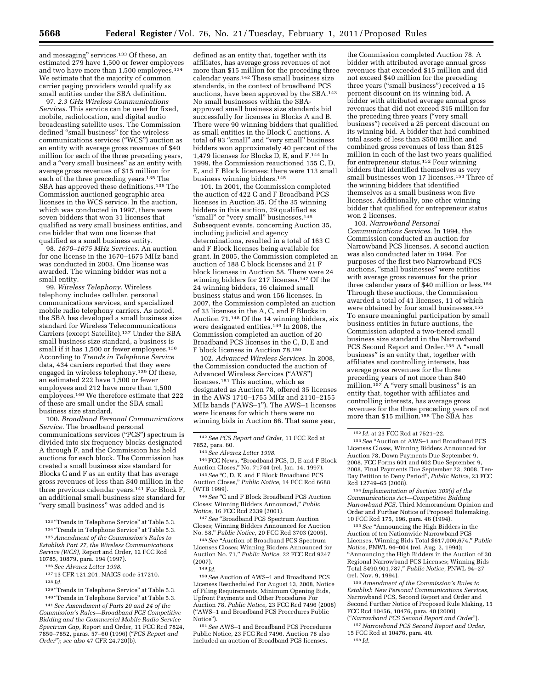and messaging'' services.133 Of these, an estimated 279 have 1,500 or fewer employees and two have more than 1,500 employees.134 We estimate that the majority of common carrier paging providers would qualify as small entities under the SBA definition.

97. *2.3 GHz Wireless Communications Services.* This service can be used for fixed, mobile, radiolocation, and digital audio broadcasting satellite uses. The Commission defined ''small business'' for the wireless communications services (''WCS'') auction as an entity with average gross revenues of \$40 million for each of the three preceding years, and a ''very small business'' as an entity with average gross revenues of \$15 million for each of the three preceding years.135 The SBA has approved these definitions.136 The Commission auctioned geographic area licenses in the WCS service. In the auction, which was conducted in 1997, there were seven bidders that won 31 licenses that qualified as very small business entities, and one bidder that won one license that qualified as a small business entity.

98. *1670–1675 MHz Services.* An auction for one license in the 1670–1675 MHz band was conducted in 2003. One license was awarded. The winning bidder was not a small entity.

99. *Wireless Telephony.* Wireless telephony includes cellular, personal communications services, and specialized mobile radio telephony carriers. As noted, the SBA has developed a small business size standard for Wireless Telecommunications Carriers (except Satellite).137 Under the SBA small business size standard, a business is small if it has 1,500 or fewer employees.<sup>138</sup> According to *Trends in Telephone Service*  data, 434 carriers reported that they were engaged in wireless telephony.<sup>139</sup> Of these, an estimated 222 have 1,500 or fewer employees and 212 have more than 1,500 employees.140 We therefore estimate that 222 of these are small under the SBA small business size standard.

100. *Broadband Personal Communications Service.* The broadband personal communications services (''PCS'') spectrum is divided into six frequency blocks designated A through F, and the Commission has held auctions for each block. The Commission has created a small business size standard for Blocks C and F as an entity that has average gross revenues of less than \$40 million in the three previous calendar years.141 For Block F, an additional small business size standard for ''very small business'' was added and is

defined as an entity that, together with its affiliates, has average gross revenues of not more than \$15 million for the preceding three calendar years.142 These small business size standards, in the context of broadband PCS auctions, have been approved by the SBA.143 No small businesses within the SBAapproved small business size standards bid successfully for licenses in Blocks A and B. There were 90 winning bidders that qualified as small entities in the Block C auctions. A total of 93 "small" and "very small" business bidders won approximately 40 percent of the 1,479 licenses for Blocks D, E, and F.144 In 1999, the Commission reauctioned 155 C, D, E, and F Block licenses; there were 113 small business winning bidders.145

101. In 2001, the Commission completed the auction of 422 C and F Broadband PCS licenses in Auction 35. Of the 35 winning bidders in this auction, 29 qualified as "small" or "very small" businesses.<sup>146</sup> Subsequent events, concerning Auction 35, including judicial and agency determinations, resulted in a total of 163 C and F Block licenses being available for grant. In 2005, the Commission completed an auction of 188 C block licenses and 21 F block licenses in Auction 58. There were 24 winning bidders for 217 licenses.147 Of the 24 winning bidders, 16 claimed small business status and won 156 licenses. In 2007, the Commission completed an auction of 33 licenses in the A, C, and F Blocks in Auction 71.148 Of the 14 winning bidders, six were designated entities.<sup>149</sup> In 2008, the Commission completed an auction of 20 Broadband PCS licenses in the C, D, E and F block licenses in Auction 78.150

102. *Advanced Wireless Services.* In 2008, the Commission conducted the auction of Advanced Wireless Services (''AWS'') licenses.151 This auction, which as designated as Auction 78, offered 35 licenses in the AWS 1710–1755 MHz and 2110–2155 MHz bands (''AWS–1''). The AWS–1 licenses were licenses for which there were no winning bids in Auction 66. That same year,

144FCC News, ''Broadband PCS, D, E and F Block Auction Closes,'' No. 71744 (rel. Jan. 14, 1997).

<sup>145</sup> See "C, D, E, and F Block Broadband PCS Auction Closes,'' *Public Notice,* 14 FCC Rcd 6688 (WTB 1999).

<sup>146</sup> See "C and F Block Broadband PCS Auction Closes; Winning Bidders Announced,'' *Public Notice,* 16 FCC Rcd 2339 (2001).

<sup>147</sup> See "Broadband PCS Spectrum Auction Closes; Winning Bidders Announced for Auction No. 58,'' *Public Notice,* 20 FCC Rcd 3703 (2005).

<sup>148</sup> See "Auction of Broadband PCS Spectrum Licenses Closes; Winning Bidders Announced for Auction No. 71,'' *Public Notice,* 22 FCC Rcd 9247 (2007).

149 *Id.* 

150*See* Auction of AWS–1 and Broadband PCS Licenses Rescheduled For August 13, 2008, Notice of Filing Requirements, Minimum Opening Bids, Upfront Payments and Other Procedures For Auction 78, *Public Notice,* 23 FCC Rcd 7496 (2008) (''AWS–1 and Broadband PCS Procedures Public Notice'').

151*See* AWS–1 and Broadband PCS Procedures Public Notice, 23 FCC Rcd 7496. Auction 78 also included an auction of Broadband PCS licenses.

the Commission completed Auction 78. A bidder with attributed average annual gross revenues that exceeded \$15 million and did not exceed \$40 million for the preceding three years ("small business") received a 15 percent discount on its winning bid. A bidder with attributed average annual gross revenues that did not exceed \$15 million for the preceding three years (''very small business'') received a 25 percent discount on its winning bid. A bidder that had combined total assets of less than \$500 million and combined gross revenues of less than \$125 million in each of the last two years qualified for entrepreneur status.152 Four winning bidders that identified themselves as very small businesses won 17 licenses.153 Three of the winning bidders that identified themselves as a small business won five licenses. Additionally, one other winning bidder that qualified for entrepreneur status won 2 licenses.

103. *Narrowband Personal Communications Services.* In 1994, the Commission conducted an auction for Narrowband PCS licenses. A second auction was also conducted later in 1994. For purposes of the first two Narrowband PCS auctions, "small businesses" were entities with average gross revenues for the prior three calendar years of \$40 million or less.154 Through these auctions, the Commission awarded a total of 41 licenses, 11 of which were obtained by four small businesses.155 To ensure meaningful participation by small business entities in future auctions, the Commission adopted a two-tiered small business size standard in the Narrowband PCS Second Report and Order.<sup>156</sup> A "small business'' is an entity that, together with affiliates and controlling interests, has average gross revenues for the three preceding years of not more than \$40 million.<sup>157</sup> A "very small business" is an entity that, together with affiliates and controlling interests, has average gross revenues for the three preceding years of not more than \$15 million.<sup>158</sup> The SBA has

<sup>153</sup> See "Auction of AWS-1 and Broadband PCS Licenses Closes, Winning Bidders Announced for Auction 78, Down Payments Due September 9, 2008, FCC Forms 601 and 602 Due September 9, 2008, Final Payments Due September 23, 2008, Ten-Day Petition to Deny Period'', *Public Notice,* 23 FCC Rcd 12749–65 (2008).

154 *Implementation of Section 309(j) of the Communications Act—Competitive Bidding Narrowband PCS,* Third Memorandum Opinion and Order and Further Notice of Proposed Rulemaking, 10 FCC Rcd 175, 196, para. 46 (1994).

155*See* ''Announcing the High Bidders in the Auction of ten Nationwide Narrowband PCS Licenses, Winning Bids Total \$617,006,674,'' *Public Notice,* PNWL 94–004 (rel. Aug. 2, 1994); ''Announcing the High Bidders in the Auction of 30 Regional Narrowband PCS Licenses; Winning Bids Total \$490,901,787,'' *Public Notice,* PNWL 94–27 (rel. Nov. 9, 1994).

156*Amendment of the Commission's Rules to Establish New Personal Communications Services,*  Narrowband PCS, Second Report and Order and Second Further Notice of Proposed Rule Making, 15 FCC Rcd 10456, 10476, para. 40 (2000) (''*Narrowband PCS Second Report and Order*'').

157*Narrowband PCS Second Report and Order,*  15 FCC Rcd at 10476, para. 40.

158 *Id.* 

 $^{\rm 133 \text{ }\! \cdot \! \cdot \! \cdot}$  Trends in Telephone Service" at Table 5.3.

<sup>134 &</sup>quot;Trends in Telephone Service" at Table 5.3. 135*Amendment of the Commission's Rules to Establish Part 27, the Wireless Communications* 

*Service (WCS),* Report and Order, 12 FCC Rcd 10785, 10879, para. 194 (1997). 136*See Alvarez Letter 1998.* 

<sup>137</sup> 13 CFR 121.201, NAICS code 517210. 138 *Id.* 

<sup>139 &</sup>quot;Trends in Telephone Service" at Table 5.3.

<sup>&</sup>lt;sup>140</sup> "Trends in Telephone Service" at Table 5.3. 141*See Amendment of Parts 20 and 24 of the* 

*Commission's Rules—Broadband PCS Competitive Bidding and the Commercial Mobile Radio Service Spectrum Cap,* Report and Order, 11 FCC Rcd 7824, 7850–7852, paras. 57–60 (1996) (''*PCS Report and Order*''); *see also* 47 CFR 24.720(b).

<sup>142</sup>*See PCS Report and Order,* 11 FCC Rcd at 7852, para. 60.

<sup>143</sup>*See Alvarez Letter 1998.* 

<sup>152</sup> *Id.* at 23 FCC Rcd at 7521–22.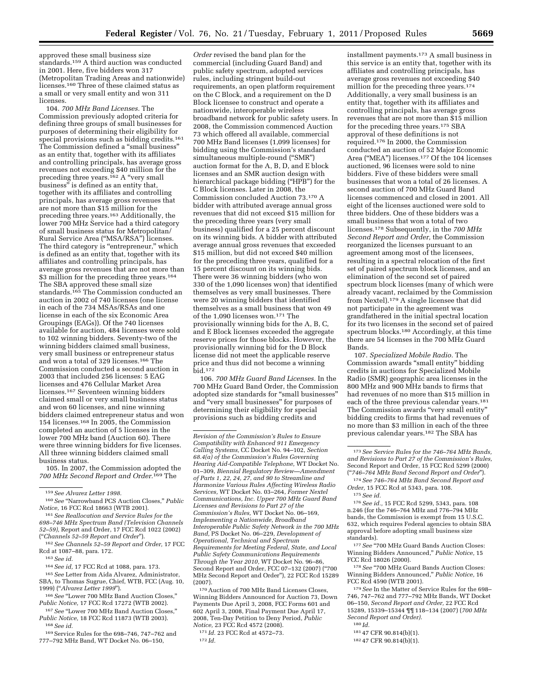approved these small business size standards.<sup>159</sup> A third auction was conducted in 2001. Here, five bidders won 317 (Metropolitan Trading Areas and nationwide) licenses.160 Three of these claimed status as a small or very small entity and won 311 licenses.

104. *700 MHz Band Licenses.* The Commission previously adopted criteria for defining three groups of small businesses for purposes of determining their eligibility for special provisions such as bidding credits.161 The Commission defined a "small business" as an entity that, together with its affiliates and controlling principals, has average gross revenues not exceeding \$40 million for the preceding three years.<sup>162</sup> A "very small business'' is defined as an entity that, together with its affiliates and controlling principals, has average gross revenues that are not more than \$15 million for the preceding three years.163 Additionally, the lower 700 MHz Service had a third category of small business status for Metropolitan/ Rural Service Area (''MSA/RSA'') licenses. The third category is "entrepreneur," which is defined as an entity that, together with its affiliates and controlling principals, has average gross revenues that are not more than \$3 million for the preceding three years.<sup>164</sup> The SBA approved these small size standards.<sup>165</sup> The Commission conducted an auction in 2002 of 740 licenses (one license in each of the 734 MSAs/RSAs and one license in each of the six Economic Area Groupings (EAGs)). Of the 740 licenses available for auction, 484 licenses were sold to 102 winning bidders. Seventy-two of the winning bidders claimed small business, very small business or entrepreneur status and won a total of 329 licenses.166 The Commission conducted a second auction in 2003 that included 256 licenses: 5 EAG licenses and 476 Cellular Market Area licenses.167 Seventeen winning bidders claimed small or very small business status and won 60 licenses, and nine winning bidders claimed entrepreneur status and won 154 licenses.168 In 2005, the Commission completed an auction of 5 licenses in the lower 700 MHz band (Auction 60). There were three winning bidders for five licenses. All three winning bidders claimed small business status.

105. In 2007, the Commission adopted the *700 MHz Second Report and Order.*169 The

160*See* ''Narrowband PCS Auction Closes,'' *Public Notice,* 16 FCC Rcd 18663 (WTB 2001).

161*See Reallocation and Service Rules for the 698–746 MHz Spectrum Band (Television Channels 52–59),* Report and Order, 17 FCC Rcd 1022 (2002) (''*Channels 52–59 Report and Order*'').

162*See Channels 52–59 Report and Order,* 17 FCC Rcd at 1087–88, para. 172.

163*See id.* 

164*See id,* 17 FCC Rcd at 1088, para. 173.

165*See* Letter from Aida Alvarez, Administrator, SBA, to Thomas Sugrue, Chief, WTB, FCC (Aug. 10, 1999) (''*Alvarez Letter 1999*'').

166*See* ''Lower 700 MHz Band Auction Closes,'' *Public Notice,* 17 FCC Rcd 17272 (WTB 2002).

<sup>167</sup> See "Lower 700 MHz Band Auction Closes," *Public Notice,* 18 FCC Rcd 11873 (WTB 2003). 168*See id.* 

169Service Rules for the 698–746, 747–762 and 777–792 MHz Band, WT Docket No. 06–150,

*Order* revised the band plan for the commercial (including Guard Band) and public safety spectrum, adopted services rules, including stringent build-out requirements, an open platform requirement on the C Block, and a requirement on the D Block licensee to construct and operate a nationwide, interoperable wireless broadband network for public safety users. In 2008, the Commission commenced Auction 73 which offered all available, commercial 700 MHz Band licenses (1,099 licenses) for bidding using the Commission's standard simultaneous multiple-round ("SMR") auction format for the A, B, D, and E block licenses and an SMR auction design with hierarchical package bidding ("HPB") for the C Block licenses. Later in 2008, the Commission concluded Auction 73.170 A bidder with attributed average annual gross revenues that did not exceed \$15 million for the preceding three years (very small business) qualified for a 25 percent discount on its winning bids. A bidder with attributed average annual gross revenues that exceeded \$15 million, but did not exceed \$40 million for the preceding three years, qualified for a 15 percent discount on its winning bids. There were 36 winning bidders (who won 330 of the 1,090 licenses won) that identified themselves as very small businesses. There were 20 winning bidders that identified themselves as a small business that won 49 of the 1,090 licenses won.171 The provisionally winning bids for the A, B, C, and E Block licenses exceeded the aggregate reserve prices for those blocks. However, the provisionally winning bid for the D Block license did not meet the applicable reserve price and thus did not become a winning bid.172

106. *700 MHz Guard Band Licenses.* In the 700 MHz Guard Band Order, the Commission adopted size standards for ''small businesses'' and ''very small businesses'' for purposes of determining their eligibility for special provisions such as bidding credits and

170Auction of 700 MHz Band Licenses Closes, Winning Bidders Announced for Auction 73, Down Payments Due April 3, 2008, FCC Forms 601 and 602 April 3, 2008, Final Payment Due April 17, 2008, Ten-Day Petition to Deny Period, *Public Notice,* 23 FCC Rcd 4572 (2008).

171 *Id.* 23 FCC Rcd at 4572–73.

installment payments.173 A small business in this service is an entity that, together with its affiliates and controlling principals, has average gross revenues not exceeding \$40 million for the preceding three years.174 Additionally, a very small business is an entity that, together with its affiliates and controlling principals, has average gross revenues that are not more than \$15 million for the preceding three years.175 SBA approval of these definitions is not required.176 In 2000, the Commission conducted an auction of 52 Major Economic Area (''MEA'') licenses.177 Of the 104 licenses auctioned, 96 licenses were sold to nine bidders. Five of these bidders were small businesses that won a total of 26 licenses. A second auction of 700 MHz Guard Band licenses commenced and closed in 2001. All eight of the licenses auctioned were sold to three bidders. One of these bidders was a small business that won a total of two licenses.178 Subsequently, in the *700 MHz Second Report and Order,* the Commission reorganized the licenses pursuant to an agreement among most of the licensees, resulting in a spectral relocation of the first set of paired spectrum block licenses, and an elimination of the second set of paired spectrum block licenses (many of which were already vacant, reclaimed by the Commission from Nextel).179 A single licensee that did not participate in the agreement was grandfathered in the initial spectral location for its two licenses in the second set of paired spectrum blocks.180 Accordingly, at this time there are 54 licenses in the 700 MHz Guard Bands.

107. *Specialized Mobile Radio.* The Commission awards ''small entity'' bidding credits in auctions for Specialized Mobile Radio (SMR) geographic area licenses in the 800 MHz and 900 MHz bands to firms that had revenues of no more than \$15 million in each of the three previous calendar years.181 The Commission awards "very small entity" bidding credits to firms that had revenues of no more than \$3 million in each of the three previous calendar years.182 The SBA has

174*See 746–764 MHz Band Second Report and Order,* 15 FCC Rcd at 5343, para. 108.

176*See id.,* 15 FCC Rcd 5299, 5343, para. 108 n.246 (for the 746–764 MHz and 776–794 MHz bands, the Commission is exempt from 15 U.S.C. 632, which requires Federal agencies to obtain SBA approval before adopting small business size standards).

<sup>177</sup> See "700 MHz Guard Bands Auction Closes: Winning Bidders Announced,'' *Public Notice,* 15 FCC Rcd 18026 (2000).

<sup>178</sup> See "700 MHz Guard Bands Auction Closes: Winning Bidders Announced,'' *Public Notice,* 16 FCC Rcd 4590 (WTB 2001).

179*See* In the Matter of Service Rules for the 698– 746, 747–762 and 777–792 MHz Bands, WT Docket 06–150, *Second Report and Order,* 22 FCC Rcd 15289, 15339–15344 ¶¶ 118–134 (2007) (*700 MHz Second Report and Order).* 

180 *Id.* 

181 47 CFR 90.814(b)(1).

182 47 CFR 90.814(b)(1).

<sup>159</sup>*See Alvarez Letter 1998.* 

*Revision of the Commission's Rules to Ensure Compatibility with Enhanced 911 Emergency Calling Systems,* CC Docket No. 94–102, *Section 68.4(a) of the Commission's Rules Governing Hearing Aid-Compatible Telephone,* WT Docket No. 01–309, *Biennial Regulatory Review—Amendment of Parts 1, 22, 24, 27, and 90 to Streamline and Harmonize Various Rules Affecting Wireless Radio Services,* WT Docket No. 03–264, *Former Nextel Communications, Inc. Upper 700 MHz Guard Band Licenses and Revisions to Part 27 of the Commission's Rules,* WT Docket No. 06–169, *Implementing a Nationwide, Broadband Interoperable Public Safety Network in the 700 MHz Band,* PS Docket No. 06–229, *Development of Operational, Technical and Spectrum Requirements for Meeting Federal, State, and Local Public Safety Communications Requirements Through the Year 2010,* WT Docket No. 96–86, Second Report and Order, FCC 07–132 (2007) (''700 MHz Second Report and Order''), 22 FCC Rcd 15289 (2007).

<sup>172</sup> *Id.* 

<sup>173</sup>*See Service Rules for the 746–764 MHz Bands, and Revisions to Part 27 of the Commission's Rules,*  Second Report and Order, 15 FCC Rcd 5299 (2000) (''*746–764 MHz Band Second Report and Order*'').

<sup>175</sup>*See id.*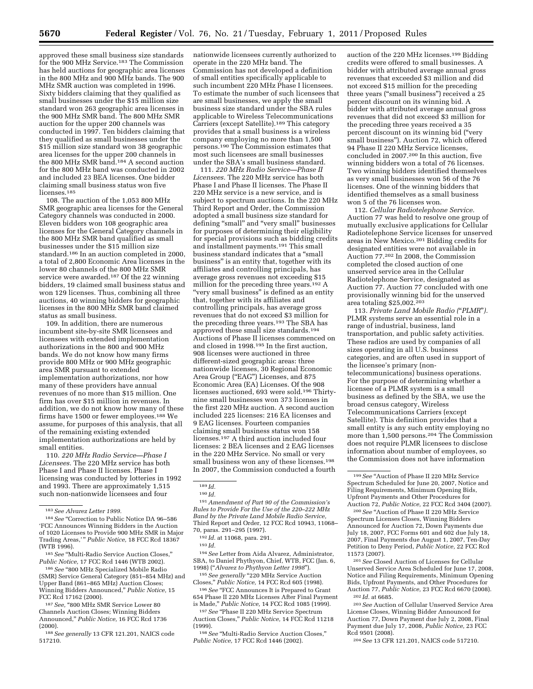approved these small business size standards for the 900 MHz Service.183 The Commission has held auctions for geographic area licenses in the 800 MHz and 900 MHz bands. The 900 MHz SMR auction was completed in 1996. Sixty bidders claiming that they qualified as small businesses under the \$15 million size standard won 263 geographic area licenses in the 900 MHz SMR band. The 800 MHz SMR auction for the upper 200 channels was conducted in 1997. Ten bidders claiming that they qualified as small businesses under the \$15 million size standard won 38 geographic area licenses for the upper 200 channels in the 800 MHz SMR band.184 A second auction for the 800 MHz band was conducted in 2002 and included 23 BEA licenses. One bidder claiming small business status won five licenses.<sup>185</sup>

108. The auction of the 1,053 800 MHz SMR geographic area licenses for the General Category channels was conducted in 2000. Eleven bidders won 108 geographic area licenses for the General Category channels in the 800 MHz SMR band qualified as small businesses under the \$15 million size standard.186 In an auction completed in 2000, a total of 2,800 Economic Area licenses in the lower 80 channels of the 800 MHz SMR service were awarded.<sup>187</sup> Of the 22 winning bidders, 19 claimed small business status and won 129 licenses. Thus, combining all three auctions, 40 winning bidders for geographic licenses in the 800 MHz SMR band claimed status as small business.

109. In addition, there are numerous incumbent site-by-site SMR licensees and licensees with extended implementation authorizations in the 800 and 900 MHz bands. We do not know how many firms provide 800 MHz or 900 MHz geographic area SMR pursuant to extended implementation authorizations, nor how many of these providers have annual revenues of no more than \$15 million. One firm has over \$15 million in revenues. In addition, we do not know how many of these firms have 1500 or fewer employees.188 We assume, for purposes of this analysis, that all of the remaining existing extended implementation authorizations are held by small entities.

110. *220 MHz Radio Service—Phase I Licensees.* The 220 MHz service has both Phase I and Phase II licenses. Phase I licensing was conducted by lotteries in 1992 and 1993. There are approximately 1,515 such non-nationwide licensees and four

<sup>186</sup> See "800 MHz Specialized Mobile Radio (SMR) Service General Category (851–854 MHz) and Upper Band (861–865 MHz) Auction Closes; Winning Bidders Announced,'' *Public Notice,* 15 FCC Rcd 17162 (2000).

<sup>187</sup> See, "800 MHz SMR Service Lower 80 Channels Auction Closes; Winning Bidders Announced,'' *Public Notice,* 16 FCC Rcd 1736 (2000).

188*See generally* 13 CFR 121.201, NAICS code 517210.

nationwide licensees currently authorized to operate in the 220 MHz band. The Commission has not developed a definition of small entities specifically applicable to such incumbent 220 MHz Phase I licensees. To estimate the number of such licensees that are small businesses, we apply the small business size standard under the SBA rules applicable to Wireless Telecommunications Carriers (except Satellite).<sup>189</sup> This category provides that a small business is a wireless company employing no more than 1,500 persons.190 The Commission estimates that most such licensees are small businesses under the SBA's small business standard.

111. *220 MHz Radio Service—Phase II Licensees.* The 220 MHz service has both Phase I and Phase II licenses. The Phase II 220 MHz service is a new service, and is subject to spectrum auctions. In the 220 MHz Third Report and Order, the Commission adopted a small business size standard for defining ''small'' and ''very small'' businesses for purposes of determining their eligibility for special provisions such as bidding credits and installment payments.191 This small business standard indicates that a ''small business'' is an entity that, together with its affiliates and controlling principals, has average gross revenues not exceeding \$15 million for the preceding three years.<sup>192</sup> A ''very small business'' is defined as an entity that, together with its affiliates and controlling principals, has average gross revenues that do not exceed \$3 million for the preceding three years.193 The SBA has approved these small size standards.<sup>194</sup> Auctions of Phase II licenses commenced on and closed in 1998.195 In the first auction, 908 licenses were auctioned in three different-sized geographic areas: three nationwide licenses, 30 Regional Economic Area Group ("EAG") Licenses, and 875 Economic Area (EA) Licenses. Of the 908 licenses auctioned, 693 were sold.196 Thirtynine small businesses won 373 licenses in the first 220 MHz auction. A second auction included 225 licenses: 216 EA licenses and 9 EAG licenses. Fourteen companies claiming small business status won 158 licenses.197 A third auction included four licenses: 2 BEA licenses and 2 EAG licenses in the 220 MHz Service. No small or very small business won any of these licenses.198 In 2007, the Commission conducted a fourth

189 *Id.* 

191*Amendment of Part 90 of the Commission's Rules to Provide For the Use of the 220–222 MHz Band by the Private Land Mobile Radio Service,*  Third Report and Order, 12 FCC Rcd 10943, 11068– 70, paras. 291–295 (1997).

192 *Id.* at 11068, para. 291.

194*See* Letter from Aida Alvarez, Administrator, SBA, to Daniel Phythyon, Chief, WTB, FCC (Jan. 6, 1998) (''*Alvarez to Phythyon Letter 1998*'').

<sup>195</sup> See generally "220 MHz Service Auction Closes,'' *Public Notice,* 14 FCC Rcd 605 (1998).

<sup>196</sup> See "FCC Announces It is Prepared to Grant 654 Phase II 220 MHz Licenses After Final Payment is Made,'' *Public Notice,* 14 FCC Rcd 1085 (1999).

<sup>197</sup> See "Phase II 220 MHz Service Spectrum Auction Closes,'' *Public Notice,* 14 FCC Rcd 11218 (1999).

198*See* ''Multi-Radio Service Auction Closes,'' *Public Notice,* 17 FCC Rcd 1446 (2002).

auction of the 220 MHz licenses.199 Bidding credits were offered to small businesses. A bidder with attributed average annual gross revenues that exceeded \$3 million and did not exceed \$15 million for the preceding three years (''small business'') received a 25 percent discount on its winning bid. A bidder with attributed average annual gross revenues that did not exceed \$3 million for the preceding three years received a 35 percent discount on its winning bid (''very small business''). Auction 72, which offered 94 Phase II 220 MHz Service licenses, concluded in 2007.200 In this auction, five winning bidders won a total of 76 licenses. Two winning bidders identified themselves as very small businesses won 56 of the 76 licenses. One of the winning bidders that identified themselves as a small business won 5 of the 76 licenses won.

112. *Cellular Radiotelephone Service.*  Auction 77 was held to resolve one group of mutually exclusive applications for Cellular Radiotelephone Service licenses for unserved areas in New Mexico.201 Bidding credits for designated entities were not available in Auction 77.202 In 2008, the Commission completed the closed auction of one unserved service area in the Cellular Radiotelephone Service, designated as Auction 77. Auction 77 concluded with one provisionally winning bid for the unserved area totaling \$25,002.203

113. *Private Land Mobile Radio (*''*PLMR*''*).*  PLMR systems serve an essential role in a range of industrial, business, land transportation, and public safety activities. These radios are used by companies of all sizes operating in all U.S. business categories, and are often used in support of the licensee's primary (nontelecommunications) business operations. For the purpose of determining whether a licensee of a PLMR system is a small business as defined by the SBA, we use the broad census category, Wireless Telecommunications Carriers (except Satellite). This definition provides that a small entity is any such entity employing no more than 1,500 persons.<sup>204</sup> The Commission does not require PLMR licensees to disclose information about number of employees, so the Commission does not have information

<sup>200</sup> See "Auction of Phase II 220 MHz Service Spectrum Licenses Closes, Winning Bidders Announced for Auction 72, Down Payments due July 18, 2007, FCC Forms 601 and 602 due July 18, 2007, Final Payments due August 1, 2007, Ten-Day Petition to Deny Period, *Public Notice,* 22 FCC Rcd 11573 (2007).

201*See* Closed Auction of Licenses for Cellular Unserved Service Area Scheduled for June 17, 2008, Notice and Filing Requirements, Minimum Opening Bids, Upfront Payments, and Other Procedures for Auction 77, *Public Notice,* 23 FCC Rcd 6670 (2008). 202 *Id.* at 6685.

203*See* Auction of Cellular Unserved Service Area License Closes, Winning Bidder Announced for Auction 77, Down Payment due July 2, 2008, Final Payment due July 17, 2008, *Public Notice,* 23 FCC Rcd 9501 (2008).

204*See* 13 CFR 121.201, NAICS code 517210.

<sup>183</sup>*See Alvarez Letter 1999.* 

<sup>&</sup>lt;sup>184</sup> See "Correction to Public Notice DA 96-586 'FCC Announces Winning Bidders in the Auction of 1020 Licenses to Provide 900 MHz SMR in Major Trading Areas,' '' *Public Notice,* 18 FCC Rcd 18367 (WTB 1996).

<sup>185</sup>*See* ''Multi-Radio Service Auction Closes,'' *Public Notice,* 17 FCC Rcd 1446 (WTB 2002).

<sup>190</sup> *Id.* 

<sup>193</sup> *Id.* 

<sup>199</sup>*See* ''Auction of Phase II 220 MHz Service Spectrum Scheduled for June 20, 2007, Notice and Filing Requirements, Minimum Opening Bids, Upfront Payments and Other Procedures for Auction 72, *Public Notice,* 22 FCC Rcd 3404 (2007).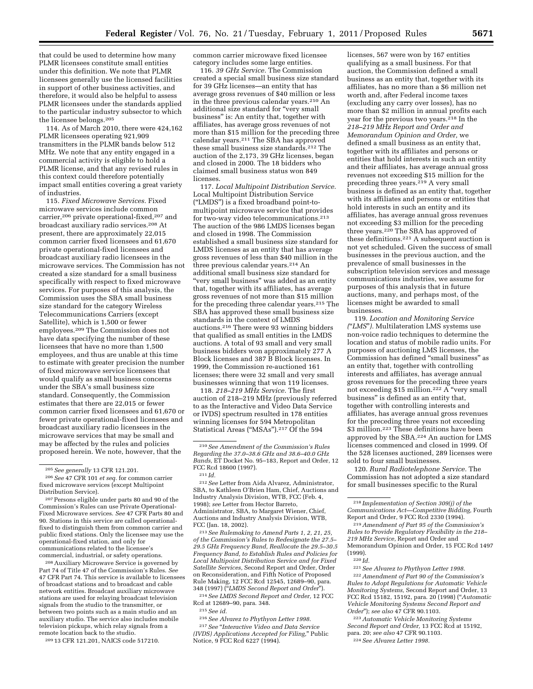that could be used to determine how many PLMR licensees constitute small entities under this definition. We note that PLMR licensees generally use the licensed facilities in support of other business activities, and therefore, it would also be helpful to assess PLMR licensees under the standards applied to the particular industry subsector to which the licensee belongs.205

114. As of March 2010, there were 424,162 PLMR licensees operating 921,909 transmitters in the PLMR bands below 512 MHz. We note that any entity engaged in a commercial activity is eligible to hold a PLMR license, and that any revised rules in this context could therefore potentially impact small entities covering a great variety of industries.

115. *Fixed Microwave Services.* Fixed microwave services include common carrier,206 private operational-fixed,207 and broadcast auxiliary radio services.208 At present, there are approximately 22,015 common carrier fixed licensees and 61,670 private operational-fixed licensees and broadcast auxiliary radio licensees in the microwave services. The Commission has not created a size standard for a small business specifically with respect to fixed microwave services. For purposes of this analysis, the Commission uses the SBA small business size standard for the category Wireless Telecommunications Carriers (except Satellite), which is 1,500 or fewer employees.209 The Commission does not have data specifying the number of these licensees that have no more than 1,500 employees, and thus are unable at this time to estimate with greater precision the number of fixed microwave service licensees that would qualify as small business concerns under the SBA's small business size standard. Consequently, the Commission estimates that there are 22,015 or fewer common carrier fixed licensees and 61,670 or fewer private operational-fixed licensees and broadcast auxiliary radio licensees in the microwave services that may be small and may be affected by the rules and policies proposed herein. We note, however, that the

206*See* 47 CFR 101 *et seq.* for common carrier fixed microwave services (except Multipoint Distribution Service).

207Persons eligible under parts 80 and 90 of the Commission's Rules can use Private Operational-Fixed Microwave services. *See* 47 CFR Parts 80 and 90. Stations in this service are called operationalfixed to distinguish them from common carrier and public fixed stations. Only the licensee may use the operational-fixed station, and only for communications related to the licensee's commercial, industrial, or safety operations.

208Auxiliary Microwave Service is governed by Part 74 of Title 47 of the Commission's Rules. *See*  47 CFR Part 74. This service is available to licensees of broadcast stations and to broadcast and cable network entities. Broadcast auxiliary microwave stations are used for relaying broadcast television signals from the studio to the transmitter, or between two points such as a main studio and an auxiliary studio. The service also includes mobile television pickups, which relay signals from a remote location back to the studio.

209 13 CFR 121.201, NAICS code 517210.

common carrier microwave fixed licensee category includes some large entities.

116. *39 GHz Service.* The Commission created a special small business size standard for 39 GHz licenses—an entity that has average gross revenues of \$40 million or less in the three previous calendar years.210 An additional size standard for "very small business'' is: An entity that, together with affiliates, has average gross revenues of not more than \$15 million for the preceding three calendar years.211 The SBA has approved these small business size standards.212 The auction of the 2,173, 39 GHz licenses, began and closed in 2000. The 18 bidders who claimed small business status won 849 licenses.

117. *Local Multipoint Distribution Service.*  Local Multipoint Distribution Service (''LMDS'') is a fixed broadband point-tomultipoint microwave service that provides for two-way video telecommunications.213 The auction of the 986 LMDS licenses began and closed in 1998. The Commission established a small business size standard for LMDS licenses as an entity that has average gross revenues of less than \$40 million in the three previous calendar years.214 An additional small business size standard for ''very small business'' was added as an entity that, together with its affiliates, has average gross revenues of not more than \$15 million for the preceding three calendar years.215 The SBA has approved these small business size standards in the context of LMDS auctions.216 There were 93 winning bidders that qualified as small entities in the LMDS auctions. A total of 93 small and very small business bidders won approximately 277 A Block licenses and 387 B Block licenses. In 1999, the Commission re-auctioned 161 licenses; there were 32 small and very small businesses winning that won 119 licenses.

118. *218–219 MHz Service.* The first auction of 218–219 MHz (previously referred to as the Interactive and Video Data Service or IVDS) spectrum resulted in 178 entities winning licenses for 594 Metropolitan Statistical Areas ("MSAs").<sup>217</sup> Of the 594

213*See Rulemaking to Amend Parts 1, 2, 21, 25, of the Commission's Rules to Redesignate the 27.5– 29.5 GHz Frequency Band, Reallocate the 29.5–30.5 Frequency Band, to Establish Rules and Policies for Local Multipoint Distribution Service and for Fixed Satellite Services,* Second Report and Order, Order on Reconsideration, and Fifth Notice of Proposed Rule Making, 12 FCC Rcd 12545, 12689–90, para. 348 (1997) (''*LMDS Second Report and Order*'').

214*See LMDS Second Report and Order,* 12 FCC Rcd at 12689–90, para. 348. 215*See id.* 

216*See Alvarez to Phythyon Letter 1998.*  217*See* ''*Interactive Video and Data Service (IVDS) Applications Accepted for Filing,*'' Public Notice, 9 FCC Rcd 6227 (1994).

licenses, 567 were won by 167 entities qualifying as a small business. For that auction, the Commission defined a small business as an entity that, together with its affiliates, has no more than a \$6 million net worth and, after Federal income taxes (excluding any carry over losses), has no more than \$2 million in annual profits each year for the previous two years.<sup>218</sup> In the *218–219 MHz Report and Order and Memorandum Opinion and Order,* we defined a small business as an entity that, together with its affiliates and persons or entities that hold interests in such an entity and their affiliates, has average annual gross revenues not exceeding \$15 million for the preceding three years.219 A very small business is defined as an entity that, together with its affiliates and persons or entities that hold interests in such an entity and its affiliates, has average annual gross revenues not exceeding \$3 million for the preceding three years.220 The SBA has approved of these definitions.221 A subsequent auction is not yet scheduled. Given the success of small businesses in the previous auction, and the prevalence of small businesses in the subscription television services and message communications industries, we assume for purposes of this analysis that in future auctions, many, and perhaps most, of the licenses might be awarded to small businesses.

119. *Location and Monitoring Service (*''*LMS*''*).* Multilateration LMS systems use non-voice radio techniques to determine the location and status of mobile radio units. For purposes of auctioning LMS licenses, the Commission has defined "small business" as an entity that, together with controlling interests and affiliates, has average annual gross revenues for the preceding three years not exceeding \$15 million.222 A ''very small business'' is defined as an entity that, together with controlling interests and affiliates, has average annual gross revenues for the preceding three years not exceeding \$3 million.<sup>223</sup> These definitions have been approved by the SBA.224 An auction for LMS licenses commenced and closed in 1999. Of the 528 licenses auctioned, 289 licenses were sold to four small businesses.

120. *Rural Radiotelephone Service.* The Commission has not adopted a size standard for small businesses specific to the Rural

219*Amendment of Part 95 of the Commission's Rules to Provide Regulatory Flexibility in the 218– 219 MHz Service,* Report and Order and Memorandum Opinion and Order, 15 FCC Rcd 1497 (1999).

221*See Alvarez to Phythyon Letter 1998.* 

222*Amendment of Part 90 of the Commission's Rules to Adopt Regulations for Automatic Vehicle Monitoring Systems,* Second Report and Order, 13 FCC Rcd 15182, 15192, para. 20 (1998) (''*Automatic Vehicle Monitoring Systems Second Report and Order*''); *see also* 47 CFR 90.1103.

223*Automatic Vehicle Monitoring Systems Second Report and Order,* 13 FCC Rcd at 15192, para. 20; *see also* 47 CFR 90.1103. 224*See Alvarez Letter 1998.* 

<sup>205</sup>*See generally* 13 CFR 121.201.

<sup>210</sup>*See Amendment of the Commission's Rules Regarding the 37.0–38.6 GHz and 38.6–40.0 GHz Bands,* ET Docket No. 95–183, Report and Order, 12 FCC Rcd 18600 (1997).

<sup>211</sup> *Id.* 

<sup>212</sup>*See* Letter from Aida Alvarez, Administrator, SBA, to Kathleen O'Brien Ham, Chief, Auctions and Industry Analysis Division, WTB, FCC (Feb. 4, 1998); *see* Letter from Hector Barreto, Administrator, SBA, to Margaret Wiener, Chief, Auctions and Industry Analysis Division, WTB, FCC (Jan. 18, 2002).

<sup>218</sup> *Implementation of Section 309(j) of the Communications Act—Competitive Bidding,* Fourth Report and Order, 9 FCC Rcd 2330 (1994).

<sup>220</sup> *Id.*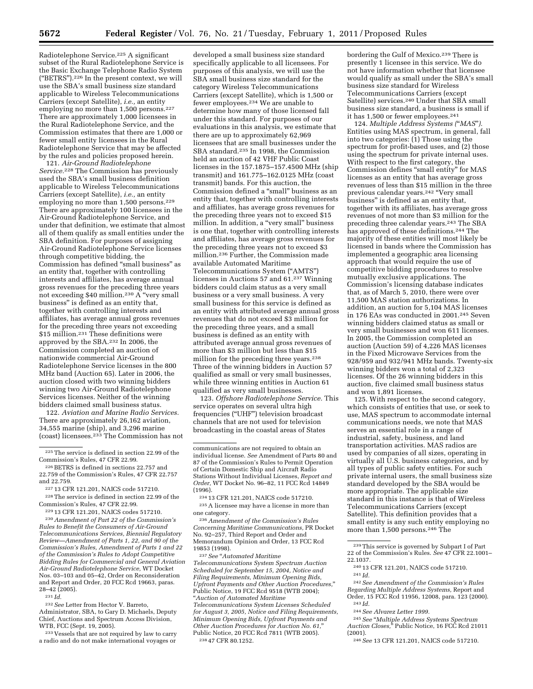Radiotelephone Service.<sup>225</sup> A significant subset of the Rural Radiotelephone Service is the Basic Exchange Telephone Radio System (''BETRS'').226 In the present context, we will use the SBA's small business size standard applicable to Wireless Telecommunications Carriers (except Satellite), *i.e.,* an entity employing no more than 1,500 persons.227 There are approximately 1,000 licensees in the Rural Radiotelephone Service, and the Commission estimates that there are 1,000 or fewer small entity licensees in the Rural Radiotelephone Service that may be affected by the rules and policies proposed herein.

121. *Air-Ground Radiotelephone Service.*228 The Commission has previously used the SBA's small business definition applicable to Wireless Telecommunications Carriers (except Satellite), *i.e.,* an entity employing no more than 1,500 persons.<sup>229</sup> There are approximately 100 licensees in the Air-Ground Radiotelephone Service, and under that definition, we estimate that almost all of them qualify as small entities under the SBA definition. For purposes of assigning Air-Ground Radiotelephone Service licenses through competitive bidding, the Commission has defined ''small business'' as an entity that, together with controlling interests and affiliates, has average annual gross revenues for the preceding three years not exceeding \$40 million.230 A ''very small business'' is defined as an entity that, together with controlling interests and affiliates, has average annual gross revenues for the preceding three years not exceeding \$15 million.231 These definitions were approved by the SBA.232 In 2006, the Commission completed an auction of nationwide commercial Air-Ground Radiotelephone Service licenses in the 800 MHz band (Auction 65). Later in 2006, the auction closed with two winning bidders winning two Air-Ground Radiotelephone Services licenses. Neither of the winning bidders claimed small business status.

122. *Aviation and Marine Radio Services.*  There are approximately 26,162 aviation, 34,555 marine (ship), and 3,296 marine (coast) licensees.233 The Commission has not

227 13 CFR 121.201, NAICS code 517210.

228The service is defined in section 22.99 of the Commission's Rules, 47 CFR 22.99.

229 13 CFR 121.201, NAICS codes 517210.

230*Amendment of Part 22 of the Commission's Rules to Benefit the Consumers of Air-Ground Telecommunications Services, Biennial Regulatory Review—Amendment of Parts 1, 22, and 90 of the Commission's Rules, Amendment of Parts 1 and 22 of the Commission's Rules to Adopt Competitive Bidding Rules for Commercial and General Aviation Air-Ground Radiotelephone Service,* WT Docket Nos. 03–103 and 05–42, Order on Reconsideration and Report and Order, 20 FCC Rcd 19663, paras. 28–42 (2005).

231 *Id.* 

232*See* Letter from Hector V. Barreto, Administrator, SBA, to Gary D. Michaels, Deputy Chief, Auctions and Spectrum Access Division, WTB, FCC (Sept. 19, 2005).

233 Vessels that are not required by law to carry a radio and do not make international voyages or

developed a small business size standard specifically applicable to all licensees. For purposes of this analysis, we will use the SBA small business size standard for the category Wireless Telecommunications Carriers (except Satellite), which is 1,500 or fewer employees.234 We are unable to determine how many of those licensed fall under this standard. For purposes of our evaluations in this analysis, we estimate that there are up to approximately 62,969 licensees that are small businesses under the SBA standard.235 In 1998, the Commission held an auction of 42 VHF Public Coast licenses in the 157.1875–157.4500 MHz (ship transmit) and 161.775–162.0125 MHz (coast transmit) bands. For this auction, the Commission defined a ''small'' business as an entity that, together with controlling interests and affiliates, has average gross revenues for the preceding three years not to exceed \$15 million. In addition, a "very small" business is one that, together with controlling interests and affiliates, has average gross revenues for the preceding three years not to exceed \$3 million.236 Further, the Commission made available Automated Maritime Telecommunications System (''AMTS'') licenses in Auctions 57 and 61.<sup>237</sup> Winning bidders could claim status as a very small business or a very small business. A very small business for this service is defined as an entity with attributed average annual gross revenues that do not exceed \$3 million for the preceding three years, and a small business is defined as an entity with attributed average annual gross revenues of more than \$3 million but less than \$15 million for the preceding three years.238 Three of the winning bidders in Auction 57 qualified as small or very small businesses, while three winning entities in Auction 61 qualified as very small businesses.

123. *Offshore Radiotelephone Service.* This service operates on several ultra high frequencies ("UHF") television broadcast channels that are not used for television broadcasting in the coastal areas of States

234 13 CFR 121.201, NAICS code 517210. 235A licensee may have a license in more than one category.

236*Amendment of the Commission's Rules Concerning Maritime Communications,* PR Docket No. 92–257, Third Report and Order and Memorandum Opinion and Order, 13 FCC Rcd 19853 (1998).

237*See* ''*Automated Maritime Telecommunications System Spectrum Auction Scheduled for September 15, 2004, Notice and Filing Requirements, Minimum Opening Bids, Upfront Payments and Other Auction Procedures,*'' Public Notice, 19 FCC Rcd 9518 (WTB 2004); ''*Auction of Automated Maritime* 

*Telecommunications System Licenses Scheduled for August 3, 2005, Notice and Filing Requirements, Minimum Opening Bids, Upfront Payments and Other Auction Procedures for Auction No. 61,*'' Public Notice, 20 FCC Rcd 7811 (WTB 2005). 238 47 CFR 80.1252.

bordering the Gulf of Mexico.239 There is presently 1 licensee in this service. We do not have information whether that licensee would qualify as small under the SBA's small business size standard for Wireless Telecommunications Carriers (except Satellite) services.<sup>240</sup> Under that SBA small business size standard, a business is small if it has 1,500 or fewer employees.241

124. *Multiple Address Systems (*''*MAS*''*).*  Entities using MAS spectrum, in general, fall into two categories:  $(i)$  Those using the spectrum for profit-based uses, and (2) those using the spectrum for private internal uses. With respect to the first category, the Commission defines "small entity" for MAS licenses as an entity that has average gross revenues of less than \$15 million in the three previous calendar years.242 ''Very small business'' is defined as an entity that, together with its affiliates, has average gross revenues of not more than \$3 million for the preceding three calendar years.243 The SBA has approved of these definitions.<sup>244</sup> The majority of these entities will most likely be licensed in bands where the Commission has implemented a geographic area licensing approach that would require the use of competitive bidding procedures to resolve mutually exclusive applications. The Commission's licensing database indicates that, as of March 5, 2010, there were over 11,500 MAS station authorizations. In addition, an auction for 5,104 MAS licenses in 176 EAs was conducted in 2001.245 Seven winning bidders claimed status as small or very small businesses and won 611 licenses. In 2005, the Commission completed an auction (Auction 59) of 4,226 MAS licenses in the Fixed Microwave Services from the 928/959 and 932/941 MHz bands. Twenty-six winning bidders won a total of 2,323 licenses. Of the 26 winning bidders in this auction, five claimed small business status and won 1,891 licenses.

125. With respect to the second category, which consists of entities that use, or seek to use, MAS spectrum to accommodate internal communications needs, we note that MAS serves an essential role in a range of industrial, safety, business, and land transportation activities. MAS radios are used by companies of all sizes, operating in virtually all U.S. business categories, and by all types of public safety entities. For such private internal users, the small business size standard developed by the SBA would be more appropriate. The applicable size standard in this instance is that of Wireless Telecommunications Carriers (except Satellite). This definition provides that a small entity is any such entity employing no more than 1,500 persons.<sup>246</sup> The

- 242*See Amendment of the Commission's Rules Regarding Multiple Address Systems,* Report and Order, 15 FCC Rcd 11956, 12008, para. 123 (2000). 243 *Id.* 
	- 244*See Alvarez Letter 1999.*
	-

245*See* ''*Multiple Address Systems Spectrum Auction Closes,*<sup>5</sup> Public Notice, 16 FCC Rcd 21011 (2001).

(2001). 246*See* 13 CFR 121.201, NAICS code 517210.

<sup>225</sup>The service is defined in section 22.99 of the Commission's Rules, 47 CFR 22.99.

<sup>226</sup>BETRS is defined in sections 22.757 and 22.759 of the Commission's Rules, 47 CFR 22.757 and 22.759.

communications are not required to obtain an individual license. *See* Amendment of Parts 80 and 87 of the Commission's Rules to Permit Operation of Certain Domestic Ship and Aircraft Radio Stations Without Individual Licenses, *Report and Order,* WT Docket No. 96–82, 11 FCC Rcd 14849 (1996).

<sup>239</sup>This service is governed by Subpart I of Part 22 of the Commission's Rules. *See* 47 CFR 22.1001–

<sup>22.1037. 240</sup> 13 CFR 121.201, NAICS code 517210. 241 *Id.*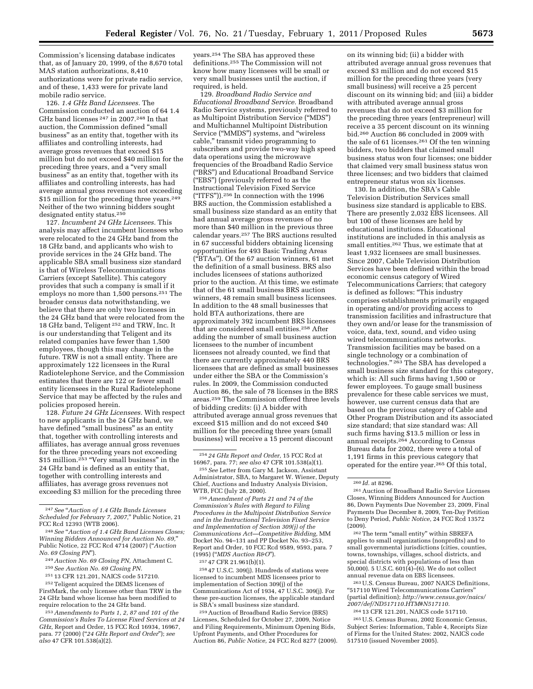Commission's licensing database indicates that, as of January 20, 1999, of the 8,670 total MAS station authorizations, 8,410 authorizations were for private radio service, and of these, 1,433 were for private land mobile radio service.

126. *1.4 GHz Band Licensees.* The Commission conducted an auction of 64 1.4 GHz band licenses 247 in 2007.248 In that auction, the Commission defined ''small business'' as an entity that, together with its affiliates and controlling interests, had average gross revenues that exceed \$15 million but do not exceed \$40 million for the preceding three years, and a "very small business'' as an entity that, together with its affiliates and controlling interests, has had average annual gross revenues not exceeding \$15 million for the preceding three years.<sup>249</sup> Neither of the two winning bidders sought designated entity status.250

127. *Incumbent 24 GHz Licensees.* This analysis may affect incumbent licensees who were relocated to the 24 GHz band from the 18 GHz band, and applicants who wish to provide services in the 24 GHz band. The applicable SBA small business size standard is that of Wireless Telecommunications Carriers (except Satellite). This category provides that such a company is small if it employs no more than 1,500 persons.<sup>251</sup> The broader census data notwithstanding, we believe that there are only two licensees in the 24 GHz band that were relocated from the 18 GHz band, Teligent 252 and TRW, Inc. It is our understanding that Teligent and its related companies have fewer than 1,500 employees, though this may change in the future. TRW is not a small entity. There are approximately 122 licensees in the Rural Radiotelephone Service, and the Commission estimates that there are 122 or fewer small entity licensees in the Rural Radiotelephone Service that may be affected by the rules and policies proposed herein.

128. *Future 24 GHz Licensees.* With respect to new applicants in the 24 GHz band, we have defined "small business" as an entity that, together with controlling interests and affiliates, has average annual gross revenues for the three preceding years not exceeding \$15 million.<sup>253</sup> "Very small business" in the 24 GHz band is defined as an entity that, together with controlling interests and affiliates, has average gross revenues not exceeding \$3 million for the preceding three

252Teligent acquired the DEMS licenses of FirstMark, the only licensee other than TRW in the 24 GHz band whose license has been modified to require relocation to the 24 GHz band.

years.254 The SBA has approved these definitions.255 The Commission will not know how many licensees will be small or very small businesses until the auction, if required, is held.

129. *Broadband Radio Service and Educational Broadband Service.* Broadband Radio Service systems, previously referred to as Multipoint Distribution Service (''MDS'') and Multichannel Multipoint Distribution Service (''MMDS'') systems, and ''wireless cable,'' transmit video programming to subscribers and provide two-way high speed data operations using the microwave frequencies of the Broadband Radio Service (''BRS'') and Educational Broadband Service (''EBS'') (previously referred to as the Instructional Television Fixed Service (''ITFS'')).256 In connection with the 1996 BRS auction, the Commission established a small business size standard as an entity that had annual average gross revenues of no more than \$40 million in the previous three calendar years.257 The BRS auctions resulted in 67 successful bidders obtaining licensing opportunities for 493 Basic Trading Areas (''BTAs''). Of the 67 auction winners, 61 met the definition of a small business. BRS also includes licensees of stations authorized prior to the auction. At this time, we estimate that of the 61 small business BRS auction winners, 48 remain small business licensees. In addition to the 48 small businesses that hold BTA authorizations, there are approximately 392 incumbent BRS licensees that are considered small entities.258 After adding the number of small business auction licensees to the number of incumbent licensees not already counted, we find that there are currently approximately 440 BRS licensees that are defined as small businesses under either the SBA or the Commission's rules. In 2009, the Commission conducted Auction 86, the sale of 78 licenses in the BRS areas.259 The Commission offered three levels of bidding credits: (i) A bidder with attributed average annual gross revenues that exceed \$15 million and do not exceed \$40 million for the preceding three years (small business) will receive a 15 percent discount

255*See* Letter from Gary M. Jackson, Assistant Administrator, SBA, to Margaret W. Wiener, Deputy Chief, Auctions and Industry Analysis Division, WTB, FCC (July 28, 2000).

256*Amendment of Parts 21 and 74 of the Commission's Rules with Regard to Filing Procedures in the Multipoint Distribution Service and in the Instructional Television Fixed Service and Implementation of Section 309(j) of the Communications Act—Competitive Bidding,* MM Docket No. 94–131 and PP Docket No. 93–253, Report and Order, 10 FCC Rcd 9589, 9593, para. 7 (1995) (''*MDS Auction R&O*'').

257 47 CFR 21.961(b)(1).

258 47 U.S.C. 309(j). Hundreds of stations were licensed to incumbent MDS licensees prior to implementation of Section 309(j) of the Communications Act of 1934, 47 U.S.C. 309(j). For these pre-auction licenses, the applicable standard is SBA's small business size standard.

259Auction of Broadband Radio Service (BRS) Licenses, Scheduled for October 27, 2009, Notice and Filing Requirements, Minimum Opening Bids, Upfront Payments, and Other Procedures for Auction 86, *Public Notice,* 24 FCC Rcd 8277 (2009).

on its winning bid; (ii) a bidder with attributed average annual gross revenues that exceed \$3 million and do not exceed \$15 million for the preceding three years (very small business) will receive a 25 percent discount on its winning bid; and (iii) a bidder with attributed average annual gross revenues that do not exceed \$3 million for the preceding three years (entrepreneur) will receive a 35 percent discount on its winning bid.260 Auction 86 concluded in 2009 with the sale of 61 licenses.261 Of the ten winning bidders, two bidders that claimed small business status won four licenses; one bidder that claimed very small business status won three licenses; and two bidders that claimed entrepreneur status won six licenses.

130. In addition, the SBA's Cable Television Distribution Services small business size standard is applicable to EBS. There are presently 2,032 EBS licensees. All but 100 of these licenses are held by educational institutions. Educational institutions are included in this analysis as small entities.262 Thus, we estimate that at least 1,932 licensees are small businesses. Since 2007, Cable Television Distribution Services have been defined within the broad economic census category of Wired Telecommunications Carriers; that category is defined as follows: ''This industry comprises establishments primarily engaged in operating and/or providing access to transmission facilities and infrastructure that they own and/or lease for the transmission of voice, data, text, sound, and video using wired telecommunications networks. Transmission facilities may be based on a single technology or a combination of technologies." <sup>263</sup> The SBA has developed a small business size standard for this category, which is: All such firms having 1,500 or fewer employees. To gauge small business prevalence for these cable services we must, however, use current census data that are based on the previous category of Cable and Other Program Distribution and its associated size standard; that size standard was: All such firms having \$13.5 million or less in annual receipts.264 According to Census Bureau data for 2002, there were a total of 1,191 firms in this previous category that operated for the entire year.265 Of this total,

262The term ''small entity'' within SBREFA applies to small organizations (nonprofits) and to small governmental jurisdictions (cities, counties, towns, townships, villages, school districts, and special districts with populations of less than 50,000). 5 U.S.C. 601(4)–(6). We do not collect annual revenue data on EBS licensees.

263U.S. Census Bureau, 2007 NAICS Definitions, ''517110 Wired Telecommunications Carriers'' (partial definition); *[http://www.census.gov/naics/](http://www.census.gov/naics/2007/def/ND517110.HTM#N517110)  [2007/def/ND517110.HTM#N517110.](http://www.census.gov/naics/2007/def/ND517110.HTM#N517110)* 

264 13 CFR 121.201, NAICS code 517110. 265U.S. Census Bureau, 2002 Economic Census,

Subject Series: Information, Table 4, Receipts Size of Firms for the United States: 2002, NAICS code 517510 (issued November 2005).

<sup>247</sup>*See* ''*Auction of 1.4 GHz Bands Licenses Scheduled for February 7, 2007,*'' Public Notice, 21 FCC Rcd 12393 (WTB 2006).

<sup>248</sup>*See* ''*Auction of 1.4 GHz Band Licenses Closes; Winning Bidders Announced for Auction No. 69,*'' Public Notice, 22 FCC Rcd 4714 (2007) (''*Auction No. 69 Closing PN*'').

<sup>249</sup>*Auction No. 69 Closing PN,* Attachment C.

<sup>250</sup>*See Auction No. 69 Closing PN.* 

<sup>251</sup> 13 CFR 121.201, NAICS code 517210.

<sup>253</sup>*Amendments to Parts 1, 2, 87 and 101 of the Commission's Rules To License Fixed Services at 24 GHz,* Report and Order, 15 FCC Rcd 16934, 16967, para. 77 (2000) (''*24 GHz Report and Order*''); *see also* 47 CFR 101.538(a)(2).

<sup>254</sup> *24 GHz Report and Order,* 15 FCC Rcd at 16967, para. 77; *see also* 47 CFR 101.538(a)(1).

<sup>260</sup> *Id.* at 8296.

<sup>261</sup>Auction of Broadband Radio Service Licenses Closes, Winning Bidders Announced for Auction 86, Down Payments Due November 23, 2009, Final Payments Due December 8, 2009, Ten-Day Petition to Deny Period, *Public Notice,* 24 FCC Rcd 13572 (2009).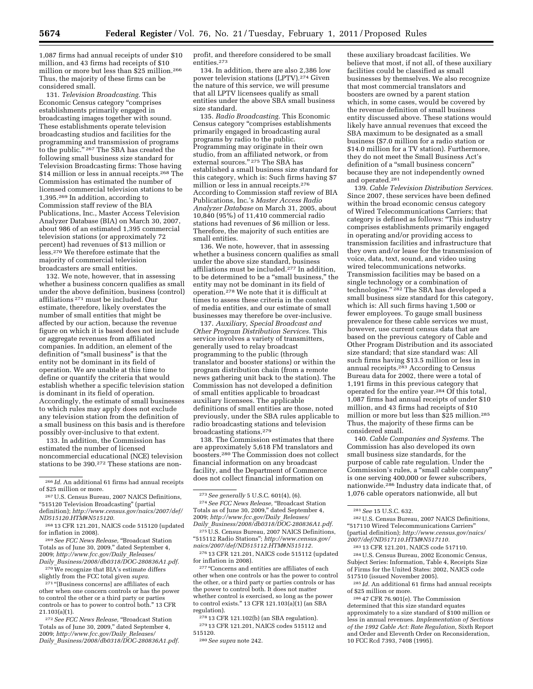1,087 firms had annual receipts of under \$10 million, and 43 firms had receipts of \$10 million or more but less than \$25 million.266 Thus, the majority of these firms can be considered small.

131. *Television Broadcasting.* This Economic Census category ''comprises establishments primarily engaged in broadcasting images together with sound. These establishments operate television broadcasting studios and facilities for the programming and transmission of programs to the public."<sup>267</sup> The SBA has created the following small business size standard for Television Broadcasting firms: Those having \$14 million or less in annual receipts.268 The Commission has estimated the number of licensed commercial television stations to be 1,395.269 In addition, according to Commission staff review of the BIA Publications, Inc., Master Access Television Analyzer Database (BIA) on March 30, 2007, about 986 of an estimated 1,395 commercial television stations (or approximately 72 percent) had revenues of \$13 million or less.270 We therefore estimate that the majority of commercial television broadcasters are small entities.

132. We note, however, that in assessing whether a business concern qualifies as small under the above definition, business (control) affiliations 271 must be included. Our estimate, therefore, likely overstates the number of small entities that might be affected by our action, because the revenue figure on which it is based does not include or aggregate revenues from affiliated companies. In addition, an element of the definition of ''small business'' is that the entity not be dominant in its field of operation. We are unable at this time to define or quantify the criteria that would establish whether a specific television station is dominant in its field of operation. Accordingly, the estimate of small businesses to which rules may apply does not exclude any television station from the definition of a small business on this basis and is therefore possibly over-inclusive to that extent.

133. In addition, the Commission has estimated the number of licensed noncommercial educational (NCE) television stations to be 390.272 These stations are non-

271 "[Business concerns] are affiliates of each other when one concern controls or has the power to control the other or a third party or parties controls or has to power to control both.'' 13 CFR 21.103(a)(1).

272*See FCC News Release,* ''Broadcast Station Totals as of June 30, 2009,'' dated September 4, 2009; *[http://www.fcc.gov/Daily](http://www.fcc.gov/Daily_Releases/Daily_Business/2008/db0318/DOC-280836A1.pdf)*\_*Releases/ Daily*\_*[Business/2008/db0318/DOC-280836A1.pdf.](http://www.fcc.gov/Daily_Releases/Daily_Business/2008/db0318/DOC-280836A1.pdf)*  profit, and therefore considered to be small entities.273

134. In addition, there are also 2,386 low power television stations (LPTV).274 Given the nature of this service, we will presume that all LPTV licensees qualify as small entities under the above SBA small business size standard.

135. *Radio Broadcasting.* This Economic Census category ''comprises establishments primarily engaged in broadcasting aural programs by radio to the public. Programming may originate in their own studio, from an affiliated network, or from external sources." <sup>275</sup> The SBA has established a small business size standard for this category, which is: Such firms having \$7 million or less in annual receipts.276 According to Commission staff review of BIA Publications, Inc.'s *Master Access Radio Analyzer Database* on March 31, 2005, about 10,840 (95%) of 11,410 commercial radio stations had revenues of \$6 million or less. Therefore, the majority of such entities are small entities.

136. We note, however, that in assessing whether a business concern qualifies as small under the above size standard, business affiliations must be included.<sup>277</sup> In addition, to be determined to be a ''small business,'' the entity may not be dominant in its field of operation.278 We note that it is difficult at times to assess these criteria in the context of media entities, and our estimate of small businesses may therefore be over-inclusive.

137. *Auxiliary, Special Broadcast and Other Program Distribution Services.* This service involves a variety of transmitters, generally used to relay broadcast programming to the public (through translator and booster stations) or within the program distribution chain (from a remote news gathering unit back to the station). The Commission has not developed a definition of small entities applicable to broadcast auxiliary licensees. The applicable definitions of small entities are those, noted previously, under the SBA rules applicable to radio broadcasting stations and television broadcasting stations.279

138. The Commission estimates that there are approximately 5,618 FM translators and boosters.280 The Commission does not collect financial information on any broadcast facility, and the Department of Commerce does not collect financial information on

<sup>274</sup> See FCC News Release, "Broadcast Station Totals as of June 30, 2009,'' dated September 4, 2009; *[http://www.fcc.gov/Daily](http://www.fcc.gov/Daily_Releases/Daily_Business/2008/db0318/DOC-280836A1.pdf)*\_*Releases/ Daily*\_*[Business/2008/db0318/DOC-280836A1.pdf.](http://www.fcc.gov/Daily_Releases/Daily_Business/2008/db0318/DOC-280836A1.pdf)* 

275U.S. Census Bureau, 2007 NAICS Definitions, ''515112 Radio Stations''; *[http://www.census.gov/](http://www.census.gov/naics/2007/def/ND515112.HTM#N515112) [naics/2007/def/ND515112.HTM#N515112.](http://www.census.gov/naics/2007/def/ND515112.HTM#N515112)* 

276 13 CFR 121.201, NAICS code 515112 (updated for inflation in 2008).

<sup>277</sup> "Concerns and entities are affiliates of each other when one controls or has the power to control the other, or a third party or parties controls or has the power to control both. It does not matter whether control is exercised, so long as the power to control exists.'' 13 CFR 121.103(a)(1) (an SBA regulation).

278 13 CFR 121.102(b) (an SBA regulation). 279 13 CFR 121.201, NAICS codes 515112 and 515120.

280*See supra* note 242.

these auxiliary broadcast facilities. We believe that most, if not all, of these auxiliary facilities could be classified as small businesses by themselves. We also recognize that most commercial translators and boosters are owned by a parent station which, in some cases, would be covered by the revenue definition of small business entity discussed above. These stations would likely have annual revenues that exceed the SBA maximum to be designated as a small business (\$7.0 million for a radio station or \$14.0 million for a TV station). Furthermore, they do not meet the Small Business Act's definition of a "small business concern" because they are not independently owned and operated.281

139. *Cable Television Distribution Services.*  Since 2007, these services have been defined within the broad economic census category of Wired Telecommunications Carriers; that category is defined as follows: ''This industry comprises establishments primarily engaged in operating and/or providing access to transmission facilities and infrastructure that they own and/or lease for the transmission of voice, data, text, sound, and video using wired telecommunications networks. Transmission facilities may be based on a single technology or a combination of technologies." <sup>282</sup> The SBA has developed a small business size standard for this category, which is: All such firms having 1,500 or fewer employees. To gauge small business prevalence for these cable services we must, however, use current census data that are based on the previous category of Cable and Other Program Distribution and its associated size standard; that size standard was: All such firms having \$13.5 million or less in annual receipts.283 According to Census Bureau data for 2002, there were a total of 1,191 firms in this previous category that operated for the entire year.284 Of this total, 1,087 firms had annual receipts of under \$10 million, and 43 firms had receipts of \$10 million or more but less than \$25 million.285 Thus, the majority of these firms can be considered small.

140. *Cable Companies and Systems.* The Commission has also developed its own small business size standards, for the purpose of cable rate regulation. Under the Commission's rules, a ''small cable company'' is one serving 400,000 or fewer subscribers, nationwide.286 Industry data indicate that, of 1,076 cable operators nationwide, all but

282U.S. Census Bureau, 2007 NAICS Definitions, ''517110 Wired Telecommunications Carriers'' (partial definition); *[http://www.census.gov/naics/](http://www.census.gov/naics/2007/def/ND517110.HTM#N517110)  [2007/def/ND517110.HTM#N517110.](http://www.census.gov/naics/2007/def/ND517110.HTM#N517110)* 

283 13 CFR 121.201, NAICS code 517110. 284U.S. Census Bureau, 2002 Economic Census, Subject Series: Information, Table 4, Receipts Size of Firms for the United States: 2002, NAICS code 517510 (issued November 2005).

285 *Id.* An additional 61 firms had annual receipts of \$25 million or more.

286 47 CFR 76.901(e). The Commission determined that this size standard equates approximately to a size standard of \$100 million or less in annual revenues. *Implementation of Sections of the 1992 Cable Act: Rate Regulation,* Sixth Report and Order and Eleventh Order on Reconsideration, 10 FCC Rcd 7393, 7408 (1995).

<sup>266</sup> *Id.* An additional 61 firms had annual receipts of \$25 million or more.

<sup>267</sup>U.S. Census Bureau, 2007 NAICS Definitions, "515120 Television Broadcasting" (partial definition); *[http://www.census.gov/naics/2007/def/](http://www.census.gov/naics/2007/def/ND515120.HTM#N515120)* 

*[ND515120.HTM#N515120.](http://www.census.gov/naics/2007/def/ND515120.HTM#N515120)*  268 13 CFR 121.201, NAICS code 515120 (updated

for inflation in 2008). <sup>269</sup> See FCC News Release, "Broadcast Station

Totals as of June 30, 2009,'' dated September 4, 2009; *[http://www.fcc.gov/Daily](http://www.fcc.gov/Daily_Releases/Daily_Business/2008/db0318/DOC-280836A1.pdf)*\_*Releases/* 

*Daily*\_*[Business/2008/db0318/DOC-280836A1.pdf.](http://www.fcc.gov/Daily_Releases/Daily_Business/2008/db0318/DOC-280836A1.pdf)*  <sup>270</sup>We recognize that BIA's estimate differs slightly from the FCC total given *supra.* 

<sup>273</sup>*See generally* 5 U.S.C. 601(4), (6).

<sup>281</sup>*See* 15 U.S.C. 632.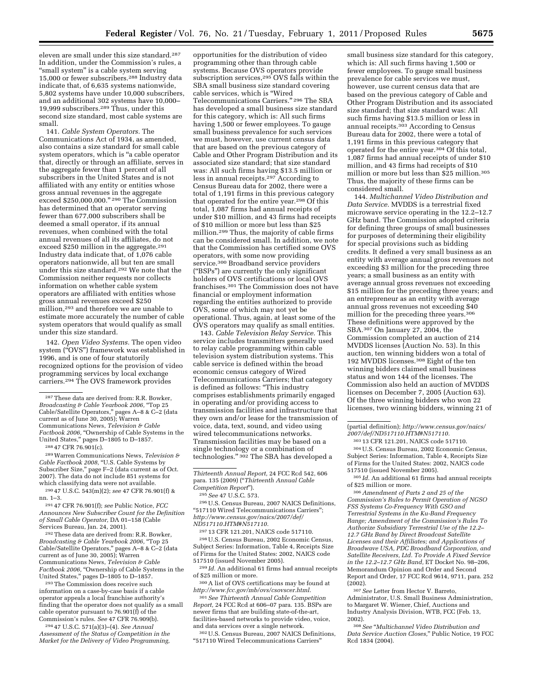eleven are small under this size standard.287 In addition, under the Commission's rules, a "small system" is a cable system serving 15,000 or fewer subscribers.288 Industry data indicate that, of 6,635 systems nationwide, 5,802 systems have under 10,000 subscribers, and an additional 302 systems have 10,000– 19,999 subscribers.289 Thus, under this second size standard, most cable systems are small.

141. *Cable System Operators.* The Communications Act of 1934, as amended, also contains a size standard for small cable system operators, which is ''a cable operator that, directly or through an affiliate, serves in the aggregate fewer than 1 percent of all subscribers in the United States and is not affiliated with any entity or entities whose gross annual revenues in the aggregate exceed \$250,000,000.'' 290 The Commission has determined that an operator serving fewer than 677,000 subscribers shall be deemed a small operator, if its annual revenues, when combined with the total annual revenues of all its affiliates, do not exceed \$250 million in the aggregate.291 Industry data indicate that, of 1,076 cable operators nationwide, all but ten are small under this size standard.292 We note that the Commission neither requests nor collects information on whether cable system operators are affiliated with entities whose gross annual revenues exceed \$250 million,293 and therefore we are unable to estimate more accurately the number of cable system operators that would qualify as small under this size standard.

142. *Open Video Systems.* The open video system (''OVS'') framework was established in 1996, and is one of four statutorily recognized options for the provision of video programming services by local exchange carriers.294 The OVS framework provides

288 47 CFR 76.901(c).

289Warren Communications News, *Television &*  Cable Factbook 2008, "U.S. Cable Systems by Subscriber Size,'' page F–2 (data current as of Oct. 2007). The data do not include 851 systems for which classifying data were not available.

290 47 U.S.C. 543(m)(2); *see* 47 CFR 76.901(f) & nn. 1–3.

291 47 CFR 76.901(f); *see* Public Notice*, FCC Announces New Subscriber Count for the Definition of Small Cable Operator,* DA 01–158 (Cable Services Bureau, Jan. 24, 2001).

292These data are derived from: R.R. Bowker, *Broadcasting & Cable Yearbook 2006,* ''Top 25 Cable/Satellite Operators,'' pages A–8 & C–2 (data current as of June 30, 2005); Warren Communications News, *Television & Cable*  Factbook 2006, "Ownership of Cable Systems in the United States,'' pages D–1805 to D–1857.

293The Commission does receive such information on a case-by-case basis if a cable operator appeals a local franchise authority's finding that the operator does not qualify as a small cable operator pursuant to 76.901(f) of the Commission's rules. *See* 47 CFR 76.909(b).

294 47 U.S.C. 571(a)(3)–(4). *See Annual Assessment of the Status of Competition in the Market for the Delivery of Video Programming,* 

opportunities for the distribution of video programming other than through cable systems. Because OVS operators provide subscription services,<sup>295</sup> OVS falls within the SBA small business size standard covering cable services, which is ''Wired Telecommunications Carriers.'' 296 The SBA has developed a small business size standard for this category, which is: All such firms having 1,500 or fewer employees. To gauge small business prevalence for such services we must, however, use current census data that are based on the previous category of Cable and Other Program Distribution and its associated size standard; that size standard was: All such firms having \$13.5 million or less in annual receipts.297 According to Census Bureau data for 2002, there were a total of 1,191 firms in this previous category that operated for the entire year.298 Of this total, 1,087 firms had annual receipts of under \$10 million, and 43 firms had receipts of \$10 million or more but less than \$25 million.299 Thus, the majority of cable firms can be considered small. In addition, we note that the Commission has certified some OVS operators, with some now providing service.300 Broadband service providers (''BSPs'') are currently the only significant holders of OVS certifications or local OVS franchises.301 The Commission does not have financial or employment information regarding the entities authorized to provide OVS, some of which may not yet be operational. Thus, again, at least some of the OVS operators may qualify as small entities.

143. *Cable Television Relay Service.* This service includes transmitters generally used to relay cable programming within cable television system distribution systems. This cable service is defined within the broad economic census category of Wired Telecommunications Carriers; that category is defined as follows: ''This industry comprises establishments primarily engaged in operating and/or providing access to transmission facilities and infrastructure that they own and/or lease for the transmission of voice, data, text, sound, and video using wired telecommunications networks. Transmission facilities may be based on a single technology or a combination of technologies.'' 302 The SBA has developed a

296U.S. Census Bureau, 2007 NAICS Definitions, ''517110 Wired Telecommunications Carriers''; *[http://www.census.gov/naics/2007/def/](http://www.census.gov/naics/2007/def/ND517110.HTM#N517110)  [ND517110.HTM#N517110.](http://www.census.gov/naics/2007/def/ND517110.HTM#N517110)* 

297 13 CFR 121.201, NAICS code 517110. 298U.S. Census Bureau, 2002 Economic Census, Subject Series: Information, Table 4, Receipts Size of Firms for the United States: 2002, NAICS code 517510 (issued November 2005).

299 *Id.* An additional 61 firms had annual receipts of \$25 million or more.

300A list of OVS certifications may be found at *<http://www.fcc.gov/mb/ovs/csovscer.html>*.

301*See Thirteenth Annual Cable Competition Report,* 24 FCC Rcd at 606–07 para. 135. BSPs are newer firms that are building state-of-the-art, facilities-based networks to provide video, voice, and data services over a single network.

302U.S. Census Bureau, 2007 NAICS Definitions, ''517110 Wired Telecommunications Carriers''

small business size standard for this category, which is: All such firms having 1,500 or fewer employees. To gauge small business prevalence for cable services we must, however, use current census data that are based on the previous category of Cable and Other Program Distribution and its associated size standard; that size standard was: All such firms having \$13.5 million or less in annual receipts.303 According to Census Bureau data for 2002, there were a total of 1,191 firms in this previous category that operated for the entire year.304 Of this total, 1,087 firms had annual receipts of under \$10 million, and 43 firms had receipts of \$10 million or more but less than \$25 million.305 Thus, the majority of these firms can be considered small.

144. *Multichannel Video Distribution and Data Service.* MVDDS is a terrestrial fixed microwave service operating in the 12.2–12.7 GHz band. The Commission adopted criteria for defining three groups of small businesses for purposes of determining their eligibility for special provisions such as bidding credits. It defined a very small business as an entity with average annual gross revenues not exceeding \$3 million for the preceding three years; a small business as an entity with average annual gross revenues not exceeding \$15 million for the preceding three years; and an entrepreneur as an entity with average annual gross revenues not exceeding \$40 million for the preceding three years.306 These definitions were approved by the SBA.307 On January 27, 2004, the Commission completed an auction of 214 MVDDS licenses (Auction No. 53). In this auction, ten winning bidders won a total of 192 MVDDS licenses.308 Eight of the ten winning bidders claimed small business status and won 144 of the licenses. The Commission also held an auction of MVDDS licenses on December 7, 2005 (Auction 63). Of the three winning bidders who won 22 licenses, two winning bidders, winning 21 of

303 13 CFR 121.201, NAICS code 517110. 304U.S. Census Bureau, 2002 Economic Census, Subject Series: Information, Table 4, Receipts Size of Firms for the United States: 2002, NAICS code 517510 (issued November 2005).

306*Amendment of Parts 2 and 25 of the Commission's Rules to Permit Operation of NGSO FSS Systems Co-Frequency With GSO and Terrestrial Systems in the Ku-Band Frequency Range; Amendment of the Commission's Rules To Authorize Subsidiary Terrestrial Use of the 12.2– 12.7 GHz Band by Direct Broadcast Satellite Licenses and their Affiliates; and Applications of Broadwave USA, PDC Broadband Corporation, and Satellite Receivers, Ltd. To Provide A Fixed Service in the 12.2–12.7 GHz Band,* ET Docket No. 98–206, Memorandum Opinion and Order and Second Report and Order, 17 FCC Rcd 9614, 9711, para. 252  $(2002)$ .

307*See* Letter from Hector V. Barreto, Administrator, U.S. Small Business Administration, to Margaret W. Wiener, Chief, Auctions and Industry Analysis Division, WTB, FCC (Feb. 13, 2002).

308*See* ''*Multichannel Video Distribution and Data Service Auction Closes,*'' Public Notice, 19 FCC Rcd 1834 (2004).

<sup>287</sup>These data are derived from: R.R. Bowker, *Broadcasting & Cable Yearbook 2006,* ''Top 25 Cable/Satellite Operators,'' pages A–8 & C–2 (data current as of June 30, 2005); Warren Communications News, *Television & Cable*  Factbook 2006, "Ownership of Cable Systems in the United States,'' pages D–1805 to D–1857.

*Thirteenth Annual Report,* 24 FCC Rcd 542, 606 para. 135 (2009) (''*Thirteenth Annual Cable Competition Report*'').

<sup>295</sup>*See* 47 U.S.C. 573.

<sup>(</sup>partial definition); *[http://www.census.gov/naics/](http://www.census.gov/naics/2007/def/ND517110.HTM#N517110)  [2007/def/ND517110.HTM#N517110.](http://www.census.gov/naics/2007/def/ND517110.HTM#N517110)* 

<sup>305</sup> *Id.* An additional 61 firms had annual receipts of \$25 million or more.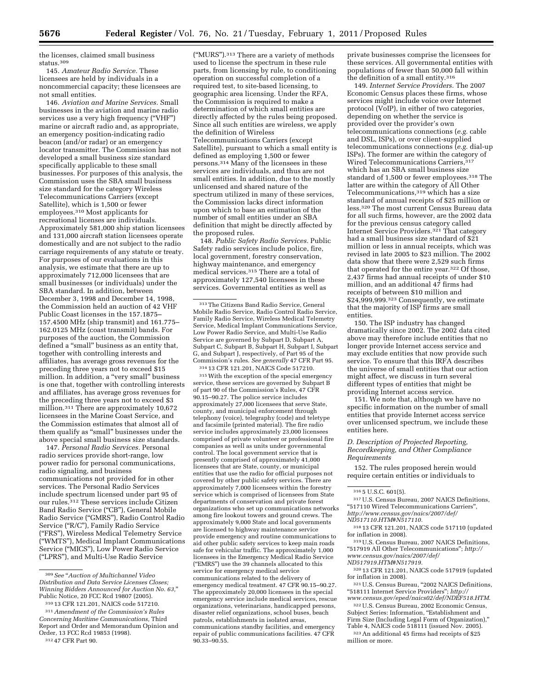the licenses, claimed small business status.309

145. *Amateur Radio Service.* These licensees are held by individuals in a noncommercial capacity; these licensees are not small entities.

146. *Aviation and Marine Services.* Small businesses in the aviation and marine radio services use a very high frequency (''VHF'') marine or aircraft radio and, as appropriate, an emergency position-indicating radio beacon (and/or radar) or an emergency locator transmitter. The Commission has not developed a small business size standard specifically applicable to these small businesses. For purposes of this analysis, the Commission uses the SBA small business size standard for the category Wireless Telecommunications Carriers (except Satellite), which is 1,500 or fewer employees.310 Most applicants for recreational licenses are individuals. Approximately 581,000 ship station licensees and 131,000 aircraft station licensees operate domestically and are not subject to the radio carriage requirements of any statute or treaty. For purposes of our evaluations in this analysis, we estimate that there are up to approximately 712,000 licensees that are small businesses (or individuals) under the SBA standard. In addition, between December 3, 1998 and December 14, 1998, the Commission held an auction of 42 VHF Public Coast licenses in the 157.1875– 157.4500 MHz (ship transmit) and 161.775– 162.0125 MHz (coast transmit) bands. For purposes of the auction, the Commission defined a ''small'' business as an entity that, together with controlling interests and affiliates, has average gross revenues for the preceding three years not to exceed \$15 million. In addition, a "very small" business is one that, together with controlling interests and affiliates, has average gross revenues for the preceding three years not to exceed \$3 million.311 There are approximately 10,672 licensees in the Marine Coast Service, and the Commission estimates that almost all of them qualify as ''small'' businesses under the above special small business size standards.

147. *Personal Radio Services.* Personal radio services provide short-range, low power radio for personal communications, radio signaling, and business communications not provided for in other services. The Personal Radio Services include spectrum licensed under part 95 of our rules.<sup>312</sup> These services include Citizen Band Radio Service ("CB"), General Mobile Radio Service (''GMRS''), Radio Control Radio Service (''R/C''), Family Radio Service (''FRS''), Wireless Medical Telemetry Service (''WMTS''), Medical Implant Communications Service (''MICS''), Low Power Radio Service (''LPRS''), and Multi-Use Radio Service

(''MURS'').313 There are a variety of methods used to license the spectrum in these rule parts, from licensing by rule, to conditioning operation on successful completion of a required test, to site-based licensing, to geographic area licensing. Under the RFA, the Commission is required to make a determination of which small entities are directly affected by the rules being proposed. Since all such entities are wireless, we apply the definition of Wireless Telecommunications Carriers (except Satellite), pursuant to which a small entity is defined as employing 1,500 or fewer persons.314 Many of the licensees in these services are individuals, and thus are not small entities. In addition, due to the mostly unlicensed and shared nature of the spectrum utilized in many of these services, the Commission lacks direct information upon which to base an estimation of the number of small entities under an SBA definition that might be directly affected by the proposed rules.

148. *Public Safety Radio Services.* Public Safety radio services include police, fire, local government, forestry conservation, highway maintenance, and emergency medical services.315 There are a total of approximately 127,540 licensees in these services. Governmental entities as well as

315With the exception of the special emergency service, these services are governed by Subpart B of part 90 of the Commission's Rules, 47 CFR 90.15–90.27. The police service includes approximately 27,000 licensees that serve State, county, and municipal enforcement through telephony (voice), telegraphy (code) and teletype and facsimile (printed material). The fire radio service includes approximately 23,000 licensees comprised of private volunteer or professional fire companies as well as units under governmental control. The local government service that is presently comprised of approximately 41,000 licensees that are State, county, or municipal entities that use the radio for official purposes not covered by other public safety services. There are approximately 7,000 licensees within the forestry service which is comprised of licensees from State departments of conservation and private forest organizations who set up communications networks among fire lookout towers and ground crews. The approximately 9,000 State and local governments are licensed to highway maintenance service provide emergency and routine communications to aid other public safety services to keep main roads safe for vehicular traffic. The approximately 1,000 licensees in the Emergency Medical Radio Service (''EMRS'') use the 39 channels allocated to this service for emergency medical service communications related to the delivery of emergency medical treatment. 47 CFR 90.15–90.27. The approximately 20,000 licensees in the special emergency service include medical services, rescue organizations, veterinarians, handicapped persons, disaster relief organizations, school buses, beach patrols, establishments in isolated areas, communications standby facilities, and emergency repair of public communications facilities. 47 CFR 90.33–90.55.

private businesses comprise the licensees for these services. All governmental entities with populations of fewer than 50,000 fall within the definition of a small entity.316

149. *Internet Service Providers.* The 2007 Economic Census places these firms, whose services might include voice over Internet protocol (VoIP), in either of two categories, depending on whether the service is provided over the provider's own telecommunications connections (*e.g.* cable and DSL, ISPs), or over client-supplied telecommunications connections (*e.g.* dial-up ISPs). The former are within the category of Wired Telecommunications Carriers, 317 which has an SBA small business size standard of 1,500 or fewer employees.318 The latter are within the category of All Other Telecommunications,319 which has a size standard of annual receipts of \$25 million or less.320 The most current Census Bureau data for all such firms, however, are the 2002 data for the previous census category called Internet Service Providers.321 That category had a small business size standard of \$21 million or less in annual receipts, which was revised in late 2005 to \$23 million. The 2002 data show that there were 2,529 such firms that operated for the entire year.322 Of those, 2,437 firms had annual receipts of under \$10 million, and an additional 47 firms had receipts of between \$10 million and \$24,999,999.<sup>323</sup> Consequently, we estimate that the majority of ISP firms are small entities.

150. The ISP industry has changed dramatically since 2002. The 2002 data cited above may therefore include entities that no longer provide Internet access service and may exclude entities that now provide such service. To ensure that this IRFA describes the universe of small entities that our action might affect, we discuss in turn several different types of entities that might be providing Internet access service.

151. We note that, although we have no specific information on the number of small entities that provide Internet access service over unlicensed spectrum, we include these entities here.

#### *D. Description of Projected Reporting, Recordkeeping, and Other Compliance Requirements*

152. The rules proposed herein would require certain entities or individuals to

 $^{316}$ 5 U.S.C. 601(5). $^{317}\rm{U.S.}$  Census Bureau, 2007 NAICS Definitions, ''517110 Wired Telecommunications Carriers'',

*[http://www.census.gov/naics/2007/def/](http://www.census.gov/naics/2007/def/ND517110.HTM#N517110)  [ND517110.HTM#N517110.](http://www.census.gov/naics/2007/def/ND517110.HTM#N517110)* 

318 13 CFR 121.201, NAICS code 517110 (updated

319 U.S. Census Bureau, 2007 NAICS Definitions, ''517919 All Other Telecommunications''; *[http://](http://www.census.gov/naics/2007/def/ND517919.HTM#N517919)* 

*[www.census.gov/naics/2007/def/](http://www.census.gov/naics/2007/def/ND517919.HTM#N517919) [ND517919.HTM#N517919.](http://www.census.gov/naics/2007/def/ND517919.HTM#N517919)* 

<sup>320</sup> 13 CFR 121.201, NAICS code 517919 (updated<br>for inflation in 2008).

321 U.S. Census Bureau, "2002 NAICS Definitions, ''518111 Internet Service Providers''; *[http://](http://www.census.gov/eped/naics02/def/NDEF518.HTM)* 

<sup>322</sup> U.S. Census Bureau, 2002 Economic Census, Subject Series: Information, "Establishment and Firm Size (Including Legal Form of Organization),''

323 An additional 45 firms had receipts of \$25

million or more.

<sup>309</sup>*See* ''*Auction of Multichannel Video Distribution and Data Service Licenses Closes; Winning Bidders Announced for Auction No. 63,*'' Public Notice, 20 FCC Rcd 19807 (2005).

<sup>310</sup> 13 CFR 121.201, NAICS code 517210.

<sup>311</sup>*Amendment of the Commission's Rules Concerning Maritime Communications,* Third Report and Order and Memorandum Opinion and Order, 13 FCC Rcd 19853 (1998). 312 47 CFR Part 90.

<sup>313</sup>The Citizens Band Radio Service, General Mobile Radio Service, Radio Control Radio Service, Family Radio Service, Wireless Medical Telemetry Service, Medical Implant Communications Service, Low Power Radio Service, and Multi-Use Radio Service are governed by Subpart D, Subpart A, Subpart C, Subpart B, Subpart H, Subpart I, Subpart G, and Subpart J, respectively, of Part 95 of the Commission's rules. *See generally* 47 CFR Part 95. 314 13 CFR 121.201, NAICS Code 517210.